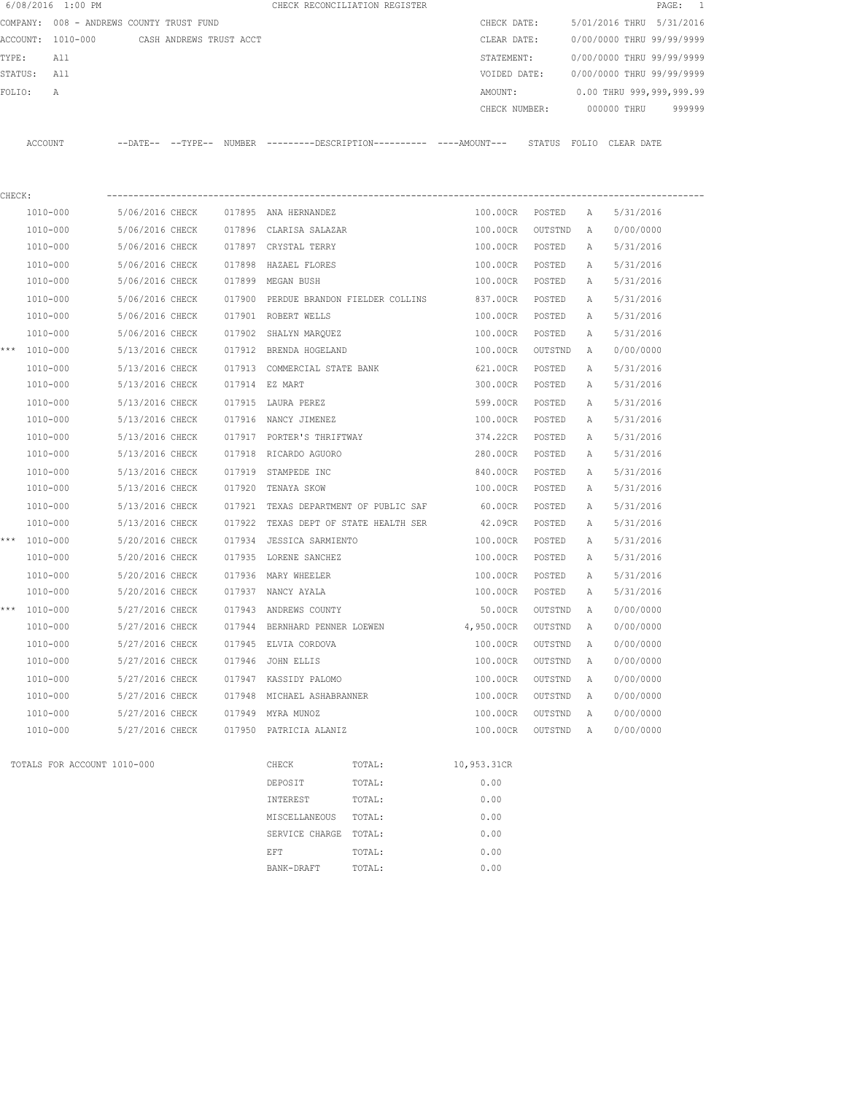|         | 6/08/2016 1:00 PM |                                          |                 |                         |                |                               | CHECK RECONCILIATION REGISTER                                                               |               |         |              |                           | 1<br>PAGE: |
|---------|-------------------|------------------------------------------|-----------------|-------------------------|----------------|-------------------------------|---------------------------------------------------------------------------------------------|---------------|---------|--------------|---------------------------|------------|
|         |                   | COMPANY: 008 - ANDREWS COUNTY TRUST FUND |                 |                         |                |                               |                                                                                             | CHECK DATE:   |         |              | 5/01/2016 THRU 5/31/2016  |            |
|         | ACCOUNT: 1010-000 |                                          |                 | CASH ANDREWS TRUST ACCT |                |                               |                                                                                             | CLEAR DATE:   |         |              | 0/00/0000 THRU 99/99/9999 |            |
| TYPE:   | All               |                                          |                 |                         |                |                               |                                                                                             | STATEMENT:    |         |              | 0/00/0000 THRU 99/99/9999 |            |
| STATUS: | All               |                                          |                 |                         |                |                               |                                                                                             | VOIDED DATE:  |         |              | 0/00/0000 THRU 99/99/9999 |            |
| FOLIO:  | Α                 |                                          |                 |                         |                |                               |                                                                                             | AMOUNT:       |         |              | 0.00 THRU 999,999,999.99  |            |
|         |                   |                                          |                 |                         |                |                               |                                                                                             | CHECK NUMBER: |         |              | 000000 THRU               | 999999     |
|         | ACCOUNT           |                                          |                 |                         |                |                               | --DATE-- --TYPE-- NUMBER --------DESCRIPTION---------- ---AMOUNT--- STATUS FOLIO CLEAR DATE |               |         |              |                           |            |
|         |                   |                                          |                 |                         |                |                               |                                                                                             |               |         |              |                           |            |
| CHECK:  |                   |                                          |                 |                         |                |                               |                                                                                             |               |         |              |                           |            |
|         | 1010-000          |                                          | 5/06/2016 CHECK |                         |                | 017895 ANA HERNANDEZ          |                                                                                             | 100.00CR      | POSTED  | $\mathbb{A}$ | 5/31/2016                 |            |
|         | 1010-000          |                                          | 5/06/2016 CHECK |                         |                | 017896 CLARISA SALAZAR        |                                                                                             | 100.00CR      | OUTSTND | A            | 0/00/0000                 |            |
|         | 1010-000          |                                          | 5/06/2016 CHECK |                         |                | 017897 CRYSTAL TERRY          |                                                                                             | 100.00CR      | POSTED  | A            | 5/31/2016                 |            |
|         | 1010-000          |                                          | 5/06/2016 CHECK |                         | 017898         | HAZAEL FLORES                 |                                                                                             | 100.00CR      | POSTED  | Α            | 5/31/2016                 |            |
|         | 1010-000          |                                          | 5/06/2016 CHECK |                         |                | 017899 MEGAN BUSH             |                                                                                             | 100.00CR      | POSTED  | Α            | 5/31/2016                 |            |
|         | $1010 - 000$      |                                          | 5/06/2016 CHECK |                         |                |                               | 017900 PERDUE BRANDON FIELDER COLLINS                                                       | 837.00CR      | POSTED  | A            | 5/31/2016                 |            |
|         | 1010-000          |                                          | 5/06/2016 CHECK |                         |                | 017901 ROBERT WELLS           |                                                                                             | 100.00CR      | POSTED  | Α            | 5/31/2016                 |            |
|         | 1010-000          |                                          | 5/06/2016 CHECK |                         |                | 017902 SHALYN MARQUEZ         |                                                                                             | 100.00CR      | POSTED  | А            | 5/31/2016                 |            |
|         | *** 1010-000      |                                          | 5/13/2016 CHECK |                         |                | 017912 BRENDA HOGELAND        |                                                                                             | 100.00CR      | OUTSTND | A            | 0/00/0000                 |            |
|         | 1010-000          |                                          | 5/13/2016 CHECK |                         | 017913         | COMMERCIAL STATE BANK         |                                                                                             | 621.00CR      | POSTED  | A            | 5/31/2016                 |            |
|         | 1010-000          |                                          | 5/13/2016 CHECK |                         | 017914 EZ MART |                               |                                                                                             | 300.00CR      | POSTED  | A            | 5/31/2016                 |            |
|         | 1010-000          |                                          | 5/13/2016 CHECK |                         |                | 017915 LAURA PEREZ            |                                                                                             | 599.00CR      | POSTED  | Α            | 5/31/2016                 |            |
|         | 1010-000          |                                          | 5/13/2016 CHECK |                         |                | 017916 NANCY JIMENEZ          |                                                                                             | 100.00CR      | POSTED  | A            | 5/31/2016                 |            |
|         | 1010-000          |                                          | 5/13/2016 CHECK |                         |                | 017917 PORTER'S THRIFTWAY     |                                                                                             | 374.22CR      | POSTED  | Α            | 5/31/2016                 |            |
|         | 1010-000          |                                          | 5/13/2016 CHECK |                         |                | 017918 RICARDO AGUORO         |                                                                                             | 280.00CR      | POSTED  | A            | 5/31/2016                 |            |
|         | 1010-000          |                                          | 5/13/2016 CHECK |                         | 017919         | STAMPEDE INC                  |                                                                                             | 840.00CR      | POSTED  | Α            | 5/31/2016                 |            |
|         | 1010-000          |                                          | 5/13/2016 CHECK |                         | 017920         | TENAYA SKOW                   |                                                                                             | 100.00CR      | POSTED  | Α            | 5/31/2016                 |            |
|         | 1010-000          |                                          | 5/13/2016 CHECK |                         | 017921         |                               | TEXAS DEPARTMENT OF PUBLIC SAF                                                              | 60.00CR       | POSTED  | Α            | 5/31/2016                 |            |
|         | 1010-000          |                                          | 5/13/2016 CHECK |                         | 017922         |                               | TEXAS DEPT OF STATE HEALTH SER                                                              | 42.09CR       | POSTED  | A            | 5/31/2016                 |            |
|         | *** 1010-000      |                                          | 5/20/2016 CHECK |                         | 017934         | JESSICA SARMIENTO             |                                                                                             | 100.00CR      | POSTED  | A            | 5/31/2016                 |            |
|         | 1010-000          |                                          | 5/20/2016 CHECK |                         |                | 017935 LORENE SANCHEZ         |                                                                                             | 100.00CR      | POSTED  | А            | 5/31/2016                 |            |
|         | 1010-000          |                                          | 5/20/2016 CHECK |                         |                | 017936 MARY WHEELER           |                                                                                             | 100.00CR      | POSTED  | Α            | 5/31/2016                 |            |
|         | 1010-000          |                                          | 5/20/2016 CHECK |                         |                | 017937 NANCY AYALA            |                                                                                             | 100.00CR      | POSTED  | A            | 5/31/2016                 |            |
|         | *** 1010-000      |                                          | 5/27/2016 CHECK |                         |                | 017943 ANDREWS COUNTY         |                                                                                             | 50.00CR       | OUTSTND | A            | 0/00/0000                 |            |
|         | 1010-000          |                                          | 5/27/2016 CHECK |                         |                | 017944 BERNHARD PENNER LOEWEN |                                                                                             | 4,950.00CR    | OUTSTND | Α            | 0/00/0000                 |            |
|         | 1010-000          |                                          | 5/27/2016 CHECK |                         |                | 017945 ELVIA CORDOVA          |                                                                                             | 100.00CR      | OUTSTND | Α            | 0/00/0000                 |            |
|         | 1010-000          |                                          | 5/27/2016 CHECK |                         |                | 017946 JOHN ELLIS             |                                                                                             | 100.00CR      | OUTSTND | Α            | 0/00/0000                 |            |
|         | 1010-000          |                                          | 5/27/2016 CHECK |                         |                | 017947 KASSIDY PALOMO         |                                                                                             | 100.00CR      | OUTSTND | Α            | 0/00/0000                 |            |
|         | 1010-000          |                                          | 5/27/2016 CHECK |                         |                | 017948 MICHAEL ASHABRANNER    |                                                                                             | 100.00CR      | OUTSTND | Α            | 0/00/0000                 |            |
|         | 1010-000          |                                          | 5/27/2016 CHECK |                         |                | 017949 MYRA MUNOZ             |                                                                                             | 100.00CR      | OUTSTND | Α            | 0/00/0000                 |            |
|         | 1010-000          |                                          | 5/27/2016 CHECK |                         |                | 017950 PATRICIA ALANIZ        |                                                                                             | 100.00CR      | OUTSTND | Α            | 0/00/0000                 |            |
|         |                   | TOTALS FOR ACCOUNT 1010-000              |                 |                         |                | CHECK                         | TOTAL:                                                                                      | 10,953.31CR   |         |              |                           |            |
|         |                   |                                          |                 |                         |                | DEPOSIT                       | TOTAL:                                                                                      | 0.00          |         |              |                           |            |
|         |                   |                                          |                 |                         |                | INTEREST                      | TOTAL:                                                                                      | 0.00          |         |              |                           |            |
|         |                   |                                          |                 |                         |                | MISCELLANEOUS                 | TOTAL:                                                                                      | 0.00          |         |              |                           |            |
|         |                   |                                          |                 |                         |                | SERVICE CHARGE TOTAL:         |                                                                                             | 0.00          |         |              |                           |            |
|         |                   |                                          |                 |                         |                | EFT                           | TOTAL:                                                                                      | 0.00          |         |              |                           |            |
|         |                   |                                          |                 |                         |                |                               |                                                                                             |               |         |              |                           |            |

BANK-DRAFT TOTAL:  $0.00$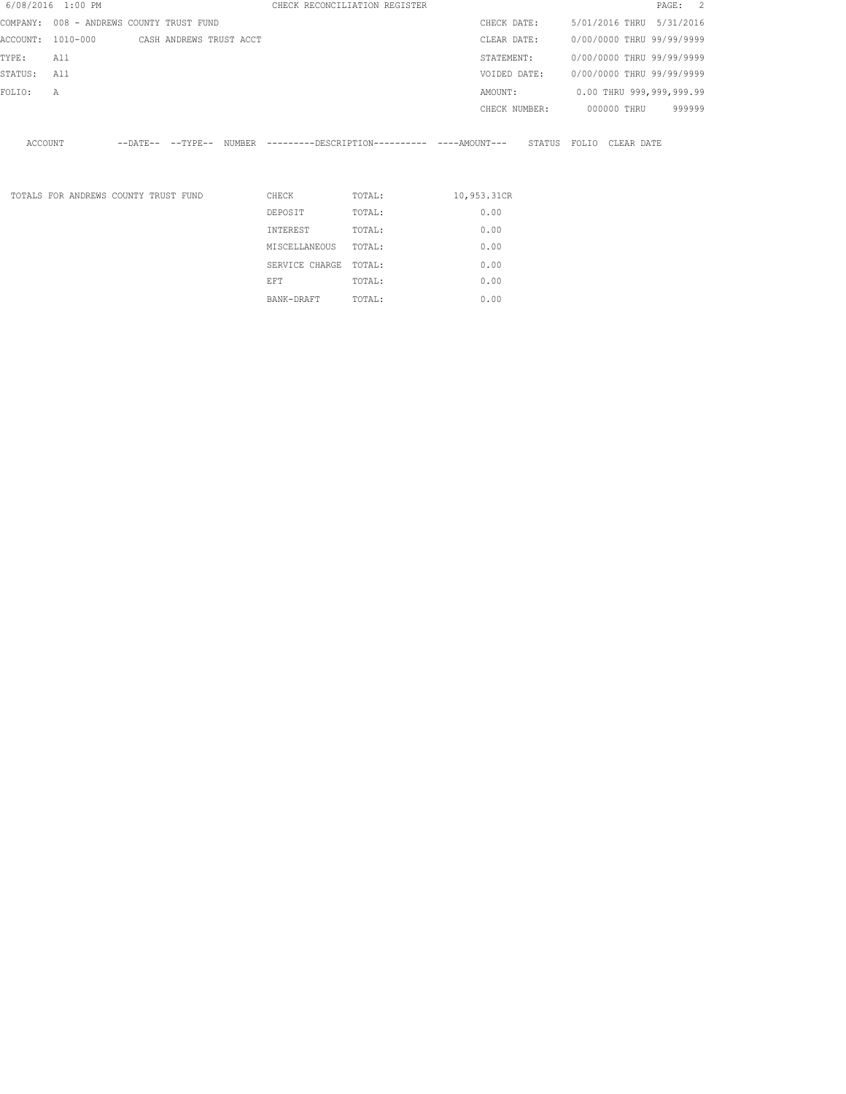| 6/08/2016 1:00 PM |          |                                          |                          |               | CHECK RECONCILIATION REGISTER |        |  |               |              |  |             | PAGE: 2                   |  |
|-------------------|----------|------------------------------------------|--------------------------|---------------|-------------------------------|--------|--|---------------|--------------|--|-------------|---------------------------|--|
|                   |          | COMPANY: 008 - ANDREWS COUNTY TRUST FUND |                          |               |                               |        |  | CHECK DATE:   |              |  |             | 5/01/2016 THRU 5/31/2016  |  |
| ACCOUNT:          | 1010-000 |                                          | CASH ANDREWS TRUST ACCT  |               |                               |        |  | CLEAR DATE:   |              |  |             | 0/00/0000 THRU 99/99/9999 |  |
| TYPE:             | All      |                                          |                          |               |                               |        |  | STATEMENT:    |              |  |             | 0/00/0000 THRU 99/99/9999 |  |
| STATUS:           | All      |                                          |                          |               |                               |        |  | VOIDED DATE:  |              |  |             | 0/00/0000 THRU 99/99/9999 |  |
| FOLIO:            | Α        |                                          |                          |               |                               |        |  | AMOUNT:       |              |  |             | 0.00 THRU 999,999,999.99  |  |
|                   |          |                                          |                          |               |                               |        |  | CHECK NUMBER: |              |  | 000000 THRU | 999999                    |  |
| ACCOUNT           |          |                                          | --DATE-- --TYPE-- NUMBER |               |                               |        |  |               | STATUS FOLIO |  | CLEAR DATE  |                           |  |
|                   |          | TOTALS FOR ANDREWS COUNTY TRUST FUND     |                          | CHECK         |                               | TOTAL: |  | 10,953.31CR   |              |  |             |                           |  |
|                   |          |                                          |                          | DEPOSIT       |                               | TOTAL: |  | 0.00          |              |  |             |                           |  |
|                   |          |                                          |                          | INTEREST      |                               | TOTAL: |  | 0.00          |              |  |             |                           |  |
|                   |          |                                          |                          | MISCELLANEOUS |                               | TOTAL: |  | 0.00          |              |  |             |                           |  |
|                   |          |                                          |                          |               |                               |        |  |               |              |  |             |                           |  |

SERVICE CHARGE TOTAL: 0.00 EFT TOTAL:  $0.00$ BANK-DRAFT TOTAL:  $0.00$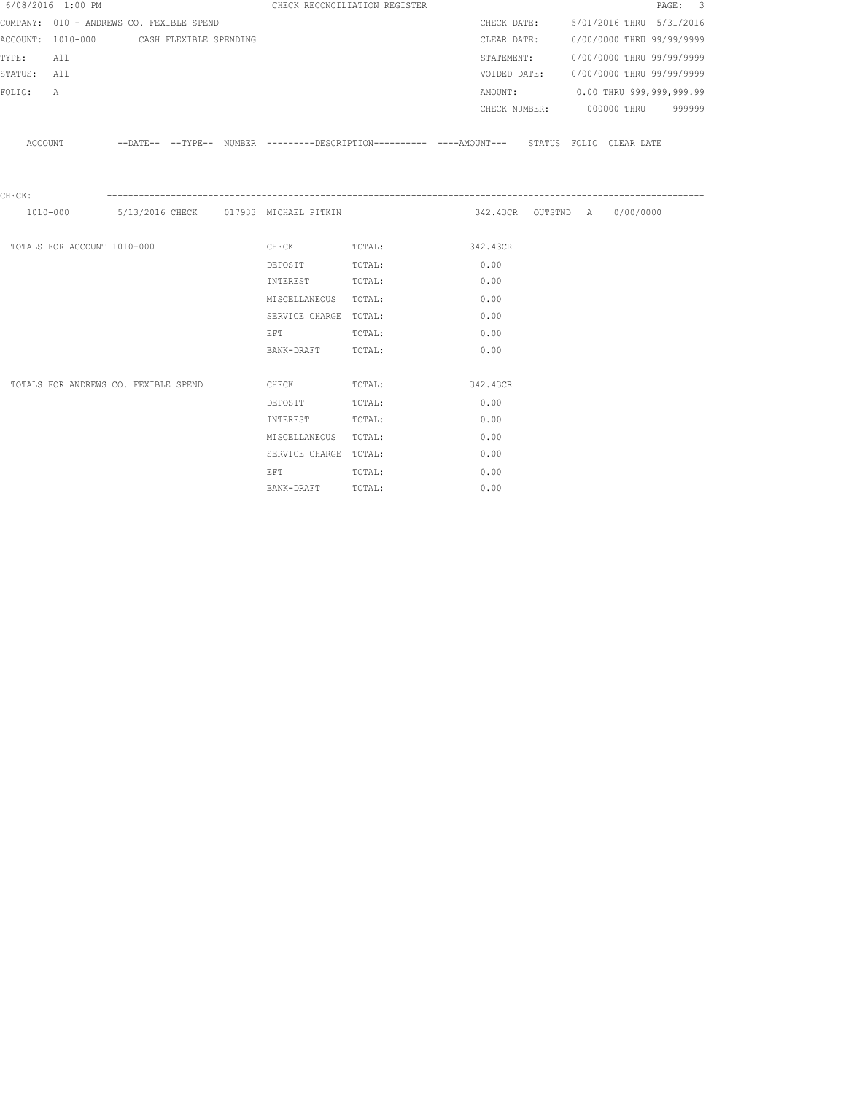|             | 6/08/2016 1:00 PM                        |  | CHECK RECONCILIATION REGISTER                                                                                  |                                                                                                     |                              |                                        |                           | PAGE: 3 |  |
|-------------|------------------------------------------|--|----------------------------------------------------------------------------------------------------------------|-----------------------------------------------------------------------------------------------------|------------------------------|----------------------------------------|---------------------------|---------|--|
|             | COMPANY: 010 - ANDREWS CO. FEXIBLE SPEND |  |                                                                                                                |                                                                                                     |                              | CHECK DATE: 5/01/2016 THRU 5/31/2016   |                           |         |  |
|             | ACCOUNT: 1010-000 CASH FLEXIBLE SPENDING |  |                                                                                                                |                                                                                                     |                              | CLEAR DATE:                            | 0/00/0000 THRU 99/99/9999 |         |  |
| TYPE:       | All                                      |  |                                                                                                                |                                                                                                     |                              | STATEMENT:                             | 0/00/0000 THRU 99/99/9999 |         |  |
| STATUS: All |                                          |  |                                                                                                                |                                                                                                     |                              | VOIDED DATE: 0/00/0000 THRU 99/99/9999 |                           |         |  |
| FOLIO:      | A                                        |  |                                                                                                                |                                                                                                     |                              | AMOUNT: 0.00 THRU 999,999,999.99       |                           |         |  |
|             |                                          |  |                                                                                                                |                                                                                                     |                              | CHECK NUMBER: 000000 THRU 999999       |                           |         |  |
|             |                                          |  |                                                                                                                | ACCOUNT -DATE-- --TYPE-- NUMBER ---------DESCRIPTION---------- ---AMOUNT--- STATUS FOLIO CLEAR DATE |                              |                                        |                           |         |  |
| CHECK:      |                                          |  |                                                                                                                |                                                                                                     |                              |                                        |                           |         |  |
|             |                                          |  | 1010-000 5/13/2016 CHECK 017933 MICHAEL PITKIN                                                                 |                                                                                                     | 342.43CR OUTSTND A 0/00/0000 |                                        |                           |         |  |
|             | TOTALS FOR ACCOUNT 1010-000              |  |                                                                                                                | CHECK TOTAL: 342.43CR                                                                               |                              |                                        |                           |         |  |
|             |                                          |  | DEPOSIT TOTAL:                                                                                                 |                                                                                                     | 0.00                         |                                        |                           |         |  |
|             |                                          |  | INTEREST TOTAL:                                                                                                |                                                                                                     | 0.00                         |                                        |                           |         |  |
|             |                                          |  | MISCELLANEOUS TOTAL:                                                                                           |                                                                                                     | 0.00                         |                                        |                           |         |  |
|             |                                          |  | SERVICE CHARGE TOTAL:                                                                                          |                                                                                                     | 0.00                         |                                        |                           |         |  |
|             |                                          |  | EFT FOR THE STATE OF THE STATE OF THE STATE OF THE STATE OF THE STATE OF THE STATE OF THE STATE OF THE STATE O | TOTAL:                                                                                              | 0.00                         |                                        |                           |         |  |
|             |                                          |  | BANK-DRAFT TOTAL:                                                                                              |                                                                                                     | 0.00                         |                                        |                           |         |  |
|             |                                          |  |                                                                                                                |                                                                                                     |                              |                                        |                           |         |  |
|             | TOTALS FOR ANDREWS CO. FEXIBLE SPEND     |  | <b>CHECK</b>                                                                                                   | TOTAL: 342.43CR                                                                                     |                              |                                        |                           |         |  |
|             |                                          |  | DEPOSIT                                                                                                        | TOTAL:                                                                                              | 0.00                         |                                        |                           |         |  |
|             |                                          |  | INTEREST                                                                                                       | TOTAL:                                                                                              | 0.00                         |                                        |                           |         |  |
|             |                                          |  | MISCELLANEOUS TOTAL:                                                                                           |                                                                                                     | 0.00                         |                                        |                           |         |  |
|             |                                          |  | SERVICE CHARGE TOTAL:                                                                                          |                                                                                                     | 0.00                         |                                        |                           |         |  |
|             |                                          |  | EFT FOR THE STATE OF THE STATE OF THE STATE OF THE STATE OF THE STATE OF THE STATE OF THE STATE OF THE STATE O | TOTAL:                                                                                              | 0.00                         |                                        |                           |         |  |
|             |                                          |  | BANK-DRAFT                                                                                                     | TOTAL:                                                                                              | 0.00                         |                                        |                           |         |  |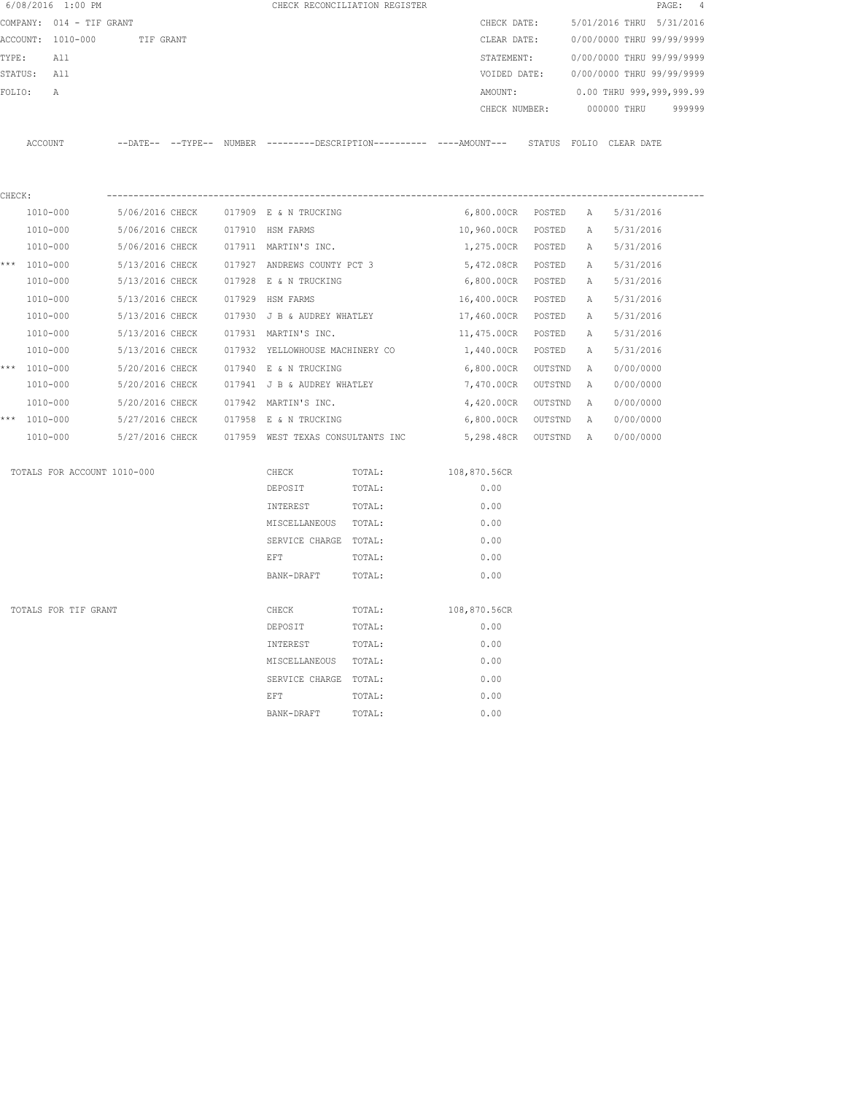|        | 6/08/2016 1:00 PM           |                                                                                            |                                   | CHECK RECONCILIATION REGISTER |                      |         |   | PAGE:                     | $\frac{4}{3}$ |
|--------|-----------------------------|--------------------------------------------------------------------------------------------|-----------------------------------|-------------------------------|----------------------|---------|---|---------------------------|---------------|
|        | COMPANY: 014 - TIF GRANT    |                                                                                            |                                   |                               | CHECK DATE:          |         |   | 5/01/2016 THRU 5/31/2016  |               |
|        | ACCOUNT: 1010-000           | TIF GRANT                                                                                  |                                   |                               | CLEAR DATE:          |         |   | 0/00/0000 THRU 99/99/9999 |               |
| TYPE:  | All                         |                                                                                            |                                   |                               | STATEMENT:           |         |   | 0/00/0000 THRU 99/99/9999 |               |
|        | STATUS: All                 |                                                                                            |                                   |                               | VOIDED DATE:         |         |   | 0/00/0000 THRU 99/99/9999 |               |
| FOLIO: | $\mathsf{A}$                |                                                                                            |                                   |                               | AMOUNT:              |         |   | 0.00 THRU 999,999,999.99  |               |
|        |                             |                                                                                            |                                   |                               | CHECK NUMBER:        |         |   | 000000 THRU               | 999999        |
|        | ACCOUNT                     | --DATE-- --TYPE-- NUMBER --------DESCRIPTION--------- ----AMOUNT--- STATUS FOLIO CLEARDATE |                                   |                               |                      |         |   |                           |               |
|        |                             |                                                                                            |                                   |                               |                      |         |   |                           |               |
| CHECK: |                             |                                                                                            |                                   |                               |                      |         |   |                           |               |
|        | $1010 - 000$                | 5/06/2016 CHECK                                                                            | 017909 E & N TRUCKING             |                               | 6,800.00CR POSTED    |         | A | 5/31/2016                 |               |
|        | 1010-000                    | 5/06/2016 CHECK                                                                            | 017910 HSM FARMS                  |                               | 10,960.00CR POSTED   |         | A | 5/31/2016                 |               |
|        | 1010-000                    | 5/06/2016 CHECK                                                                            | 017911 MARTIN'S INC.              |                               | 1,275.00CR POSTED    |         | Α | 5/31/2016                 |               |
|        | *** 1010-000                | 5/13/2016 CHECK                                                                            | 017927 ANDREWS COUNTY PCT 3       |                               | 5,472.08CR POSTED    |         | A | 5/31/2016                 |               |
|        | 1010-000                    | 5/13/2016 CHECK                                                                            | 017928 E & N TRUCKING             |                               | 6,800.00CR POSTED    |         | A | 5/31/2016                 |               |
|        | 1010-000                    | 5/13/2016 CHECK                                                                            | 017929 HSM FARMS                  |                               | 16,400.00CR POSTED   |         | A | 5/31/2016                 |               |
|        | 1010-000                    | 5/13/2016 CHECK                                                                            | 017930 J B & AUDREY WHATLEY       |                               | 17,460.00CR POSTED   |         | A | 5/31/2016                 |               |
|        | 1010-000                    | 5/13/2016 CHECK                                                                            | 017931 MARTIN'S INC.              |                               | 11,475.00CR POSTED   |         | Α | 5/31/2016                 |               |
|        | 1010-000                    | 5/13/2016 CHECK                                                                            | 017932 YELLOWHOUSE MACHINERY CO   |                               | 1,440.00CR POSTED    |         | A | 5/31/2016                 |               |
|        | *** 1010-000                | 5/20/2016 CHECK                                                                            | 017940 E & N TRUCKING             |                               | 6,800.00CR           | OUTSTND | A | 0/00/0000                 |               |
|        | 1010-000                    | 5/20/2016 CHECK                                                                            | 017941 J B & AUDREY WHATLEY       |                               | 7,470.00CR           | OUTSTND | A | 0/00/0000                 |               |
|        | 1010-000                    | 5/20/2016 CHECK                                                                            | 017942 MARTIN'S INC.              |                               | 4,420.00CR OUTSTND   |         | A | 0/00/0000                 |               |
|        | *** 1010-000                | 5/27/2016 CHECK 017958 E & N TRUCKING                                                      |                                   |                               | 6,800.00CR OUTSTND   |         | A | 0/00/0000                 |               |
|        | 1010-000                    | 5/27/2016 CHECK                                                                            | 017959 WEST TEXAS CONSULTANTS INC |                               | 5,298.48CR OUTSTND A |         |   | 0/00/0000                 |               |
|        | TOTALS FOR ACCOUNT 1010-000 |                                                                                            | CHECK                             | TOTAL:                        | 108,870.56CR         |         |   |                           |               |
|        |                             |                                                                                            | DEPOSIT                           | TOTAL:                        | 0.00                 |         |   |                           |               |
|        |                             |                                                                                            | INTEREST                          | TOTAL:                        | 0.00                 |         |   |                           |               |
|        |                             |                                                                                            | MISCELLANEOUS TOTAL:              |                               | 0.00                 |         |   |                           |               |
|        |                             |                                                                                            | SERVICE CHARGE TOTAL:             |                               | 0.00                 |         |   |                           |               |
|        |                             |                                                                                            | EFT                               | TOTAL:                        | 0.00                 |         |   |                           |               |
|        |                             |                                                                                            | BANK-DRAFT                        | TOTAL:                        | 0.00                 |         |   |                           |               |
|        | TOTALS FOR TIF GRANT        |                                                                                            | CHECK                             | TOTAL:                        | 108,870.56CR         |         |   |                           |               |
|        |                             |                                                                                            | DEPOSIT                           | TOTAL:                        | 0.00                 |         |   |                           |               |
|        |                             |                                                                                            | INTEREST                          | TOTAL:                        | 0.00                 |         |   |                           |               |
|        |                             |                                                                                            | MISCELLANEOUS TOTAL:              |                               | 0.00                 |         |   |                           |               |
|        |                             |                                                                                            | SERVICE CHARGE TOTAL:             |                               | 0.00                 |         |   |                           |               |
|        |                             |                                                                                            | EFT                               | TOTAL:                        | 0.00                 |         |   |                           |               |
|        |                             |                                                                                            | BANK-DRAFT                        | TOTAL:                        | 0.00                 |         |   |                           |               |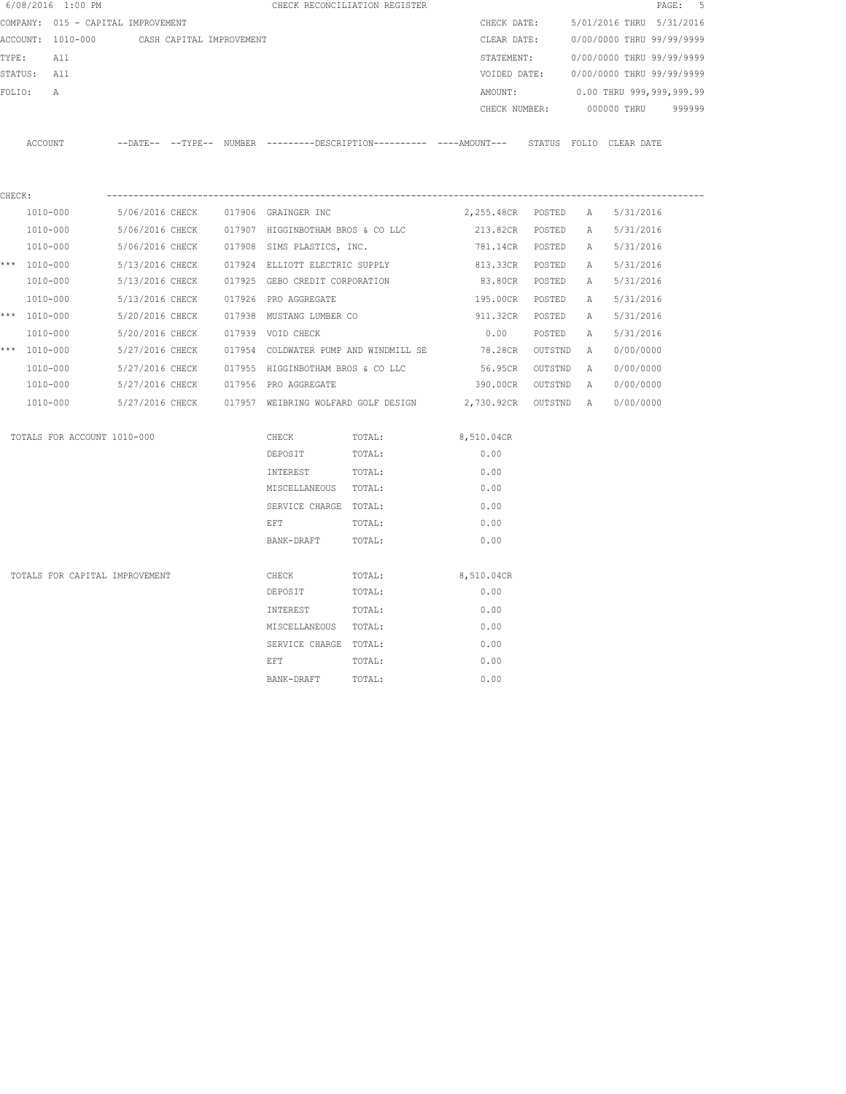|        | 6/08/2016 1:00 PM                  |                          |  |                                   | CHECK RECONCILIATION REGISTER         |                                                                                              |         |   |                           | - 5<br>$\mathtt{PAGE}$ : |
|--------|------------------------------------|--------------------------|--|-----------------------------------|---------------------------------------|----------------------------------------------------------------------------------------------|---------|---|---------------------------|--------------------------|
|        | COMPANY: 015 - CAPITAL IMPROVEMENT |                          |  |                                   |                                       | CHECK DATE:                                                                                  |         |   | 5/01/2016 THRU 5/31/2016  |                          |
|        | ACCOUNT: 1010-000                  | CASH CAPITAL IMPROVEMENT |  |                                   |                                       | CLEAR DATE:                                                                                  |         |   | 0/00/0000 THRU 99/99/9999 |                          |
| TYPE:  | All                                |                          |  |                                   |                                       | STATEMENT:                                                                                   |         |   | 0/00/0000 THRU 99/99/9999 |                          |
|        | STATUS: All                        |                          |  |                                   |                                       | VOIDED DATE:                                                                                 |         |   | 0/00/0000 THRU 99/99/9999 |                          |
| FOLIO: | $\mathsf{A}$                       |                          |  |                                   |                                       | AMOUNT:                                                                                      |         |   | 0.00 THRU 999,999,999.99  |                          |
|        |                                    |                          |  |                                   |                                       | CHECK NUMBER:                                                                                |         |   | 000000 THRU               | 999999                   |
|        | ACCOUNT                            |                          |  |                                   |                                       | --DATE-- --TYPE-- NUMBER --------DESCRIPTION---------- ----AMOUNT--- STATUS FOLIO CLEAR DATE |         |   |                           |                          |
| CHECK: |                                    |                          |  |                                   |                                       |                                                                                              |         |   |                           |                          |
|        | 1010-000                           | 5/06/2016 CHECK          |  | 017906 GRAINGER INC               |                                       | 2,255.48CR POSTED                                                                            |         | A | 5/31/2016                 |                          |
|        | 1010-000                           | 5/06/2016 CHECK          |  | 017907 HIGGINBOTHAM BROS & CO LLC |                                       | 213.82CR POSTED                                                                              |         | A | 5/31/2016                 |                          |
|        | 1010-000                           | 5/06/2016 CHECK          |  | 017908 SIMS PLASTICS, INC.        |                                       | 781.14CR POSTED                                                                              |         | A | 5/31/2016                 |                          |
|        | *** 1010-000                       | 5/13/2016 CHECK          |  | 017924 ELLIOTT ELECTRIC SUPPLY    |                                       | 813.33CR POSTED                                                                              |         | A | 5/31/2016                 |                          |
|        | 1010-000                           | 5/13/2016 CHECK          |  | 017925 GEBO CREDIT CORPORATION    |                                       | 83.80CR POSTED                                                                               |         | A | 5/31/2016                 |                          |
|        | 1010-000                           | 5/13/2016 CHECK          |  | 017926 PRO AGGREGATE              |                                       | 195.00CR                                                                                     | POSTED  | A | 5/31/2016                 |                          |
|        | *** 1010-000                       | 5/20/2016 CHECK          |  | 017938 MUSTANG LUMBER CO          |                                       | 911.32CR                                                                                     | POSTED  | A | 5/31/2016                 |                          |
|        | 1010-000                           | 5/20/2016 CHECK          |  | 017939 VOID CHECK                 |                                       | 0.00                                                                                         | POSTED  | Α | 5/31/2016                 |                          |
|        | *** 1010-000                       | 5/27/2016 CHECK          |  |                                   | 017954 COLDWATER PUMP AND WINDMILL SE | 78.28CR                                                                                      | OUTSTND | A | 0/00/0000                 |                          |
|        | 1010-000                           | 5/27/2016 CHECK          |  | 017955 HIGGINBOTHAM BROS & CO LLC |                                       | 56.95CR                                                                                      | OUTSTND | A | 0/00/0000                 |                          |
|        | 1010-000                           | 5/27/2016 CHECK          |  | 017956 PRO AGGREGATE              |                                       | 390.00CR OUTSTND                                                                             |         | A | 0/00/0000                 |                          |
|        | 1010-000                           | 5/27/2016 CHECK          |  |                                   | 017957 WEIBRING WOLFARD GOLF DESIGN   | 2,730.92CR OUTSTND A                                                                         |         |   | 0/00/0000                 |                          |
|        | TOTALS FOR ACCOUNT 1010-000        |                          |  | CHECK                             | TOTAL:                                | 8,510.04CR                                                                                   |         |   |                           |                          |
|        |                                    |                          |  | DEPOSIT                           | TOTAL:                                | 0.00                                                                                         |         |   |                           |                          |
|        |                                    |                          |  | INTEREST                          | TOTAL:                                | 0.00                                                                                         |         |   |                           |                          |
|        |                                    |                          |  | MISCELLANEOUS TOTAL:              |                                       | 0.00                                                                                         |         |   |                           |                          |
|        |                                    |                          |  | SERVICE CHARGE TOTAL:             |                                       | 0.00                                                                                         |         |   |                           |                          |
|        |                                    |                          |  | EFT                               | TOTAL:                                | 0.00                                                                                         |         |   |                           |                          |
|        |                                    |                          |  | BANK-DRAFT                        | TOTAL:                                | 0.00                                                                                         |         |   |                           |                          |
|        | TOTALS FOR CAPITAL IMPROVEMENT     |                          |  | CHECK                             | TOTAL:                                | 8,510.04CR                                                                                   |         |   |                           |                          |
|        |                                    |                          |  | DEPOSIT                           | TOTAL:                                | 0.00                                                                                         |         |   |                           |                          |
|        |                                    |                          |  | INTEREST                          | TOTAL:                                | 0.00                                                                                         |         |   |                           |                          |
|        |                                    |                          |  | MISCELLANEOUS TOTAL:              |                                       | 0.00                                                                                         |         |   |                           |                          |
|        |                                    |                          |  | SERVICE CHARGE TOTAL:             |                                       | 0.00                                                                                         |         |   |                           |                          |
|        |                                    |                          |  | EFT                               | TOTAL:                                | 0.00                                                                                         |         |   |                           |                          |
|        |                                    |                          |  | BANK-DRAFT                        | TOTAL:                                | 0.00                                                                                         |         |   |                           |                          |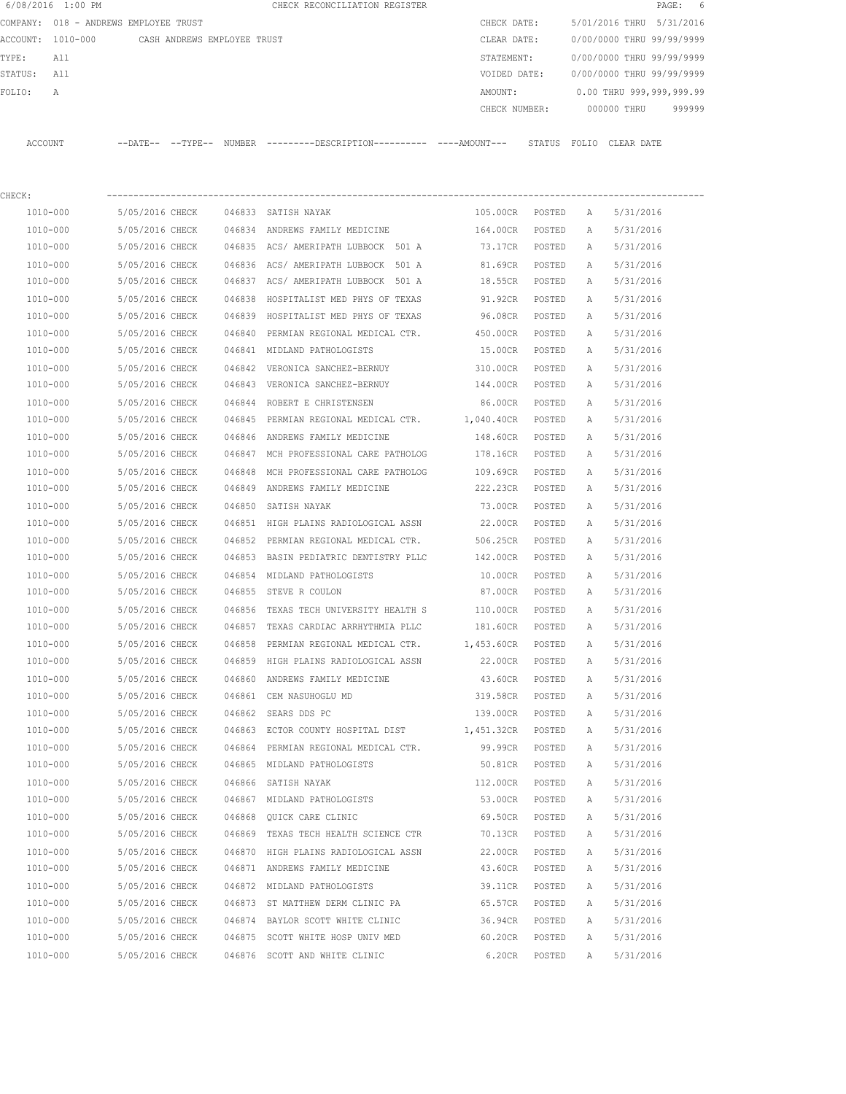|                   | 6/08/2016 1:00 PM |                                       |        | CHECK RECONCILIATION REGISTER                |         |               |       |             | PAGE: 6                   |        |
|-------------------|-------------------|---------------------------------------|--------|----------------------------------------------|---------|---------------|-------|-------------|---------------------------|--------|
|                   |                   | COMPANY: 018 - ANDREWS EMPLOYEE TRUST |        |                                              |         | CHECK DATE:   |       |             | 5/01/2016 THRU 5/31/2016  |        |
| ACCOUNT: 1010-000 |                   | CASH ANDREWS EMPLOYEE TRUST           |        |                                              |         | CLEAR DATE:   |       |             | 0/00/0000 THRU 99/99/9999 |        |
| TYPE:             | All               |                                       |        |                                              |         | STATEMENT:    |       |             | 0/00/0000 THRU 99/99/9999 |        |
| STATUS:           | All               |                                       |        |                                              |         | VOIDED DATE:  |       |             | 0/00/0000 THRU 99/99/9999 |        |
| FOLTO:            | A                 |                                       |        |                                              | AMOUNT: |               |       |             | 0.00 THRU 999,999,999.99  |        |
|                   |                   |                                       |        |                                              |         | CHECK NUMBER: |       | 000000 THRU |                           | 999999 |
|                   |                   |                                       |        |                                              |         |               |       |             |                           |        |
| ACCOUNT           |                   | $--$ DATE $- --$ TYPE $--$            | NUMBER | ---------DESCRIPTION---------- ----AMOUNT--- |         | STATUS        | FOLIO | CLEAR DATE  |                           |        |

| CHECK:       |                                         |        |                                                              |                   |        |   |           |
|--------------|-----------------------------------------|--------|--------------------------------------------------------------|-------------------|--------|---|-----------|
| 1010-000     | 5/05/2016 CHECK                         |        | 046833 SATISH NAYAK                                          | 105.00CR POSTED   |        | A | 5/31/2016 |
| 1010-000     | 5/05/2016 CHECK                         |        | 046834 ANDREWS FAMILY MEDICINE                               | 164.00CR          | POSTED | Α | 5/31/2016 |
| 1010-000     | 5/05/2016 CHECK                         |        | 046835 ACS/AMERIPATH LUBBOCK 501 A                           | 73.17CR           | POSTED | A | 5/31/2016 |
| 1010-000     | 5/05/2016 CHECK                         |        | 046836 ACS/ AMERIPATH LUBBOCK 501 A 81.69CR                  |                   | POSTED | A | 5/31/2016 |
| 1010-000     | 5/05/2016 CHECK                         |        | 046837 ACS/ AMERIPATH LUBBOCK 501 A 18.55CR                  |                   | POSTED | A | 5/31/2016 |
| 1010-000     | 5/05/2016 CHECK 046838                  |        | HOSPITALIST MED PHYS OF TEXAS 51.92CR                        |                   | POSTED | A | 5/31/2016 |
| 1010-000     |                                         |        | 5/05/2016 CHECK 046839 HOSPITALIST MED PHYS OF TEXAS         | 96.08CR           | POSTED | A | 5/31/2016 |
| 1010-000     |                                         |        | 5/05/2016 CHECK 046840 PERMIAN REGIONAL MEDICAL CTR.         | 450.00CR          | POSTED | A | 5/31/2016 |
| 1010-000     |                                         |        | 5/05/2016 CHECK 046841 MIDLAND PATHOLOGISTS                  | 15.00CR           | POSTED | A | 5/31/2016 |
| 1010-000     |                                         |        | 5/05/2016 CHECK 046842 VERONICA SANCHEZ-BERNUY               | 310.00CR POSTED   |        | Α | 5/31/2016 |
| 1010-000     |                                         |        | 5/05/2016 CHECK 046843 VERONICA SANCHEZ-BERNUY               | 144.00CR POSTED   |        | A | 5/31/2016 |
| 1010-000     |                                         |        | 5/05/2016 CHECK 046844 ROBERT E CHRISTENSEN                  | 86.00CR POSTED    |        | A | 5/31/2016 |
| 1010-000     |                                         |        | 5/05/2016 CHECK 046845 PERMIAN REGIONAL MEDICAL CTR.         | 1,040.40CR POSTED |        | A | 5/31/2016 |
| 1010-000     |                                         |        | 5/05/2016 CHECK 046846 ANDREWS FAMILY MEDICINE               | 148.60CR POSTED   |        | Α | 5/31/2016 |
| 1010-000     |                                         |        | 5/05/2016 CHECK 046847 MCH PROFESSIONAL CARE PATHOLOG        | 178.16CR POSTED   |        | A | 5/31/2016 |
| 1010-000     | 5/05/2016 CHECK 046848                  |        | MCH PROFESSIONAL CARE PATHOLOG 109.69CR                      |                   | POSTED | Α | 5/31/2016 |
| 1010-000     |                                         |        | 5/05/2016 CHECK 046849 ANDREWS FAMILY MEDICINE 222.23CR      |                   | POSTED | A | 5/31/2016 |
| 1010-000     | 5/05/2016 CHECK 046850 SATISH NAYAK     |        |                                                              | 73.00CR           | POSTED | Α | 5/31/2016 |
| 1010-000     | 5/05/2016 CHECK                         |        | 046851 HIGH PLAINS RADIOLOGICAL ASSN                         | 22.00CR           | POSTED | A | 5/31/2016 |
| 1010-000     |                                         |        | 5/05/2016 CHECK 046852 PERMIAN REGIONAL MEDICAL CTR.         | 506.25CR          | POSTED | A | 5/31/2016 |
| 1010-000     |                                         |        | 5/05/2016 CHECK 046853 BASIN PEDIATRIC DENTISTRY PLLC        | 142.00CR          | POSTED | A | 5/31/2016 |
| 1010-000     | 5/05/2016 CHECK                         |        | 046854 MIDLAND PATHOLOGISTS                                  | 10.00CR POSTED    |        | Α | 5/31/2016 |
| 1010-000     | 5/05/2016 CHECK                         |        | 046855 STEVE R COULON                                        | 87.00CR POSTED    |        | A | 5/31/2016 |
| 1010-000     | 5/05/2016 CHECK                         |        | 046856 TEXAS TECH UNIVERSITY HEALTH S                        | 110.00CR POSTED   |        | A | 5/31/2016 |
| 1010-000     | 5/05/2016 CHECK                         |        | 046857 TEXAS CARDIAC ARRHYTHMIA PLLC                         | 181.60CR POSTED   |        | A | 5/31/2016 |
| 1010-000     | 5/05/2016 CHECK                         | 046858 | PERMIAN REGIONAL MEDICAL CTR. 1,453.60CR POSTED              |                   |        | Α | 5/31/2016 |
| 1010-000     | 5/05/2016 CHECK                         | 046859 | HIGH PLAINS RADIOLOGICAL ASSN                                | 22.00CR POSTED    |        | Α | 5/31/2016 |
| 1010-000     | 5/05/2016 CHECK 046860                  |        | ANDREWS FAMILY MEDICINE                                      | 43.60CR           | POSTED | A | 5/31/2016 |
| 1010-000     | 5/05/2016 CHECK 046861 CEM NASUHOGLU MD |        |                                                              | 319.58CR          | POSTED | A | 5/31/2016 |
| 1010-000     | 5/05/2016 CHECK 046862 SEARS DDS PC     |        |                                                              | 139.00CR          | POSTED | A | 5/31/2016 |
| 1010-000     |                                         |        | 5/05/2016 CHECK 046863 ECTOR COUNTY HOSPITAL DIST 1,451.32CR |                   | POSTED | A | 5/31/2016 |
| 1010-000     |                                         |        | 5/05/2016 CHECK 046864 PERMIAN REGIONAL MEDICAL CTR.         | 99.99CR           | POSTED | A | 5/31/2016 |
| 1010-000     |                                         |        | 5/05/2016 CHECK 046865 MIDLAND PATHOLOGISTS                  | 50.81CR POSTED    |        | A | 5/31/2016 |
| 1010-000     | 5/05/2016 CHECK 046866 SATISH NAYAK     |        |                                                              | 112.00CR POSTED   |        | A | 5/31/2016 |
| 1010-000     | 5/05/2016 CHECK                         |        | 046867 MIDLAND PATHOLOGISTS                                  | 53.00CR           | POSTED | A | 5/31/2016 |
| 1010-000     | 5/05/2016 CHECK                         |        | 046868 QUICK CARE CLINIC                                     | 69.50CR           | POSTED | А | 5/31/2016 |
| 1010-000     | 5/05/2016 CHECK                         |        | 046869 TEXAS TECH HEALTH SCIENCE CTR                         | 70.13CR           | POSTED | Α | 5/31/2016 |
| 1010-000     | 5/05/2016 CHECK                         |        | 046870 HIGH PLAINS RADIOLOGICAL ASSN                         | 22.00CR           | POSTED | Α | 5/31/2016 |
| 1010-000     | 5/05/2016 CHECK                         |        | 046871 ANDREWS FAMILY MEDICINE                               | 43.60CR           | POSTED | А | 5/31/2016 |
| 1010-000     | 5/05/2016 CHECK                         |        | 046872 MIDLAND PATHOLOGISTS                                  | 39.11CR           | POSTED | Α | 5/31/2016 |
| 1010-000     | 5/05/2016 CHECK                         |        | 046873 ST MATTHEW DERM CLINIC PA                             | 65.57CR           | POSTED | А | 5/31/2016 |
| 1010-000     | 5/05/2016 CHECK                         |        | 046874 BAYLOR SCOTT WHITE CLINIC                             | 36.94CR           | POSTED | Α | 5/31/2016 |
| $1010 - 000$ | 5/05/2016 CHECK                         |        | 046875 SCOTT WHITE HOSP UNIV MED                             | 60.20CR           | POSTED | Α | 5/31/2016 |
| $1010 - 000$ | 5/05/2016 CHECK                         |        | 046876 SCOTT AND WHITE CLINIC                                | 6.20CR            | POSTED | Α | 5/31/2016 |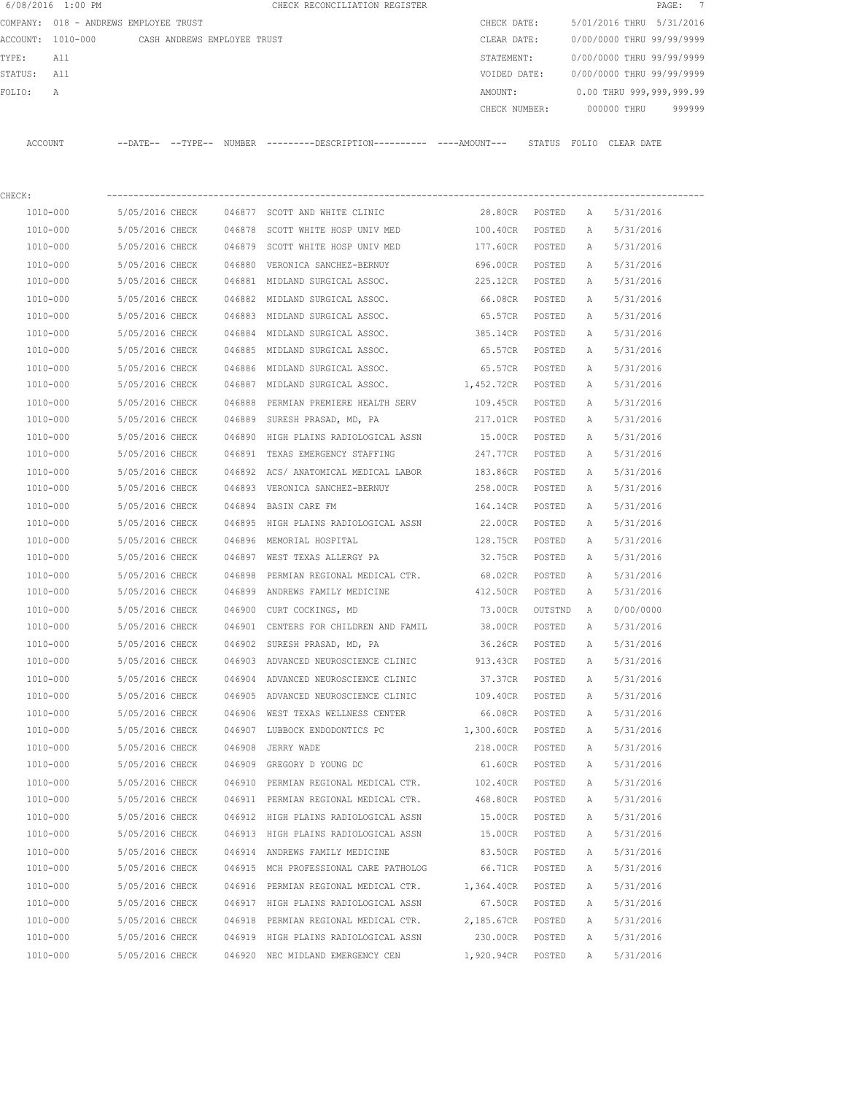| 6/08/2016 1:00 PM                             |                 |        | CHECK RECONCILIATION REGISTER                                                               |                   |         |   | $\texttt{PAGE}$ :         | $\overline{7}$ |
|-----------------------------------------------|-----------------|--------|---------------------------------------------------------------------------------------------|-------------------|---------|---|---------------------------|----------------|
| COMPANY: 018 - ANDREWS EMPLOYEE TRUST         |                 |        |                                                                                             | CHECK DATE:       |         |   | 5/01/2016 THRU            | 5/31/2016      |
| ACCOUNT: 1010-000 CASH ANDREWS EMPLOYEE TRUST |                 |        |                                                                                             | CLEAR DATE:       |         |   | 0/00/0000 THRU 99/99/9999 |                |
| TYPE:<br>All                                  |                 |        |                                                                                             | STATEMENT:        |         |   | 0/00/0000 THRU 99/99/9999 |                |
| STATUS:<br>All                                |                 |        |                                                                                             | VOIDED DATE:      |         |   | 0/00/0000 THRU 99/99/9999 |                |
| FOLIO:<br>Α                                   |                 |        |                                                                                             | AMOUNT:           |         |   | 0.00 THRU 999,999,999.99  |                |
|                                               |                 |        |                                                                                             | CHECK NUMBER:     |         |   | 000000 THRU               | 999999         |
| ACCOUNT                                       |                 |        | --DATE-- --TYPE-- NUMBER ---------DESCRIPTION---------- ---AMOUNT--- STATUS FOLIO CLEARDATE |                   |         |   |                           |                |
|                                               |                 |        |                                                                                             |                   |         |   |                           |                |
| CHECK:                                        |                 |        |                                                                                             |                   |         |   |                           |                |
| 1010-000                                      | 5/05/2016 CHECK |        | 046877 SCOTT AND WHITE CLINIC                                                               | 28.80CR POSTED    |         | A | 5/31/2016                 |                |
| 1010-000                                      | 5/05/2016 CHECK |        | 046878 SCOTT WHITE HOSP UNIV MED                                                            | 100.40CR          | POSTED  | A | 5/31/2016                 |                |
| 1010-000                                      | 5/05/2016 CHECK |        | 046879 SCOTT WHITE HOSP UNIV MED                                                            | 177.60CR POSTED   |         | A | 5/31/2016                 |                |
| 1010-000                                      | 5/05/2016 CHECK |        | 046880 VERONICA SANCHEZ-BERNUY                                                              | 696.00CR          | POSTED  | A | 5/31/2016                 |                |
| 1010-000                                      | 5/05/2016 CHECK |        | 046881 MIDLAND SURGICAL ASSOC.                                                              | 225.12CR          | POSTED  | A | 5/31/2016                 |                |
| 1010-000                                      | 5/05/2016 CHECK |        | 046882 MIDLAND SURGICAL ASSOC.                                                              | 66.08CR           | POSTED  | Α | 5/31/2016                 |                |
| 1010-000                                      | 5/05/2016 CHECK |        | 046883 MIDLAND SURGICAL ASSOC.                                                              | 65.57CR           | POSTED  | A | 5/31/2016                 |                |
| 1010-000                                      | 5/05/2016 CHECK |        | 046884 MIDLAND SURGICAL ASSOC.                                                              | 385.14CR          | POSTED  | А | 5/31/2016                 |                |
| 1010-000                                      | 5/05/2016 CHECK |        | 046885 MIDLAND SURGICAL ASSOC.                                                              | 65.57CR           | POSTED  | A | 5/31/2016                 |                |
| 1010-000                                      | 5/05/2016 CHECK |        | 046886 MIDLAND SURGICAL ASSOC.                                                              | 65.57CR           | POSTED  | Α | 5/31/2016                 |                |
| 1010-000                                      | 5/05/2016 CHECK |        | 046887 MIDLAND SURGICAL ASSOC. 1,452.72CR                                                   |                   | POSTED  | A | 5/31/2016                 |                |
| 1010-000                                      | 5/05/2016 CHECK | 046888 | PERMIAN PREMIERE HEALTH SERV                                                                | 109.45CR          | POSTED  | Α | 5/31/2016                 |                |
| 1010-000                                      | 5/05/2016 CHECK |        | 046889 SURESH PRASAD, MD, PA                                                                | 217.01CR          | POSTED  | Α | 5/31/2016                 |                |
| 1010-000                                      | 5/05/2016 CHECK |        | 046890 HIGH PLAINS RADIOLOGICAL ASSN                                                        | 15.00CR           | POSTED  | Α | 5/31/2016                 |                |
| 1010-000                                      | 5/05/2016 CHECK | 046891 | TEXAS EMERGENCY STAFFING                                                                    | 247.77CR          | POSTED  | А | 5/31/2016                 |                |
| 1010-000                                      | 5/05/2016 CHECK | 046892 | ACS/ ANATOMICAL MEDICAL LABOR                                                               | 183.86CR          | POSTED  | Α | 5/31/2016                 |                |
| 1010-000                                      | 5/05/2016 CHECK |        | 046893 VERONICA SANCHEZ-BERNUY                                                              | 258.00CR          | POSTED  | А | 5/31/2016                 |                |
| 1010-000                                      | 5/05/2016 CHECK | 046894 | BASIN CARE FM                                                                               | 164.14CR          | POSTED  | Α | 5/31/2016                 |                |
| 1010-000                                      | 5/05/2016 CHECK | 046895 | HIGH PLAINS RADIOLOGICAL ASSN                                                               | 22.00CR           | POSTED  | A | 5/31/2016                 |                |
| 1010-000                                      | 5/05/2016 CHECK |        | 046896 MEMORIAL HOSPITAL                                                                    | 128.75CR          | POSTED  | А | 5/31/2016                 |                |
| 1010-000                                      | 5/05/2016 CHECK |        | 046897 WEST TEXAS ALLERGY PA                                                                | 32.75CR           | POSTED  | A | 5/31/2016                 |                |
| 1010-000                                      | 5/05/2016 CHECK | 046898 | PERMIAN REGIONAL MEDICAL CTR.                                                               | 68.02CR           | POSTED  | A | 5/31/2016                 |                |
| 1010-000                                      | 5/05/2016 CHECK |        | 046899 ANDREWS FAMILY MEDICINE                                                              | 412.50CR          | POSTED  | A | 5/31/2016                 |                |
| 1010-000                                      | 5/05/2016 CHECK |        | 046900 CURT COCKINGS, MD                                                                    | 73.00CR           | OUTSTND | A | 0/00/0000                 |                |
| 1010-000                                      | 5/05/2016 CHECK |        | 046901 CENTERS FOR CHILDREN AND FAMIL                                                       | 38.00CR           | POSTED  | Α | 5/31/2016                 |                |
| $1010 - 000$                                  | 5/05/2016 CHECK |        | 046902 SURESH PRASAD, MD, PA                                                                | 36.26CR           | POSTED  | Α | 5/31/2016                 |                |
| 1010-000                                      | 5/05/2016 CHECK |        | 046903 ADVANCED NEUROSCIENCE CLINIC                                                         | 913.43CR          | POSTED  | Α | 5/31/2016                 |                |
| 1010-000                                      | 5/05/2016 CHECK |        | 046904 ADVANCED NEUROSCIENCE CLINIC                                                         | 37.37CR           | POSTED  | Α | 5/31/2016                 |                |
| 1010-000                                      | 5/05/2016 CHECK |        | 046905 ADVANCED NEUROSCIENCE CLINIC                                                         | 109.40CR          | POSTED  | Α | 5/31/2016                 |                |
| 1010-000                                      | 5/05/2016 CHECK |        | 046906 WEST TEXAS WELLNESS CENTER                                                           | 66.08CR           | POSTED  | Α | 5/31/2016                 |                |
| 1010-000                                      | 5/05/2016 CHECK |        | 046907 LUBBOCK ENDODONTICS PC                                                               | 1,300.60CR        | POSTED  | Α | 5/31/2016                 |                |
| 1010-000                                      | 5/05/2016 CHECK |        | 046908 JERRY WADE                                                                           | 218.00CR          | POSTED  | Α | 5/31/2016                 |                |
| 1010-000                                      | 5/05/2016 CHECK |        | 046909 GREGORY D YOUNG DC                                                                   | 61.60CR           | POSTED  | Α | 5/31/2016                 |                |
| 1010-000                                      | 5/05/2016 CHECK |        | 046910 PERMIAN REGIONAL MEDICAL CTR.                                                        | 102.40CR          | POSTED  | Α | 5/31/2016                 |                |
| 1010-000                                      | 5/05/2016 CHECK |        | 046911 PERMIAN REGIONAL MEDICAL CTR.                                                        | 468.80CR          | POSTED  | Α | 5/31/2016                 |                |
| 1010-000                                      | 5/05/2016 CHECK |        | 046912 HIGH PLAINS RADIOLOGICAL ASSN                                                        | 15.00CR           | POSTED  | Α | 5/31/2016                 |                |
| 1010-000                                      | 5/05/2016 CHECK |        | 046913 HIGH PLAINS RADIOLOGICAL ASSN                                                        | 15.00CR           | POSTED  | Α | 5/31/2016                 |                |
| 1010-000                                      | 5/05/2016 CHECK |        | 046914 ANDREWS FAMILY MEDICINE                                                              | 83.50CR           | POSTED  | Α | 5/31/2016                 |                |
| 1010-000                                      | 5/05/2016 CHECK |        | 046915 MCH PROFESSIONAL CARE PATHOLOG                                                       | 66.71CR           | POSTED  | Α | 5/31/2016                 |                |
| 1010-000                                      | 5/05/2016 CHECK |        | 046916 PERMIAN REGIONAL MEDICAL CTR.                                                        | 1,364.40CR POSTED |         | Α | 5/31/2016                 |                |
| 1010-000                                      | 5/05/2016 CHECK |        | 046917 HIGH PLAINS RADIOLOGICAL ASSN                                                        | 67.50CR POSTED    |         | Α | 5/31/2016                 |                |
| 1010-000                                      | 5/05/2016 CHECK |        | 046918 PERMIAN REGIONAL MEDICAL CTR.                                                        | 2,185.67CR        | POSTED  | Α | 5/31/2016                 |                |
| 1010-000                                      | 5/05/2016 CHECK |        | 046919 HIGH PLAINS RADIOLOGICAL ASSN                                                        | 230.00CR          | POSTED  | Α | 5/31/2016                 |                |
| 1010-000                                      | 5/05/2016 CHECK |        | 046920 NEC MIDLAND EMERGENCY CEN                                                            | 1,920.94CR        | POSTED  | Α | 5/31/2016                 |                |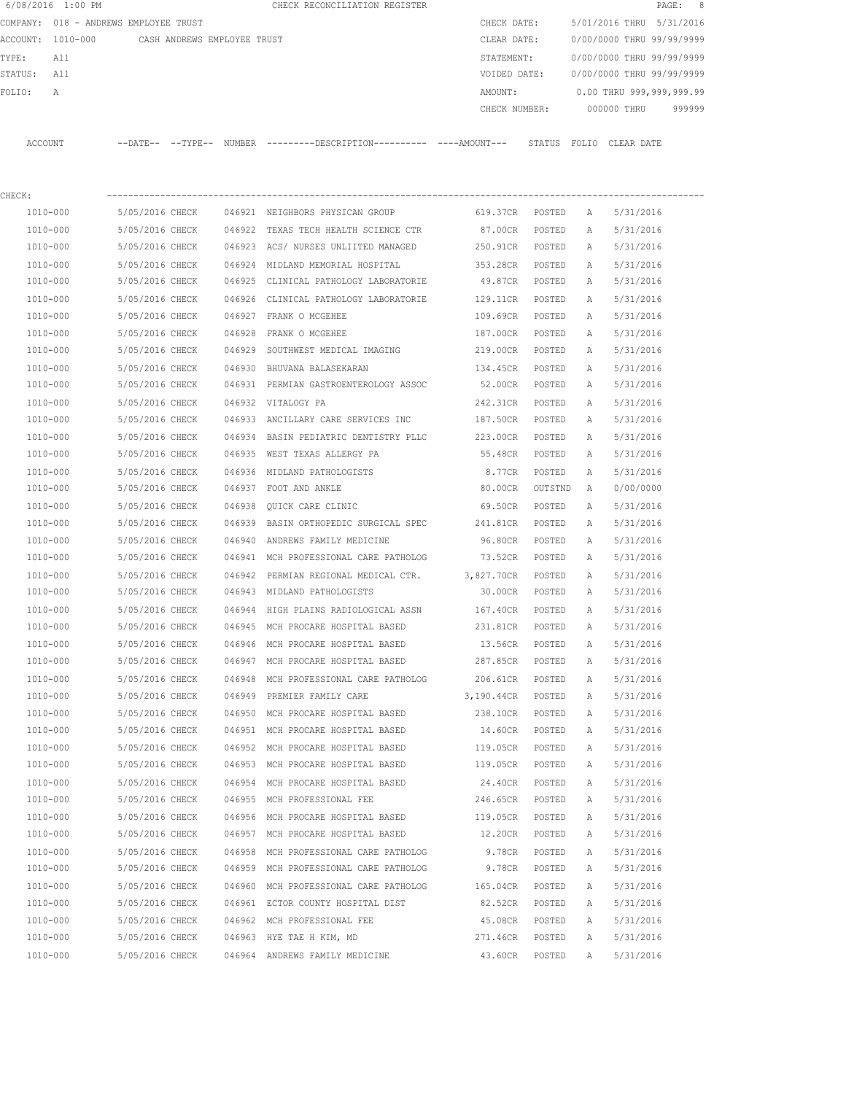|         | 6/08/2016 1:00 PM                             |                                    |        | CHECK RECONCILIATION REGISTER                                                               |                      |         |              |                           | PAGE: 8 |
|---------|-----------------------------------------------|------------------------------------|--------|---------------------------------------------------------------------------------------------|----------------------|---------|--------------|---------------------------|---------|
|         | COMPANY: 018 - ANDREWS EMPLOYEE TRUST         |                                    |        |                                                                                             | CHECK DATE:          |         |              | 5/01/2016 THRU 5/31/2016  |         |
|         | ACCOUNT: 1010-000 CASH ANDREWS EMPLOYEE TRUST |                                    |        |                                                                                             | CLEAR DATE:          |         |              | 0/00/0000 THRU 99/99/9999 |         |
| TYPE:   | All                                           |                                    |        |                                                                                             | STATEMENT:           |         |              | 0/00/0000 THRU 99/99/9999 |         |
| STATUS: | All                                           |                                    |        |                                                                                             | VOIDED DATE:         |         |              | 0/00/0000 THRU 99/99/9999 |         |
| FOLIO:  | Α                                             |                                    |        |                                                                                             | AMOUNT:              |         |              | 0.00 THRU 999,999,999.99  |         |
|         |                                               |                                    |        |                                                                                             | CHECK NUMBER:        |         |              | 000000 THRU               | 999999  |
| ACCOUNT |                                               |                                    |        | --DATE-- --TYPE-- NUMBER --------DESCRIPTION---------- ----AMOUNT--- STATUS FOLIO CLEARDATE |                      |         |              |                           |         |
|         |                                               |                                    |        |                                                                                             |                      |         |              |                           |         |
| CHECK:  |                                               |                                    |        |                                                                                             |                      |         |              |                           |         |
|         | 1010-000                                      | 5/05/2016 CHECK                    |        | 046921 NEIGHBORS PHYSICAN GROUP                                                             | 619.37CR             | POSTED  | A            | 5/31/2016                 |         |
|         | 1010-000                                      | 5/05/2016 CHECK                    | 046922 | TEXAS TECH HEALTH SCIENCE CTR                                                               | 87.00CR              | POSTED  | Α            | 5/31/2016                 |         |
|         | 1010-000                                      | 5/05/2016 CHECK                    |        | 046923 ACS/ NURSES UNLIITED MANAGED                                                         | 250.91CR             | POSTED  | Α            | 5/31/2016                 |         |
|         | 1010-000                                      | 5/05/2016 CHECK                    | 046924 | MIDLAND MEMORIAL HOSPITAL                                                                   | 353.28CR             | POSTED  | Α            | 5/31/2016                 |         |
|         | 1010-000                                      | 5/05/2016 CHECK                    |        | 046925 CLINICAL PATHOLOGY LABORATORIE                                                       | 49.87CR              | POSTED  | Α            | 5/31/2016                 |         |
|         | 1010-000                                      | 5/05/2016 CHECK<br>5/05/2016 CHECK |        | 046926 CLINICAL PATHOLOGY LABORATORIE                                                       | 129.11CR             | POSTED  | Α            | 5/31/2016                 |         |
|         | 1010-000                                      |                                    |        | 046927 FRANK O MCGEHEE                                                                      | 109.69CR             | POSTED  | Α            | 5/31/2016                 |         |
|         | 1010-000                                      | 5/05/2016 CHECK                    |        | 046928 FRANK O MCGEHEE                                                                      | 187.00CR<br>219.00CR | POSTED  | Α            | 5/31/2016<br>5/31/2016    |         |
|         | 1010-000                                      | 5/05/2016 CHECK                    |        | 046929 SOUTHWEST MEDICAL IMAGING                                                            |                      | POSTED  | Α            |                           |         |
|         | 1010-000                                      | 5/05/2016 CHECK<br>5/05/2016 CHECK | 046930 | BHUVANA BALASEKARAN<br>046931 PERMIAN GASTROENTEROLOGY ASSOC                                | 134.45CR             | POSTED  | A            | 5/31/2016                 |         |
|         | 1010-000                                      |                                    |        |                                                                                             | 52.00CR              | POSTED  | A            | 5/31/2016                 |         |
|         | 1010-000                                      | 5/05/2016 CHECK                    |        | 046932 VITALOGY PA                                                                          | 242.31CR             | POSTED  | Α            | 5/31/2016                 |         |
|         | 1010-000                                      | 5/05/2016 CHECK                    |        | 046933 ANCILLARY CARE SERVICES INC                                                          | 187.50CR             | POSTED  | A            | 5/31/2016                 |         |
|         | 1010-000                                      | 5/05/2016 CHECK                    | 046934 | BASIN PEDIATRIC DENTISTRY PLLC                                                              | 223.00CR             | POSTED  | Α            | 5/31/2016                 |         |
|         | 1010-000                                      | 5/05/2016 CHECK                    | 046935 | WEST TEXAS ALLERGY PA                                                                       | 55.48CR              | POSTED  | Α            | 5/31/2016                 |         |
|         | 1010-000                                      | 5/05/2016 CHECK                    | 046936 | MIDLAND PATHOLOGISTS                                                                        | 8.77CR               | POSTED  | Α            | 5/31/2016                 |         |
|         | 1010-000                                      | 5/05/2016 CHECK                    |        | 046937 FOOT AND ANKLE                                                                       | 80.00CR              | OUTSTND | A            | 0/00/0000                 |         |
|         | 1010-000                                      | 5/05/2016 CHECK                    | 046938 | OUICK CARE CLINIC                                                                           | 69.50CR              | POSTED  | Α            | 5/31/2016                 |         |
|         | 1010-000                                      | 5/05/2016 CHECK                    |        | 046939 BASIN ORTHOPEDIC SURGICAL SPEC                                                       | 241.81CR             | POSTED  | Α            | 5/31/2016                 |         |
|         | 1010-000                                      | 5/05/2016 CHECK                    |        | 046940 ANDREWS FAMILY MEDICINE                                                              | 96.80CR              | POSTED  | Α            | 5/31/2016                 |         |
|         | 1010-000                                      | 5/05/2016 CHECK                    |        | 046941 MCH PROFESSIONAL CARE PATHOLOG                                                       | 73.52CR              | POSTED  | Α            | 5/31/2016                 |         |
|         | 1010-000                                      | 5/05/2016 CHECK                    | 046942 | PERMIAN REGIONAL MEDICAL CTR.                                                               | 3,827.70CR           | POSTED  | A            | 5/31/2016                 |         |
|         | 1010-000                                      | 5/05/2016 CHECK                    |        | 046943 MIDLAND PATHOLOGISTS                                                                 | 30.00CR              | POSTED  | A            | 5/31/2016                 |         |
|         | $1010 - 000$                                  | 5/05/2016 CHECK                    | 046944 | HIGH PLAINS RADIOLOGICAL ASSN                                                               | 167.40CR             | POSTED  | $\mathbb{A}$ | 5/31/2016                 |         |
|         | 1010-000                                      | 5/05/2016 CHECK                    |        | 046945 MCH PROCARE HOSPITAL BASED                                                           | 231.81CR             | POSTED  | А            | 5/31/2016                 |         |
|         | $1010 - 000$                                  | 5/05/2016 CHECK                    |        | 046946 MCH PROCARE HOSPITAL BASED                                                           | 13.56CR              | POSTED  | Α            | 5/31/2016                 |         |
|         | 1010-000                                      | 5/05/2016 CHECK                    |        | 046947 MCH PROCARE HOSPITAL BASED                                                           | 287.85CR             | POSTED  | Α            | 5/31/2016                 |         |
|         | 1010-000                                      | 5/05/2016 CHECK                    | 046948 | MCH PROFESSIONAL CARE PATHOLOG                                                              | 206.61CR             | POSTED  | Α            | 5/31/2016                 |         |
|         | 1010-000                                      | 5/05/2016 CHECK                    |        | 046949 PREMIER FAMILY CARE                                                                  | 3,190.44CR           | POSTED  | Α            | 5/31/2016                 |         |
|         | 1010-000                                      | 5/05/2016 CHECK                    |        | 046950 MCH PROCARE HOSPITAL BASED                                                           | 238.10CR             | POSTED  | Α            | 5/31/2016                 |         |
|         | 1010-000                                      | 5/05/2016 CHECK                    |        | 046951 MCH PROCARE HOSPITAL BASED                                                           | 14.60CR              | POSTED  | Α            | 5/31/2016                 |         |
|         | 1010-000                                      | 5/05/2016 CHECK                    |        | 046952 MCH PROCARE HOSPITAL BASED                                                           | 119.05CR             | POSTED  | Α            | 5/31/2016                 |         |
|         | 1010-000                                      | 5/05/2016 CHECK                    |        | 046953 MCH PROCARE HOSPITAL BASED                                                           | 119.05CR             | POSTED  | Α            | 5/31/2016                 |         |
|         | 1010-000                                      | 5/05/2016 CHECK                    |        | 046954 MCH PROCARE HOSPITAL BASED                                                           | 24.40CR              | POSTED  | Α            | 5/31/2016                 |         |
|         | 1010-000                                      | 5/05/2016 CHECK                    |        | 046955 MCH PROFESSIONAL FEE                                                                 | 246.65CR             | POSTED  | Α            | 5/31/2016                 |         |
|         | 1010-000                                      | 5/05/2016 CHECK                    |        | 046956 MCH PROCARE HOSPITAL BASED                                                           | 119.05CR             | POSTED  | Α            | 5/31/2016                 |         |
|         | 1010-000                                      | 5/05/2016 CHECK                    |        | 046957 MCH PROCARE HOSPITAL BASED                                                           | 12.20CR              | POSTED  | Α            | 5/31/2016                 |         |
|         | 1010-000                                      | 5/05/2016 CHECK                    |        | 046958 MCH PROFESSIONAL CARE PATHOLOG                                                       | 9.78CR               | POSTED  | Α            | 5/31/2016                 |         |
|         | 1010-000                                      | 5/05/2016 CHECK                    |        | 046959 MCH PROFESSIONAL CARE PATHOLOG                                                       | 9.78CR               | POSTED  | Α            | 5/31/2016                 |         |

 1010-000 5/05/2016 CHECK 046960 MCH PROFESSIONAL CARE PATHOLOG 165.04CR POSTED A 5/31/2016 1010-000 5/05/2016 CHECK 046961 ECTOR COUNTY HOSPITAL DIST 82.52CR POSTED A 5/31/2016 1010-000 5/05/2016 CHECK 046962 MCH PROFESSIONAL FEE 45.08CR POSTED A 5/31/2016 1010-000 5/05/2016 CHECK 046963 HYE TAE H KIM, MD 271.46CR POSTED A 5/31/2016 1010-000 5/05/2016 CHECK 046964 ANDREWS FAMILY MEDICINE 43.60CR POSTED A 5/31/2016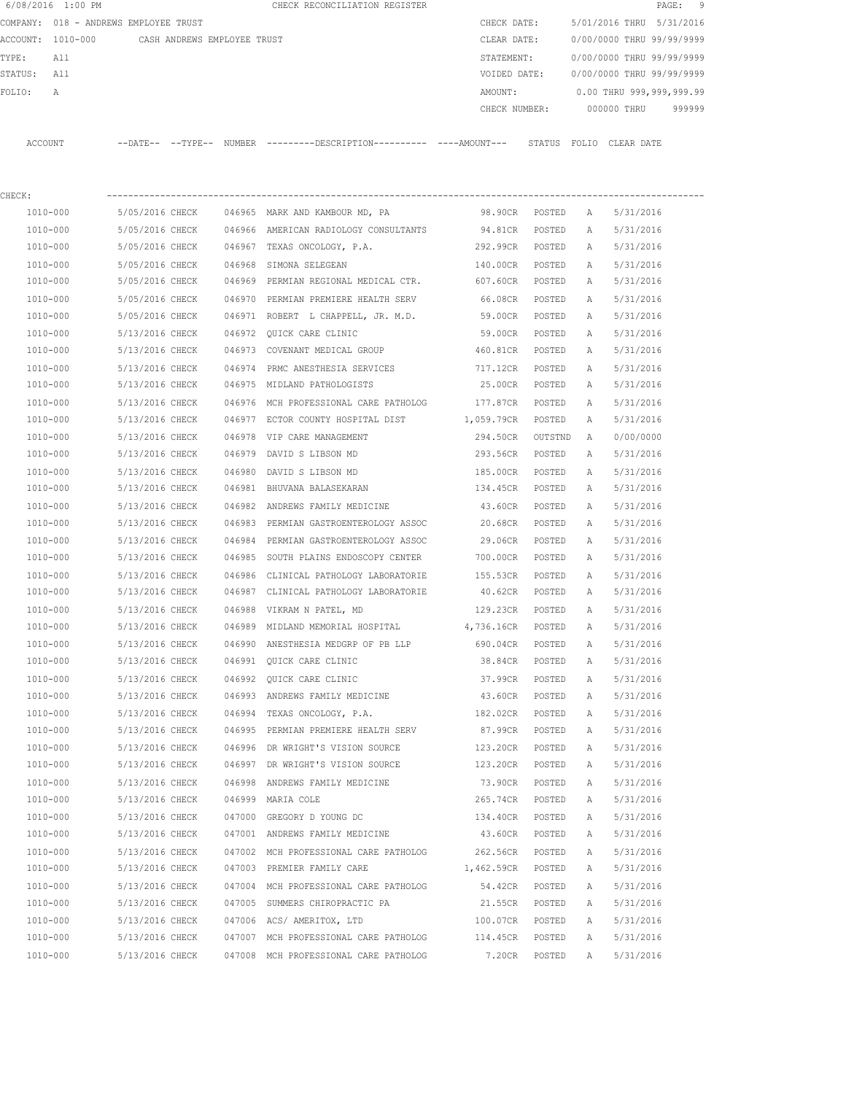|         | 6/08/2016 1:00 PM |                                       |        | CHECK RECONCILIATION REGISTER                |               |                         |             | PAGE: 9                   |  |
|---------|-------------------|---------------------------------------|--------|----------------------------------------------|---------------|-------------------------|-------------|---------------------------|--|
|         |                   | COMPANY: 018 - ANDREWS EMPLOYEE TRUST |        |                                              | CHECK DATE:   |                         |             | 5/01/2016 THRU 5/31/2016  |  |
|         | ACCOUNT: 1010-000 | CASH ANDREWS EMPLOYEE TRUST           |        |                                              | CLEAR DATE:   |                         |             | 0/00/0000 THRU 99/99/9999 |  |
| TYPE:   | All               |                                       |        |                                              | STATEMENT:    |                         |             | 0/00/0000 THRU 99/99/9999 |  |
| STATUS: | All               |                                       |        |                                              | VOIDED DATE:  |                         |             | 0/00/0000 THRU 99/99/9999 |  |
| FOLTO:  | A                 |                                       |        |                                              | AMOUNT:       |                         |             | 0.00 THRU 999,999,999.99  |  |
|         |                   |                                       |        |                                              | CHECK NUMBER: |                         | 000000 THRU | 999999                    |  |
|         |                   |                                       |        |                                              |               |                         |             |                           |  |
| ACCOUNT |                   | $---DATF------TYPF---$                | NUMBER | ---------DESCRIPTION---------- ----AMOUNT--- |               | STATUS FOLIO CLEAR DATE |             |                           |  |
|         |                   |                                       |        |                                              |               |                         |             |                           |  |

| CHECK:   |                 |        |                                                |            |         |   |           |
|----------|-----------------|--------|------------------------------------------------|------------|---------|---|-----------|
| 1010-000 | 5/05/2016 CHECK |        | 046965 MARK AND KAMBOUR MD, PA                 | 98.90CR    | POSTED  | A | 5/31/2016 |
| 1010-000 | 5/05/2016 CHECK |        | 046966 AMERICAN RADIOLOGY CONSULTANTS 94.81CR  |            | POSTED  | A | 5/31/2016 |
| 1010-000 | 5/05/2016 CHECK |        | 046967 TEXAS ONCOLOGY, P.A.                    | 292.99CR   | POSTED  | Α | 5/31/2016 |
| 1010-000 | 5/05/2016 CHECK | 046968 | SIMONA SELEGEAN                                | 140.00CR   | POSTED  | Α | 5/31/2016 |
| 1010-000 | 5/05/2016 CHECK |        | 046969 PERMIAN REGIONAL MEDICAL CTR. 607.60CR  |            | POSTED  | Α | 5/31/2016 |
| 1010-000 | 5/05/2016 CHECK | 046970 | PERMIAN PREMIERE HEALTH SERV                   | 66.08CR    | POSTED  | Α | 5/31/2016 |
| 1010-000 | 5/05/2016 CHECK |        | 046971 ROBERT L CHAPPELL, JR. M.D.             | 59.00CR    | POSTED  | Α | 5/31/2016 |
| 1010-000 | 5/13/2016 CHECK |        | 046972 QUICK CARE CLINIC                       | 59.00CR    | POSTED  | Α | 5/31/2016 |
| 1010-000 | 5/13/2016 CHECK |        | 046973 COVENANT MEDICAL GROUP                  | 460.81CR   | POSTED  | Α | 5/31/2016 |
| 1010-000 | 5/13/2016 CHECK |        | 046974 PRMC ANESTHESIA SERVICES                | 717.12CR   | POSTED  | A | 5/31/2016 |
| 1010-000 | 5/13/2016 CHECK |        | 046975 MIDLAND PATHOLOGISTS                    | 25.00CR    | POSTED  | A | 5/31/2016 |
| 1010-000 | 5/13/2016 CHECK |        | 046976 MCH PROFESSIONAL CARE PATHOLOG 177.87CR |            | POSTED  | Α | 5/31/2016 |
| 1010-000 | 5/13/2016 CHECK |        | 046977 ECTOR COUNTY HOSPITAL DIST 1,059.79CR   |            | POSTED  | Α | 5/31/2016 |
| 1010-000 | 5/13/2016 CHECK |        | 046978 VIP CARE MANAGEMENT                     | 294.50CR   | OUTSTND | A | 0/00/0000 |
| 1010-000 | 5/13/2016 CHECK | 046979 | DAVID S LIBSON MD                              | 293.56CR   | POSTED  | Α | 5/31/2016 |
| 1010-000 | 5/13/2016 CHECK | 046980 | DAVID S LIBSON MD                              | 185.00CR   | POSTED  | Α | 5/31/2016 |
| 1010-000 | 5/13/2016 CHECK |        | 046981 BHUVANA BALASEKARAN                     | 134.45CR   | POSTED  | Α | 5/31/2016 |
| 1010-000 | 5/13/2016 CHECK |        | 046982 ANDREWS FAMILY MEDICINE                 | 43.60CR    | POSTED  | Α | 5/31/2016 |
| 1010-000 | 5/13/2016 CHECK |        | 046983 PERMIAN GASTROENTEROLOGY ASSOC          | 20.68CR    | POSTED  | Α | 5/31/2016 |
| 1010-000 | 5/13/2016 CHECK |        | 046984 PERMIAN GASTROENTEROLOGY ASSOC          | 29.06CR    | POSTED  | Α | 5/31/2016 |
| 1010-000 | 5/13/2016 CHECK |        | 046985 SOUTH PLAINS ENDOSCOPY CENTER           | 700.00CR   | POSTED  | Α | 5/31/2016 |
| 1010-000 | 5/13/2016 CHECK |        | 046986 CLINICAL PATHOLOGY LABORATORIE          | 155.53CR   | POSTED  | Α | 5/31/2016 |
| 1010-000 | 5/13/2016 CHECK |        | 046987 CLINICAL PATHOLOGY LABORATORIE          | 40.62CR    | POSTED  | A | 5/31/2016 |
| 1010-000 | 5/13/2016 CHECK |        | 046988 VIKRAM N PATEL, MD                      | 129.23CR   | POSTED  | Α | 5/31/2016 |
| 1010-000 | 5/13/2016 CHECK |        | 046989 MIDLAND MEMORIAL HOSPITAL 4,736.16CR    |            | POSTED  | Α | 5/31/2016 |
| 1010-000 | 5/13/2016 CHECK |        | 046990 ANESTHESIA MEDGRP OF PB LLP             | 690.04CR   | POSTED  | Α | 5/31/2016 |
| 1010-000 | 5/13/2016 CHECK |        | 046991 QUICK CARE CLINIC                       | 38.84CR    | POSTED  | Α | 5/31/2016 |
| 1010-000 | 5/13/2016 CHECK | 046992 | QUICK CARE CLINIC                              | 37.99CR    | POSTED  | Α | 5/31/2016 |
| 1010-000 | 5/13/2016 CHECK |        | 046993 ANDREWS FAMILY MEDICINE 43.60CR         |            | POSTED  | Α | 5/31/2016 |
| 1010-000 | 5/13/2016 CHECK | 046994 | TEXAS ONCOLOGY, P.A.                           | 182.02CR   | POSTED  | Α | 5/31/2016 |
| 1010-000 | 5/13/2016 CHECK | 046995 | PERMIAN PREMIERE HEALTH SERV                   | 87.99CR    | POSTED  | Α | 5/31/2016 |
| 1010-000 | 5/13/2016 CHECK | 046996 | DR WRIGHT'S VISION SOURCE                      | 123.20CR   | POSTED  | Α | 5/31/2016 |
| 1010-000 | 5/13/2016 CHECK |        | 046997 DR WRIGHT'S VISION SOURCE               | 123.20CR   | POSTED  | Α | 5/31/2016 |
| 1010-000 | 5/13/2016 CHECK |        | 046998 ANDREWS FAMILY MEDICINE                 | 73.90CR    | POSTED  | A | 5/31/2016 |
| 1010-000 | 5/13/2016 CHECK |        | 046999 MARIA COLE                              | 265.74CR   | POSTED  | Α | 5/31/2016 |
| 1010-000 | 5/13/2016 CHECK |        | 047000 GREGORY D YOUNG DC                      | 134.40CR   | POSTED  | Α | 5/31/2016 |
| 1010-000 | 5/13/2016 CHECK |        | 047001 ANDREWS FAMILY MEDICINE                 | 43.60CR    | POSTED  | Α | 5/31/2016 |
| 1010-000 | 5/13/2016 CHECK |        | 047002 MCH PROFESSIONAL CARE PATHOLOG          | 262.56CR   | POSTED  | Α | 5/31/2016 |
| 1010-000 | 5/13/2016 CHECK |        | 047003 PREMIER FAMILY CARE                     | 1,462.59CR | POSTED  | Α | 5/31/2016 |
| 1010-000 | 5/13/2016 CHECK |        | 047004 MCH PROFESSIONAL CARE PATHOLOG          | 54.42CR    | POSTED  | Α | 5/31/2016 |
| 1010-000 | 5/13/2016 CHECK | 047005 | SUMMERS CHIROPRACTIC PA                        | 21.55CR    | POSTED  | Α | 5/31/2016 |
| 1010-000 | 5/13/2016 CHECK |        | 047006 ACS/AMERITOX, LTD                       | 100.07CR   | POSTED  | Α | 5/31/2016 |
| 1010-000 | 5/13/2016 CHECK |        | 047007 MCH PROFESSIONAL CARE PATHOLOG          | 114.45CR   | POSTED  | Α | 5/31/2016 |
| 1010-000 | 5/13/2016 CHECK |        | 047008 MCH PROFESSIONAL CARE PATHOLOG          | 7.20CR     | POSTED  | Α | 5/31/2016 |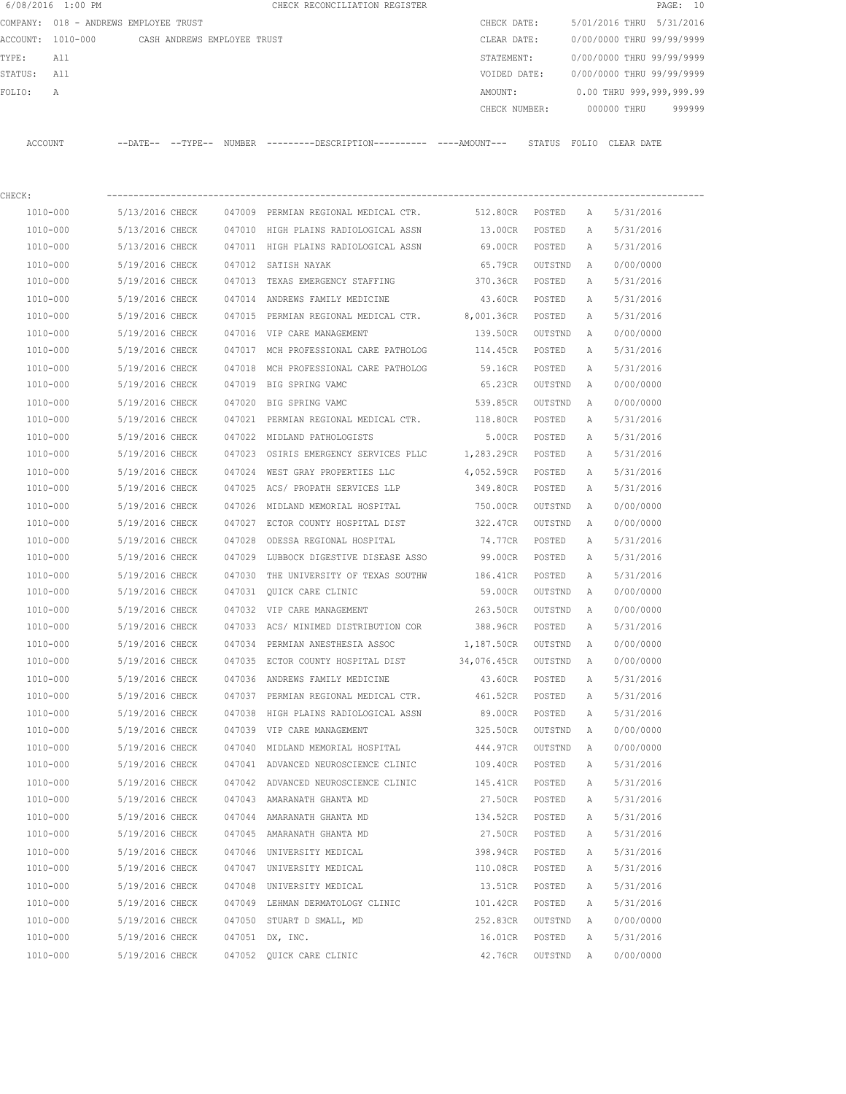|         | 6/08/2016 1:00 PM                             |                 |        | CHECK RECONCILIATION REGISTER                                                                |               |         |              |                           | PAGE: 10 |
|---------|-----------------------------------------------|-----------------|--------|----------------------------------------------------------------------------------------------|---------------|---------|--------------|---------------------------|----------|
|         | COMPANY: 018 - ANDREWS EMPLOYEE TRUST         |                 |        |                                                                                              | CHECK DATE:   |         |              | 5/01/2016 THRU 5/31/2016  |          |
|         | ACCOUNT: 1010-000 CASH ANDREWS EMPLOYEE TRUST |                 |        |                                                                                              | CLEAR DATE:   |         |              | 0/00/0000 THRU 99/99/9999 |          |
| TYPE:   | All                                           |                 |        |                                                                                              | STATEMENT:    |         |              | 0/00/0000 THRU 99/99/9999 |          |
| STATUS: | All                                           |                 |        |                                                                                              | VOIDED DATE:  |         |              | 0/00/0000 THRU 99/99/9999 |          |
| FOLIO:  | Α                                             |                 |        |                                                                                              | AMOUNT:       |         |              | 0.00 THRU 999,999,999.99  |          |
|         |                                               |                 |        |                                                                                              | CHECK NUMBER: |         |              | 000000 THRU               | 999999   |
| ACCOUNT |                                               |                 |        | --DATE-- --TYPE-- NUMBER --------DESCRIPTION---------- ----AMOUNT--- STATUS FOLIO CLEAR DATE |               |         |              |                           |          |
|         |                                               |                 |        |                                                                                              |               |         |              |                           |          |
| CHECK:  |                                               |                 |        |                                                                                              |               |         |              |                           |          |
|         | 1010-000                                      | 5/13/2016 CHECK |        | 047009 PERMIAN REGIONAL MEDICAL CTR.                                                         | 512.80CR      | POSTED  | A            | 5/31/2016                 |          |
|         | 1010-000                                      | 5/13/2016 CHECK |        | 047010 HIGH PLAINS RADIOLOGICAL ASSN                                                         | 13.00CR       | POSTED  | A            | 5/31/2016                 |          |
|         | 1010-000                                      | 5/13/2016 CHECK |        | 047011 HIGH PLAINS RADIOLOGICAL ASSN                                                         | 69.00CR       | POSTED  | А            | 5/31/2016                 |          |
|         | 1010-000                                      | 5/19/2016 CHECK | 047012 | SATISH NAYAK                                                                                 | 65.79CR       | OUTSTND | Α            | 0/00/0000                 |          |
|         | 1010-000                                      | 5/19/2016 CHECK | 047013 | TEXAS EMERGENCY STAFFING                                                                     | 370.36CR      | POSTED  | Α            | 5/31/2016                 |          |
|         | 1010-000                                      | 5/19/2016 CHECK | 047014 | ANDREWS FAMILY MEDICINE                                                                      | 43.60CR       | POSTED  | Α            | 5/31/2016                 |          |
|         | 1010-000                                      | 5/19/2016 CHECK | 047015 | PERMIAN REGIONAL MEDICAL CTR.                                                                | 8,001.36CR    | POSTED  | Α            | 5/31/2016                 |          |
|         | 1010-000                                      | 5/19/2016 CHECK | 047016 | VIP CARE MANAGEMENT                                                                          | 139.50CR      | OUTSTND | A            | 0/00/0000                 |          |
|         | 1010-000                                      | 5/19/2016 CHECK |        | 047017 MCH PROFESSIONAL CARE PATHOLOG                                                        | 114.45CR      | POSTED  | A            | 5/31/2016                 |          |
|         | 1010-000                                      | 5/19/2016 CHECK | 047018 | MCH PROFESSIONAL CARE PATHOLOG                                                               | 59.16CR       | POSTED  | A            | 5/31/2016                 |          |
|         | 1010-000                                      | 5/19/2016 CHECK |        | 047019 BIG SPRING VAMC                                                                       | 65.23CR       | OUTSTND | A            | 0/00/0000                 |          |
|         | 1010-000                                      | 5/19/2016 CHECK | 047020 | BIG SPRING VAMC                                                                              | 539.85CR      | OUTSTND | Α            | 0/00/0000                 |          |
|         | 1010-000                                      | 5/19/2016 CHECK | 047021 | PERMIAN REGIONAL MEDICAL CTR. 118.80CR                                                       |               | POSTED  | A            | 5/31/2016                 |          |
|         | 1010-000                                      | 5/19/2016 CHECK | 047022 | MIDLAND PATHOLOGISTS                                                                         | 5.00CR        | POSTED  | A            | 5/31/2016                 |          |
|         | 1010-000                                      | 5/19/2016 CHECK |        | 047023 OSIRIS EMERGENCY SERVICES PLLC 1,283.29CR                                             |               | POSTED  | A            | 5/31/2016                 |          |
|         | 1010-000                                      | 5/19/2016 CHECK | 047024 | WEST GRAY PROPERTIES LLC                                                                     | 4,052.59CR    | POSTED  | Α            | 5/31/2016                 |          |
|         | 1010-000                                      | 5/19/2016 CHECK | 047025 | ACS/ PROPATH SERVICES LLP                                                                    | 349.80CR      | POSTED  | Α            | 5/31/2016                 |          |
|         | 1010-000                                      | 5/19/2016 CHECK | 047026 | MIDLAND MEMORIAL HOSPITAL                                                                    | 750.00CR      | OUTSTND | Α            | 0/00/0000                 |          |
|         | 1010-000                                      | 5/19/2016 CHECK | 047027 | ECTOR COUNTY HOSPITAL DIST                                                                   | 322.47CR      | OUTSTND | Α            | 0/00/0000                 |          |
|         | 1010-000                                      | 5/19/2016 CHECK | 047028 | ODESSA REGIONAL HOSPITAL                                                                     | 74.77CR       | POSTED  | Α            | 5/31/2016                 |          |
|         | 1010-000                                      | 5/19/2016 CHECK | 047029 | LUBBOCK DIGESTIVE DISEASE ASSO                                                               | 99.00CR       | POSTED  | A            | 5/31/2016                 |          |
|         | 1010-000                                      | 5/19/2016 CHECK | 047030 | THE UNIVERSITY OF TEXAS SOUTHW                                                               | 186.41CR      | POSTED  | A            | 5/31/2016                 |          |
|         | 1010-000                                      | 5/19/2016 CHECK |        | 047031 QUICK CARE CLINIC                                                                     | 59.00CR       | OUTSTND | A            | 0/00/0000                 |          |
|         | 1010-000                                      | 5/19/2016 CHECK |        | 047032 VIP CARE MANAGEMENT                                                                   | 263.50CR      | OUTSTND | $\mathbb{A}$ | 0/00/0000                 |          |
|         | $1010 - 000$                                  | 5/19/2016 CHECK |        | 047033 ACS/ MINIMED DISTRIBUTION COR                                                         | 388.96CR      | POSTED  | Α            | 5/31/2016                 |          |
|         | 1010-000                                      | 5/19/2016 CHECK |        | 047034 PERMIAN ANESTHESIA ASSOC                                                              | 1,187.50CR    | OUTSTND | Α            | 0/00/0000                 |          |
|         | 1010-000                                      | 5/19/2016 CHECK |        | 047035 ECTOR COUNTY HOSPITAL DIST                                                            | 34,076.45CR   | OUTSTND | Α            | 0/00/0000                 |          |
|         | $1010 - 000$                                  | 5/19/2016 CHECK |        | 047036 ANDREWS FAMILY MEDICINE                                                               | 43.60CR       | POSTED  | Α            | 5/31/2016                 |          |
|         | 1010-000                                      | 5/19/2016 CHECK |        | 047037 PERMIAN REGIONAL MEDICAL CTR.                                                         | 461.52CR      | POSTED  | Α            | 5/31/2016                 |          |
|         | $1010 - 000$                                  | 5/19/2016 CHECK |        | 047038 HIGH PLAINS RADIOLOGICAL ASSN                                                         | 89.00CR       | POSTED  | Α            | 5/31/2016                 |          |
|         | $1010 - 000$                                  | 5/19/2016 CHECK |        | 047039 VIP CARE MANAGEMENT                                                                   | 325.50CR      | OUTSTND | Α            | 0/00/0000                 |          |
|         | 1010-000                                      | 5/19/2016 CHECK |        | 047040 MIDLAND MEMORIAL HOSPITAL                                                             | 444.97CR      | OUTSTND | Α            | 0/00/0000                 |          |
|         | 1010-000                                      | 5/19/2016 CHECK |        | 047041 ADVANCED NEUROSCIENCE CLINIC                                                          | 109.40CR      | POSTED  | Α            | 5/31/2016                 |          |
|         | 1010-000                                      | 5/19/2016 CHECK |        | 047042 ADVANCED NEUROSCIENCE CLINIC                                                          | 145.41CR      | POSTED  | Α            | 5/31/2016                 |          |
|         | 1010-000                                      | 5/19/2016 CHECK |        | 047043 AMARANATH GHANTA MD                                                                   | 27.50CR       | POSTED  | Α            | 5/31/2016                 |          |
|         | 1010-000                                      | 5/19/2016 CHECK |        | 047044 AMARANATH GHANTA MD                                                                   | 134.52CR      | POSTED  | Α            | 5/31/2016                 |          |
|         | 1010-000                                      | 5/19/2016 CHECK |        | 047045 AMARANATH GHANTA MD                                                                   | 27.50CR       | POSTED  | Α            | 5/31/2016                 |          |
|         | 1010-000                                      | 5/19/2016 CHECK |        | 047046 UNIVERSITY MEDICAL                                                                    | 398.94CR      | POSTED  | Α            | 5/31/2016                 |          |
|         | 1010-000                                      | 5/19/2016 CHECK |        | 047047 UNIVERSITY MEDICAL                                                                    | 110.08CR      | POSTED  | Α            | 5/31/2016                 |          |
|         |                                               |                 |        |                                                                                              |               |         |              |                           |          |

 1010-000 5/19/2016 CHECK 047048 UNIVERSITY MEDICAL 13.51CR POSTED A 5/31/2016 1010-000 5/19/2016 CHECK 047049 LEHMAN DERMATOLOGY CLINIC 101.42CR POSTED A 5/31/2016 1010-000 5/19/2016 CHECK 047050 STUART D SMALL, MD 252.83CR OUTSTND A 0/00/0000 1010-000 5/19/2016 CHECK 047051 DX, INC. 16.01CR POSTED A 5/31/2016 1010-000 5/19/2016 CHECK 047052 QUICK CARE CLINIC 42.76CR OUTSTND A 0/00/0000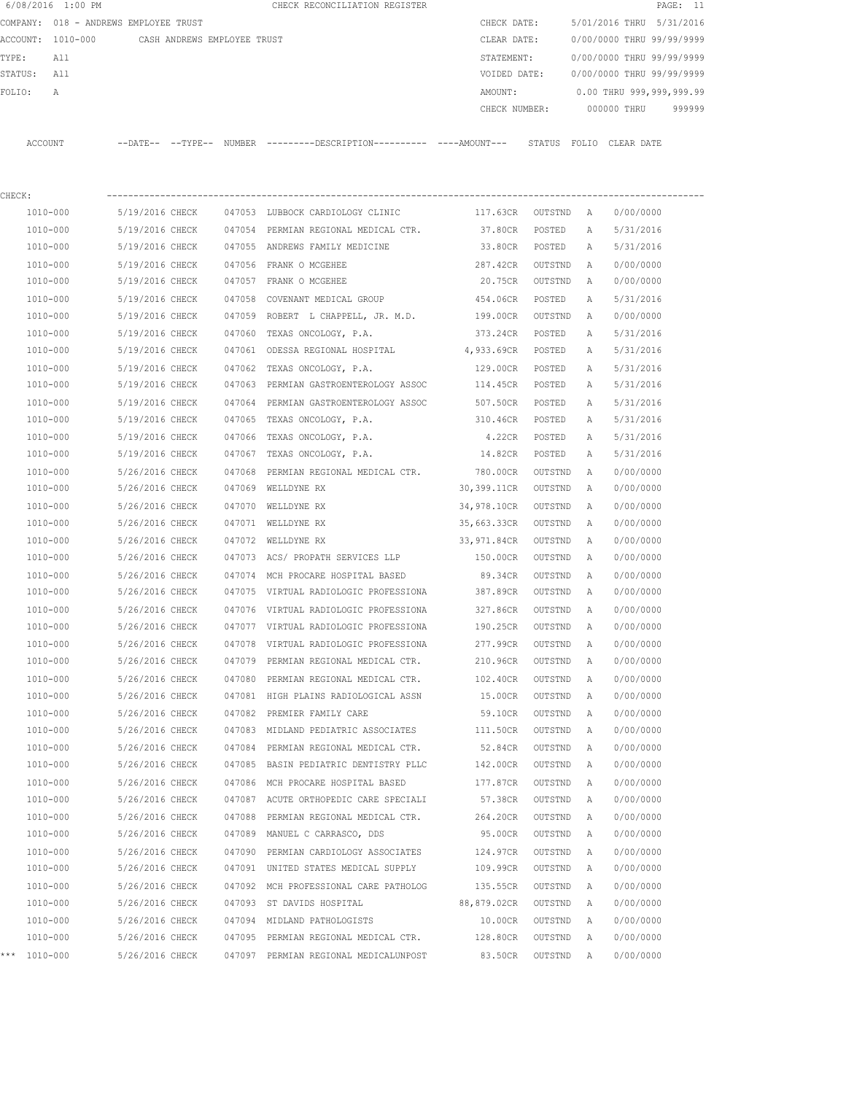|         | 6/08/2016 1:00 PM                             |                 |        | CHECK RECONCILIATION REGISTER                                                                 |                    |         |   | PAGE: 11                            |
|---------|-----------------------------------------------|-----------------|--------|-----------------------------------------------------------------------------------------------|--------------------|---------|---|-------------------------------------|
|         | COMPANY: 018 - ANDREWS EMPLOYEE TRUST         |                 |        |                                                                                               | CHECK DATE:        |         |   | 5/01/2016 THRU 5/31/2016            |
|         | ACCOUNT: 1010-000 CASH ANDREWS EMPLOYEE TRUST |                 |        |                                                                                               | CLEAR DATE:        |         |   | 0/00/0000 THRU 99/99/9999           |
| TYPE:   | All                                           |                 |        |                                                                                               | STATEMENT:         |         |   | 0/00/0000 THRU 99/99/9999           |
| STATUS: | All                                           |                 |        |                                                                                               | VOIDED DATE:       |         |   | 0/00/0000 THRU 99/99/9999           |
| FOLIO:  | Α                                             |                 |        |                                                                                               | AMOUNT:            |         |   | 0.00 THRU 999,999,999.99            |
|         |                                               |                 |        |                                                                                               |                    |         |   | CHECK NUMBER: 000000 THRU<br>999999 |
|         | ACCOUNT                                       |                 |        | --DATE-- --TYPE-- NUMBER ---------DESCRIPTION---------- ----AMOUNT--- STATUS FOLIO CLEAR-DATE |                    |         |   |                                     |
|         |                                               |                 |        |                                                                                               |                    |         |   |                                     |
|         |                                               |                 |        |                                                                                               |                    |         |   |                                     |
| CHECK:  |                                               |                 |        |                                                                                               |                    |         |   |                                     |
|         | 1010-000                                      | 5/19/2016 CHECK |        | 047053 LUBBOCK CARDIOLOGY CLINIC                                                              | 117.63CR OUTSTND A |         |   | 0/00/0000                           |
|         | 1010-000                                      | 5/19/2016 CHECK |        | 047054 PERMIAN REGIONAL MEDICAL CTR.                                                          | 37.80CR            | POSTED  | A | 5/31/2016                           |
|         | 1010-000                                      | 5/19/2016 CHECK |        | 047055 ANDREWS FAMILY MEDICINE                                                                | 33.80CR            | POSTED  | A | 5/31/2016                           |
|         | 1010-000                                      | 5/19/2016 CHECK |        | 047056 FRANK O MCGEHEE                                                                        | 287.42CR           | OUTSTND | A | 0/00/0000                           |
|         | 1010-000                                      | 5/19/2016 CHECK |        | 047057 FRANK O MCGEHEE                                                                        | 20.75CR            | OUTSTND | A | 0/00/0000                           |
|         | 1010-000                                      | 5/19/2016 CHECK | 047058 | COVENANT MEDICAL GROUP                                                                        | 454.06CR           | POSTED  | Α | 5/31/2016                           |
|         | 1010-000                                      | 5/19/2016 CHECK |        | 047059 ROBERT L CHAPPELL, JR. M.D. 199.00CR                                                   |                    | OUTSTND | Α | 0/00/0000                           |
|         | 1010-000                                      | 5/19/2016 CHECK | 047060 | TEXAS ONCOLOGY, P.A.                                                                          | 373.24CR           | POSTED  | A | 5/31/2016                           |
|         | 1010-000                                      | 5/19/2016 CHECK |        | 047061 ODESSA REGIONAL HOSPITAL 4,933.69CR                                                    |                    | POSTED  | A | 5/31/2016                           |
|         | 1010-000                                      | 5/19/2016 CHECK |        | 047062 TEXAS ONCOLOGY, P.A.                                                                   | 129.00CR           | POSTED  | Α | 5/31/2016                           |
|         | 1010-000                                      | 5/19/2016 CHECK |        | 047063 PERMIAN GASTROENTEROLOGY ASSOC                                                         | 114.45CR           | POSTED  | Α | 5/31/2016                           |
|         | 1010-000                                      | 5/19/2016 CHECK |        | 047064 PERMIAN GASTROENTEROLOGY ASSOC                                                         | 507.50CR           | POSTED  | Α | 5/31/2016                           |
|         | 1010-000                                      | 5/19/2016 CHECK |        | 047065 TEXAS ONCOLOGY, P.A.                                                                   | 310.46CR           | POSTED  | Α | 5/31/2016                           |
|         | 1010-000                                      | 5/19/2016 CHECK | 047066 | TEXAS ONCOLOGY, P.A.                                                                          | 4.22CR             | POSTED  | A | 5/31/2016                           |
|         | 1010-000                                      | 5/19/2016 CHECK |        | 047067 TEXAS ONCOLOGY, P.A.                                                                   | 14.82CR            | POSTED  | A | 5/31/2016                           |
|         | 1010-000                                      | 5/26/2016 CHECK | 047068 | PERMIAN REGIONAL MEDICAL CTR.                                                                 | 780.00CR           | OUTSTND | A | 0/00/0000                           |
|         | 1010-000                                      | 5/26/2016 CHECK | 047069 | WELLDYNE RX                                                                                   | 30,399.11CR        | OUTSTND | A | 0/00/0000                           |
|         | 1010-000                                      | 5/26/2016 CHECK |        | 047070 WELLDYNE RX                                                                            | 34,978.10CR        | OUTSTND | Α | 0/00/0000                           |
|         | 1010-000                                      | 5/26/2016 CHECK |        | 047071 WELLDYNE RX                                                                            | 35,663.33CR        | OUTSTND | Α | 0/00/0000                           |
|         | 1010-000                                      | 5/26/2016 CHECK |        | 047072 WELLDYNE RX                                                                            | 33,971.84CR        | OUTSTND | A | 0/00/0000                           |
|         | 1010-000                                      | 5/26/2016 CHECK |        | 047073 ACS/ PROPATH SERVICES LLP 150.00CR                                                     |                    | OUTSTND | A | 0/00/0000                           |
|         | 1010-000                                      | 5/26/2016 CHECK | 047074 | MCH PROCARE HOSPITAL BASED                                                                    | 89.34CR            | OUTSTND | A | 0/00/0000                           |
|         | 1010-000                                      | 5/26/2016 CHECK |        | 047075 VIRTUAL RADIOLOGIC PROFESSIONA 387.89CR                                                |                    | OUTSTND | A | 0/00/0000                           |
|         | $1010 - 000$                                  | 5/26/2016 CHECK |        | 047076 VIRTUAL RADIOLOGIC PROFESSIONA                                                         | 327.86CR           | OUTSTND | A | 0/00/0000                           |
|         | 1010-000                                      | 5/26/2016 CHECK |        | 047077 VIRTUAL RADIOLOGIC PROFESSIONA                                                         | 190.25CR           | OUTSTND | Α | 0/00/0000                           |
|         | 1010-000                                      | 5/26/2016 CHECK |        | 047078 VIRTUAL RADIOLOGIC PROFESSIONA                                                         | 277.99CR           | OUTSTND | Α | 0/00/0000                           |
|         | 1010-000                                      | 5/26/2016 CHECK |        | 047079 PERMIAN REGIONAL MEDICAL CTR.                                                          | 210.96CR           | OUTSTND | Α | 0/00/0000                           |
|         | 1010-000                                      | 5/26/2016 CHECK | 047080 | PERMIAN REGIONAL MEDICAL CTR.                                                                 | 102.40CR           | OUTSTND | Α | 0/00/0000                           |
|         | 1010-000                                      | 5/26/2016 CHECK |        | 047081 HIGH PLAINS RADIOLOGICAL ASSN                                                          | 15.00CR            | OUTSTND | Α | 0/00/0000                           |
|         | $1010 - 000$                                  | 5/26/2016 CHECK |        | 047082 PREMIER FAMILY CARE                                                                    | 59.10CR            | OUTSTND | Α | 0/00/0000                           |
|         | 1010-000                                      | 5/26/2016 CHECK |        | 047083 MIDLAND PEDIATRIC ASSOCIATES                                                           | 111.50CR           | OUTSTND | Α | 0/00/0000                           |
|         | 1010-000                                      | 5/26/2016 CHECK |        | 047084 PERMIAN REGIONAL MEDICAL CTR.                                                          | 52.84CR            | OUTSTND | Α | 0/00/0000                           |
|         | 1010-000                                      | 5/26/2016 CHECK |        | 047085 BASIN PEDIATRIC DENTISTRY PLLC                                                         | 142.00CR           | OUTSTND | Α | 0/00/0000                           |
|         | 1010-000                                      | 5/26/2016 CHECK |        | 047086 MCH PROCARE HOSPITAL BASED                                                             | 177.87CR           | OUTSTND | Α | 0/00/0000                           |
|         | 1010-000                                      | 5/26/2016 CHECK |        | 047087 ACUTE ORTHOPEDIC CARE SPECIALI                                                         | 57.38CR            | OUTSTND | Α | 0/00/0000                           |
|         | 1010-000                                      | 5/26/2016 CHECK |        | 047088 PERMIAN REGIONAL MEDICAL CTR.                                                          | 264.20CR           | OUTSTND | Α | 0/00/0000                           |
|         | 1010-000                                      | 5/26/2016 CHECK |        | 047089 MANUEL C CARRASCO, DDS                                                                 | 95.00CR            | OUTSTND | Α | 0/00/0000                           |
|         | 1010-000                                      | 5/26/2016 CHECK |        | 047090 PERMIAN CARDIOLOGY ASSOCIATES                                                          | 124.97CR           | OUTSTND | Α | 0/00/0000                           |
|         |                                               |                 |        |                                                                                               |                    |         |   |                                     |

 1010-000 5/26/2016 CHECK 047091 UNITED STATES MEDICAL SUPPLY 109.99CR OUTSTND A 0/00/0000 1010-000 5/26/2016 CHECK 047092 MCH PROFESSIONAL CARE PATHOLOG 135.55CR OUTSTND A 0/00/0000 1010-000 5/26/2016 CHECK 047093 ST DAVIDS HOSPITAL 88,879.02CR OUTSTND A 0/00/0000 1010-000 5/26/2016 CHECK 047094 MIDLAND PATHOLOGISTS 10.00CR OUTSTND A 0/00/0000 1010-000 5/26/2016 CHECK 047095 PERMIAN REGIONAL MEDICAL CTR. 128.80CR OUTSTND A 0/00/0000 \*\*\* 1010-000 5/26/2016 CHECK 047097 PERMIAN REGIONAL MEDICALUNPOST 83.50CR OUTSTND A 0/00/0000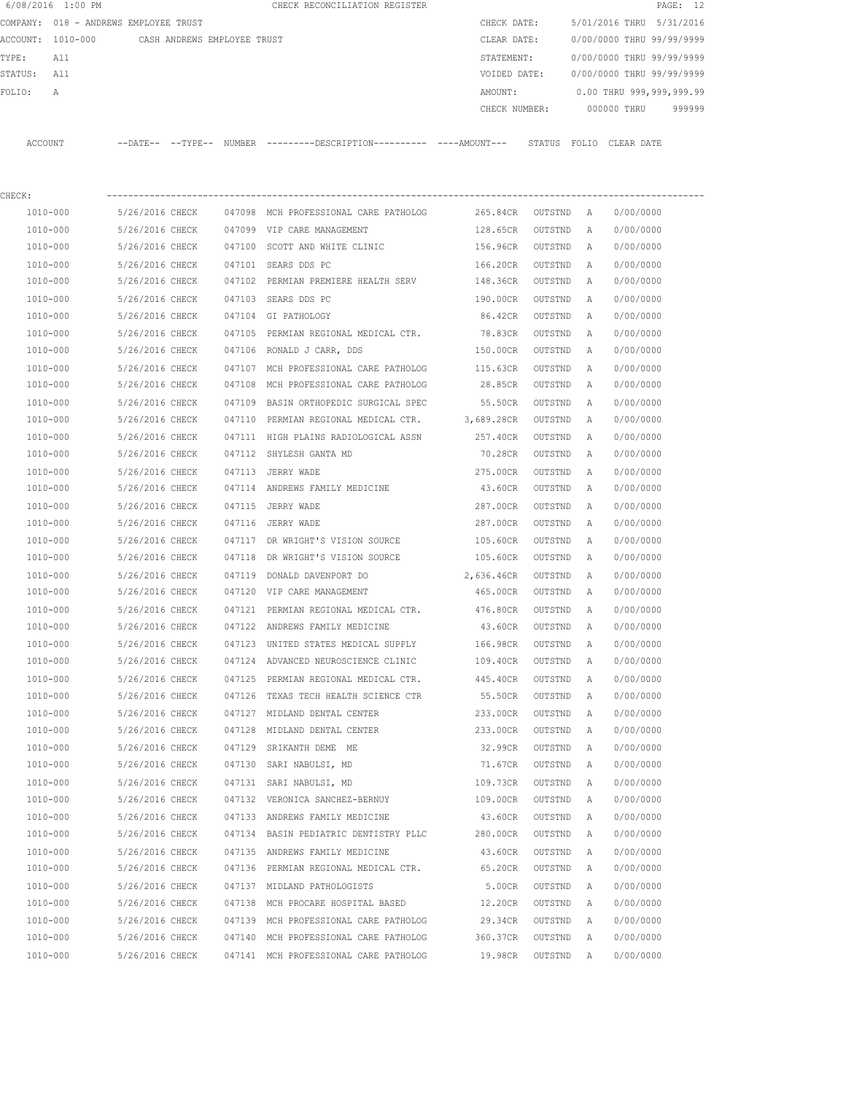|             | 6/08/2016 1:00 PM    |                                       |        | CHECK RECONCILIATION REGISTER                                                              |                       |                    |                   |                           | PAGE: 12 |
|-------------|----------------------|---------------------------------------|--------|--------------------------------------------------------------------------------------------|-----------------------|--------------------|-------------------|---------------------------|----------|
|             |                      | COMPANY: 018 - ANDREWS EMPLOYEE TRUST |        |                                                                                            | CHECK DATE:           |                    |                   | 5/01/2016 THRU 5/31/2016  |          |
|             | ACCOUNT: 1010-000    | CASH ANDREWS EMPLOYEE TRUST           |        |                                                                                            | CLEAR DATE:           |                    |                   | 0/00/0000 THRU 99/99/9999 |          |
| TYPE:       | All                  |                                       |        |                                                                                            | STATEMENT:            |                    |                   | 0/00/0000 THRU 99/99/9999 |          |
| STATUS: All |                      |                                       |        |                                                                                            | VOIDED DATE:          |                    |                   | 0/00/0000 THRU 99/99/9999 |          |
| FOLIO:      | Α                    |                                       |        |                                                                                            | AMOUNT:               |                    |                   | 0.00 THRU 999,999,999.99  |          |
|             |                      |                                       |        |                                                                                            |                       |                    |                   | CHECK NUMBER: 000000 THRU | 999999   |
| ACCOUNT     |                      |                                       |        | --DATE-- --TYPE-- NUMBER --------DESCRIPTION--------- ---AMOUNT--- STATUS FOLIO CLEAR DATE |                       |                    |                   |                           |          |
|             |                      |                                       |        |                                                                                            |                       |                    |                   |                           |          |
| CHECK:      | 1010-000             | 5/26/2016 CHECK                       |        | 047098 MCH PROFESSIONAL CARE PATHOLOG                                                      | 265.84CR              | OUTSTND A          |                   | 0/00/0000                 |          |
|             | 1010-000             | 5/26/2016 CHECK                       |        | 047099 VIP CARE MANAGEMENT                                                                 | 128.65CR              | OUTSTND            | A                 | 0/00/0000                 |          |
|             | 1010-000             | 5/26/2016 CHECK                       |        | 047100 SCOTT AND WHITE CLINIC                                                              | 156.96CR              | OUTSTND            | A                 | 0/00/0000                 |          |
|             |                      |                                       |        |                                                                                            |                       |                    |                   | 0/00/0000                 |          |
|             | 1010-000<br>1010-000 | 5/26/2016 CHECK<br>5/26/2016 CHECK    |        | 047101 SEARS DDS PC<br>047102 PERMIAN PREMIERE HEALTH SERV                                 | 166.20CR<br>148.36CR  | OUTSTND<br>OUTSTND | A<br>A            | 0/00/0000                 |          |
|             | 1010-000             | 5/26/2016 CHECK                       |        | 047103 SEARS DDS PC                                                                        | 190.00CR              | OUTSTND            |                   | 0/00/0000                 |          |
|             | 1010-000             | 5/26/2016 CHECK                       |        | 047104 GI PATHOLOGY                                                                        | 86.42CR               | OUTSTND            | A<br>$\mathbb{A}$ | 0/00/0000                 |          |
|             | 1010-000             | 5/26/2016 CHECK                       | 047105 | PERMIAN REGIONAL MEDICAL CTR.                                                              | 78.83CR               | OUTSTND            | А                 | 0/00/0000                 |          |
|             | 1010-000             | 5/26/2016 CHECK                       | 047106 | RONALD J CARR, DDS                                                                         | 150.00CR              | OUTSTND            | A                 | 0/00/0000                 |          |
|             | 1010-000             | 5/26/2016 CHECK                       |        | 047107 MCH PROFESSIONAL CARE PATHOLOG                                                      | 115.63CR              | OUTSTND            | А                 | 0/00/0000                 |          |
|             | 1010-000             | 5/26/2016 CHECK                       | 047108 | MCH PROFESSIONAL CARE PATHOLOG                                                             | 28.85CR               | OUTSTND            | A                 | 0/00/0000                 |          |
|             |                      |                                       |        |                                                                                            |                       |                    |                   |                           |          |
|             | 1010-000<br>1010-000 | 5/26/2016 CHECK<br>5/26/2016 CHECK    | 047109 | BASIN ORTHOPEDIC SURGICAL SPEC<br>047110 PERMIAN REGIONAL MEDICAL CTR.                     | 55.50CR<br>3,689.28CR | OUTSTND<br>OUTSTND | A<br>A            | 0/00/0000<br>0/00/0000    |          |
|             |                      |                                       |        |                                                                                            |                       |                    |                   |                           |          |
|             | 1010-000             | 5/26/2016 CHECK                       |        | 047111 HIGH PLAINS RADIOLOGICAL ASSN                                                       | 257.40CR              | OUTSTND            | A                 | 0/00/0000                 |          |
|             | 1010-000             | 5/26/2016 CHECK                       |        | 047112 SHYLESH GANTA MD                                                                    | 70.28CR               | OUTSTND            | A                 | 0/00/0000                 |          |
|             | 1010-000             | 5/26/2016 CHECK                       |        | 047113 JERRY WADE                                                                          | 275.00CR              | OUTSTND            | A                 | 0/00/0000                 |          |
|             | 1010-000             | 5/26/2016 CHECK                       |        | 047114 ANDREWS FAMILY MEDICINE                                                             | 43.60CR               | OUTSTND            | A                 | 0/00/0000                 |          |
|             | 1010-000             | 5/26/2016 CHECK                       |        | 047115 JERRY WADE                                                                          | 287.00CR              | OUTSTND            | A                 | 0/00/0000                 |          |
|             | 1010-000             | 5/26/2016 CHECK                       |        | 047116 JERRY WADE                                                                          | 287.00CR              | OUTSTND            | A                 | 0/00/0000                 |          |
|             | 1010-000             | 5/26/2016 CHECK                       |        | 047117 DR WRIGHT'S VISION SOURCE                                                           | 105.60CR              | OUTSTND            | A                 | 0/00/0000                 |          |
|             | 1010-000             | 5/26/2016 CHECK                       | 047118 | DR WRIGHT'S VISION SOURCE                                                                  | 105.60CR              | OUTSTND            | A                 | 0/00/0000                 |          |
|             | 1010-000             | 5/26/2016 CHECK                       | 047119 | DONALD DAVENPORT DO                                                                        | 2,636.46CR            | OUTSTND            | A                 | 0/00/0000                 |          |
|             | 1010-000             | 5/26/2016 CHECK                       |        | 047120 VIP CARE MANAGEMENT                                                                 | 465.00CR OUTSTND A    |                    |                   | 0/00/0000                 |          |
|             | 1010-000             |                                       |        | 5/26/2016 CHECK 047121 PERMIAN REGIONAL MEDICAL CTR. 476.80CR OUTSTND A 0/00/0000          |                       |                    |                   |                           |          |
|             | 1010-000             | 5/26/2016 CHECK                       |        | 047122 ANDREWS FAMILY MEDICINE                                                             | 43.60CR               | OUTSTND A          |                   | 0/00/0000                 |          |
|             | 1010-000             | 5/26/2016 CHECK                       |        | 047123 UNITED STATES MEDICAL SUPPLY                                                        | 166.98CR              | OUTSTND            | A                 | 0/00/0000                 |          |
|             | 1010-000             | 5/26/2016 CHECK                       |        | 047124 ADVANCED NEUROSCIENCE CLINIC                                                        | 109.40CR              | OUTSTND            | A                 | 0/00/0000                 |          |
|             | 1010-000             | 5/26/2016 CHECK                       |        | 047125 PERMIAN REGIONAL MEDICAL CTR.                                                       | 445.40CR OUTSTND A    |                    |                   | 0/00/0000                 |          |
|             | 1010-000             | 5/26/2016 CHECK                       |        | 047126 TEXAS TECH HEALTH SCIENCE CTR                                                       | 55.50CR OUTSTND A     |                    |                   | 0/00/0000                 |          |
|             | 1010-000             | 5/26/2016 CHECK                       |        | 047127 MIDLAND DENTAL CENTER                                                               | 233.00CR              | OUTSTND A          |                   | 0/00/0000                 |          |
|             | 1010-000             | 5/26/2016 CHECK                       |        | 047128 MIDLAND DENTAL CENTER 233.00CR                                                      |                       | OUTSTND A          |                   | 0/00/0000                 |          |
|             | 1010-000             | 5/26/2016 CHECK                       |        | 047129 SRIKANTH DEME ME                                                                    | <b>32.99CR</b>        | OUTSTND A          |                   | 0/00/0000                 |          |
|             | 1010-000             | 5/26/2016 CHECK                       |        | 047130 SARI NABULSI, MD 71.67CR OUTSTND A                                                  |                       |                    |                   | 0/00/0000                 |          |
|             | 1010-000             | 5/26/2016 CHECK                       |        | 047131 SARI NABULSI, MD                                                                    | 109.73CR OUTSTND      |                    | A                 | 0/00/0000                 |          |
|             | 1010-000             | 5/26/2016 CHECK                       |        | 047132 VERONICA SANCHEZ-BERNUY 109.00CR OUTSTND A                                          |                       |                    |                   | 0/00/0000                 |          |
|             | 1010-000             |                                       |        | 5/26/2016 CHECK 047133 ANDREWS FAMILY MEDICINE                                             | 43.60CR               | OUTSTND            | A                 | 0/00/0000                 |          |
|             | 1010-000             |                                       |        | 5/26/2016 CHECK 047134 BASIN PEDIATRIC DENTISTRY PLLC                                      | 280.00CR              | OUTSTND A          |                   | 0/00/0000                 |          |
|             | 1010-000             |                                       |        | 5/26/2016 CHECK 047135 ANDREWS FAMILY MEDICINE                                             | 43.60CR               | OUTSTND A          |                   | 0/00/0000                 |          |
|             | 1010-000             | 5/26/2016 CHECK                       |        | 047136 PERMIAN REGIONAL MEDICAL CTR.                                                       | 65.20CR OUTSTND A     |                    |                   | 0/00/0000                 |          |

 1010-000 5/26/2016 CHECK 047137 MIDLAND PATHOLOGISTS 5.00CR OUTSTND A 0/00/0000 1010-000 5/26/2016 CHECK 047138 MCH PROCARE HOSPITAL BASED 12.20CR OUTSTND A 0/00/0000 1010-000 5/26/2016 CHECK 047139 MCH PROFESSIONAL CARE PATHOLOG 29.34CR OUTSTND A 0/00/0000 1010-000 5/26/2016 CHECK 047140 MCH PROFESSIONAL CARE PATHOLOG 360.37CR OUTSTND A 0/00/0000 1010-000 5/26/2016 CHECK 047141 MCH PROFESSIONAL CARE PATHOLOG 19.98CR OUTSTND A 0/00/0000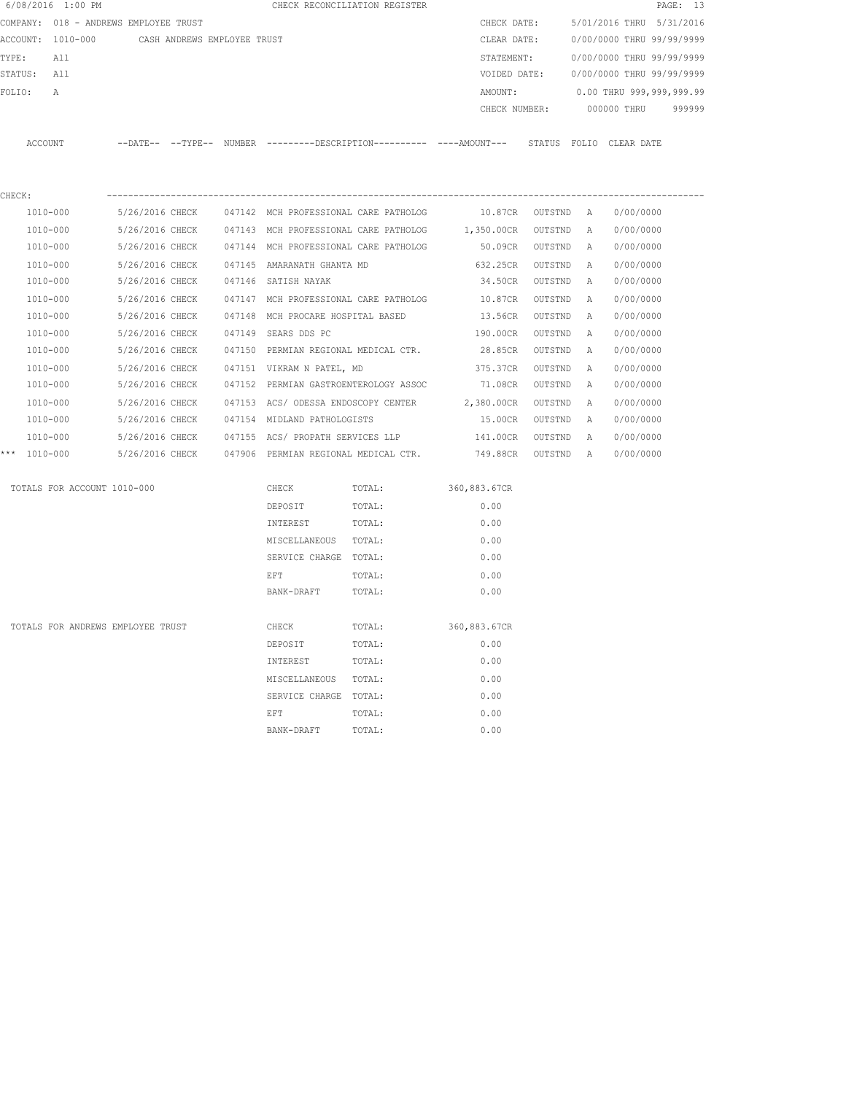| 6/08/2016 1:00 PM                     |                             |  |                                       | CHECK RECONCILIATION REGISTER |                                                                                             |         |              |                           | PAGE: 13 |
|---------------------------------------|-----------------------------|--|---------------------------------------|-------------------------------|---------------------------------------------------------------------------------------------|---------|--------------|---------------------------|----------|
| COMPANY: 018 - ANDREWS EMPLOYEE TRUST |                             |  |                                       |                               | CHECK DATE:                                                                                 |         |              | 5/01/2016 THRU 5/31/2016  |          |
| ACCOUNT: 1010-000                     | CASH ANDREWS EMPLOYEE TRUST |  |                                       |                               | CLEAR DATE:                                                                                 |         |              | 0/00/0000 THRU 99/99/9999 |          |
| TYPE:<br>All                          |                             |  |                                       |                               | STATEMENT:                                                                                  |         |              | 0/00/0000 THRU 99/99/9999 |          |
| STATUS:<br>All                        |                             |  |                                       |                               | VOIDED DATE:                                                                                |         |              | 0/00/0000 THRU 99/99/9999 |          |
| FOLIO:<br>Α                           |                             |  |                                       |                               | AMOUNT:                                                                                     |         |              | 0.00 THRU 999,999,999.99  |          |
|                                       |                             |  |                                       |                               | CHECK NUMBER:                                                                               |         |              | 000000 THRU               | 999999   |
| ACCOUNT                               |                             |  |                                       |                               | --DATE-- --TYPE-- NUMBER --------DESCRIPTION---------- ----AMOUNT--- STATUS FOLIO CLEARDATE |         |              |                           |          |
|                                       |                             |  |                                       |                               |                                                                                             |         |              |                           |          |
| CHECK:<br>1010-000                    | 5/26/2016 CHECK             |  | 047142 MCH PROFESSIONAL CARE PATHOLOG |                               | 10.87CR OUTSTND A                                                                           |         |              | 0/00/0000                 |          |
| 1010-000                              | 5/26/2016 CHECK             |  | 047143 MCH PROFESSIONAL CARE PATHOLOG |                               | 1,350.00CR                                                                                  | OUTSTND | A            | 0/00/0000                 |          |
| 1010-000                              | 5/26/2016 CHECK             |  | 047144 MCH PROFESSIONAL CARE PATHOLOG |                               | 50.09CR OUTSTND                                                                             |         | A            | 0/00/0000                 |          |
| 1010-000                              | 5/26/2016 CHECK             |  | 047145 AMARANATH GHANTA MD            |                               | 632.25CR                                                                                    | OUTSTND | A            | 0/00/0000                 |          |
| 1010-000                              | 5/26/2016 CHECK             |  | 047146 SATISH NAYAK                   |                               | 34.50CR                                                                                     | OUTSTND | A            | 0/00/0000                 |          |
| 1010-000                              | 5/26/2016 CHECK             |  | 047147 MCH PROFESSIONAL CARE PATHOLOG |                               | 10.87CR                                                                                     | OUTSTND | $\mathbb{A}$ | 0/00/0000                 |          |
| 1010-000                              | 5/26/2016 CHECK             |  | 047148 MCH PROCARE HOSPITAL BASED     |                               | 13.56CR                                                                                     | OUTSTND | A            | 0/00/0000                 |          |
| 1010-000                              | 5/26/2016 CHECK             |  | 047149 SEARS DDS PC                   |                               | 190.00CR                                                                                    | OUTSTND | А            | 0/00/0000                 |          |
| 1010-000                              | 5/26/2016 CHECK             |  |                                       |                               | 047150 PERMIAN REGIONAL MEDICAL CTR. 28.85CR                                                | OUTSTND | A            | 0/00/0000                 |          |
| 1010-000                              | 5/26/2016 CHECK             |  | 047151 VIKRAM N PATEL, MD             |                               | 375.37CR                                                                                    | OUTSTND | А            | 0/00/0000                 |          |
| 1010-000                              | 5/26/2016 CHECK             |  |                                       |                               | 047152 PERMIAN GASTROENTEROLOGY ASSOC 71.08CR                                               | OUTSTND | А            | 0/00/0000                 |          |
| 1010-000                              | 5/26/2016 CHECK             |  | 047153 ACS/ ODESSA ENDOSCOPY CENTER   |                               | 2,380.00CR                                                                                  | OUTSTND | Α            | 0/00/0000                 |          |
| 1010-000                              | 5/26/2016 CHECK             |  | 047154 MIDLAND PATHOLOGISTS           |                               | 15.00CR                                                                                     | OUTSTND | A            | 0/00/0000                 |          |
| 1010-000                              | 5/26/2016 CHECK             |  | 047155 ACS/ PROPATH SERVICES LLP      |                               | 141.00CR                                                                                    | OUTSTND | A            | 0/00/0000                 |          |
| *** 1010-000                          | 5/26/2016 CHECK             |  | 047906 PERMIAN REGIONAL MEDICAL CTR.  |                               | 749.88CR OUTSTND                                                                            |         | A            | 0/00/0000                 |          |
| TOTALS FOR ACCOUNT 1010-000           |                             |  | CHECK                                 | TOTAL:                        | 360,883.67CR                                                                                |         |              |                           |          |
|                                       |                             |  | DEPOSIT                               | TOTAL:                        | 0.00                                                                                        |         |              |                           |          |
|                                       |                             |  | INTEREST                              | TOTAL:                        | 0.00                                                                                        |         |              |                           |          |
|                                       |                             |  | MISCELLANEOUS TOTAL:                  |                               | 0.00                                                                                        |         |              |                           |          |
|                                       |                             |  | SERVICE CHARGE TOTAL:                 |                               | 0.00                                                                                        |         |              |                           |          |
|                                       |                             |  | EFT                                   | TOTAL:                        | 0.00                                                                                        |         |              |                           |          |
|                                       |                             |  | BANK-DRAFT                            | TOTAL:                        | 0.00                                                                                        |         |              |                           |          |
| TOTALS FOR ANDREWS EMPLOYEE TRUST     |                             |  | CHECK                                 | TOTAL:                        | 360,883.67CR                                                                                |         |              |                           |          |
|                                       |                             |  | DEPOSIT                               | TOTAL:                        | 0.00                                                                                        |         |              |                           |          |
|                                       |                             |  | INTEREST                              | TOTAL:                        | 0.00                                                                                        |         |              |                           |          |
|                                       |                             |  | MISCELLANEOUS                         | TOTAL:                        | 0.00                                                                                        |         |              |                           |          |
|                                       |                             |  | SERVICE CHARGE                        | TOTAL:                        | 0.00                                                                                        |         |              |                           |          |
|                                       |                             |  | EFT                                   | TOTAL:                        | 0.00                                                                                        |         |              |                           |          |
|                                       |                             |  | BANK-DRAFT                            | TOTAL:                        | 0.00                                                                                        |         |              |                           |          |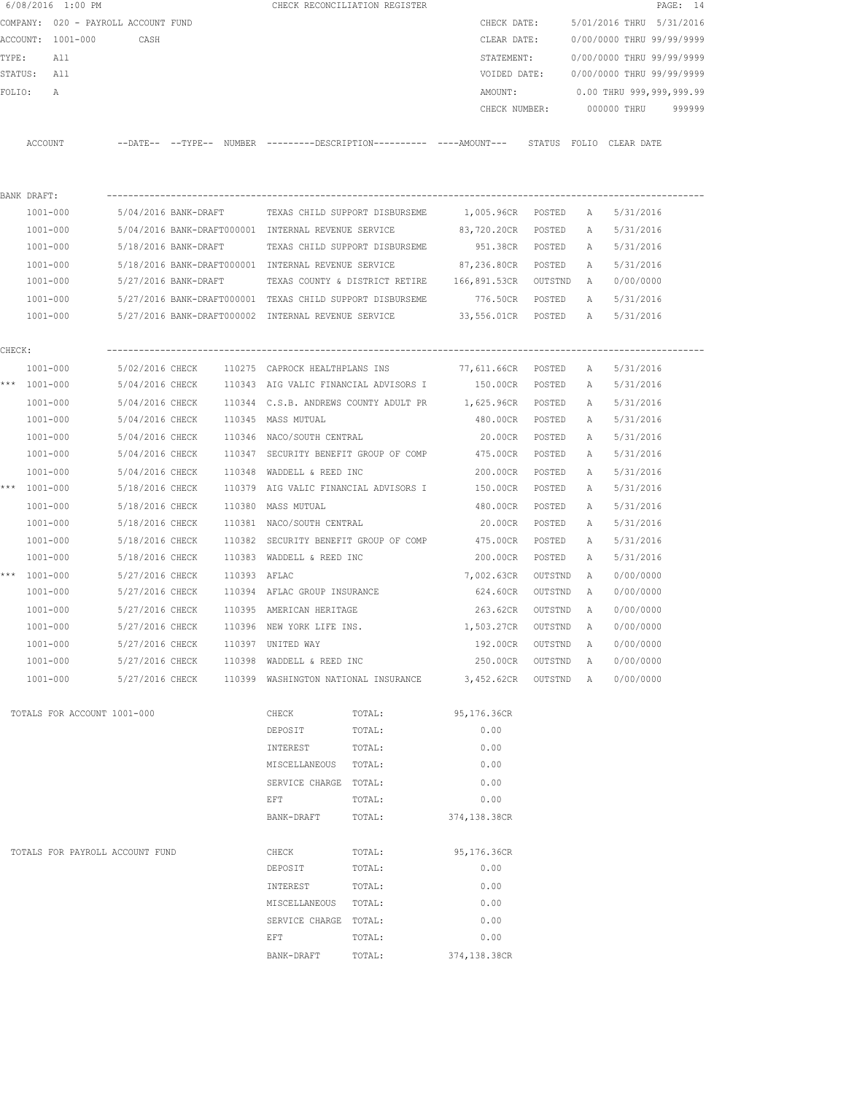|        |              | 6/08/2016 1:00 PM                   |                      |              |                                                     | CHECK RECONCILIATION REGISTER                                                                |                      |           |              |                           | PAGE: 14 |
|--------|--------------|-------------------------------------|----------------------|--------------|-----------------------------------------------------|----------------------------------------------------------------------------------------------|----------------------|-----------|--------------|---------------------------|----------|
|        |              | COMPANY: 020 - PAYROLL ACCOUNT FUND |                      |              |                                                     |                                                                                              | CHECK DATE:          |           |              | 5/01/2016 THRU 5/31/2016  |          |
|        |              | ACCOUNT: 1001-000                   | CASH                 |              |                                                     |                                                                                              | CLEAR DATE:          |           |              | 0/00/0000 THRU 99/99/9999 |          |
| TYPE:  |              | All                                 |                      |              |                                                     |                                                                                              | STATEMENT:           |           |              | 0/00/0000 THRU 99/99/9999 |          |
|        | STATUS: All  |                                     |                      |              |                                                     |                                                                                              | VOIDED DATE:         |           |              | 0/00/0000 THRU 99/99/9999 |          |
| FOLIO: |              | A                                   |                      |              |                                                     |                                                                                              | AMOUNT:              |           |              | 0.00 THRU 999,999,999.99  |          |
|        |              |                                     |                      |              |                                                     |                                                                                              | CHECK NUMBER:        |           |              | 000000 THRU               | 999999   |
|        |              |                                     |                      |              |                                                     |                                                                                              |                      |           |              |                           |          |
|        | ACCOUNT      |                                     |                      |              |                                                     | --DATE-- --TYPE-- NUMBER ---------DESCRIPTION---------- ----AMOUNT--- STATUS FOLIO CLEARDATE |                      |           |              |                           |          |
|        |              |                                     |                      |              |                                                     |                                                                                              |                      |           |              |                           |          |
|        | BANK DRAFT:  |                                     |                      |              |                                                     |                                                                                              |                      |           |              |                           |          |
|        | 1001-000     |                                     | 5/04/2016 BANK-DRAFT |              |                                                     | TEXAS CHILD SUPPORT DISBURSEME 1,005.96CR POSTED                                             |                      |           | A            | 5/31/2016                 |          |
|        | 1001-000     |                                     |                      |              | 5/04/2016 BANK-DRAFT000001 INTERNAL REVENUE SERVICE |                                                                                              | 83,720.20CR POSTED   |           | A            | 5/31/2016                 |          |
|        | 1001-000     |                                     | 5/18/2016 BANK-DRAFT |              |                                                     | TEXAS CHILD SUPPORT DISBURSEME                                                               | 951.38CR POSTED      |           | A            | 5/31/2016                 |          |
|        | 1001-000     |                                     |                      |              | 5/18/2016 BANK-DRAFT000001 INTERNAL REVENUE SERVICE |                                                                                              | 87,236.80CR POSTED   |           | A            | 5/31/2016                 |          |
|        | 1001-000     |                                     |                      |              |                                                     | 5/27/2016 BANK-DRAFT TEXAS COUNTY & DISTRICT RETIRE 166,891.53CR OUTSTND                     |                      |           | A            | 0/00/0000                 |          |
|        | 1001-000     |                                     |                      |              |                                                     | 5/27/2016 BANK-DRAFT000001 TEXAS CHILD SUPPORT DISBURSEME                                    | 776.50CR POSTED      |           |              | A 5/31/2016               |          |
|        |              | 1001-000                            |                      |              |                                                     | 5/27/2016 BANK-DRAFT000002 INTERNAL REVENUE SERVICE                                          | 33,556.01CR POSTED A |           |              | 5/31/2016                 |          |
| CHECK: |              |                                     |                      |              |                                                     |                                                                                              |                      |           |              |                           |          |
|        | 1001-000     |                                     |                      |              |                                                     | 5/02/2016 CHECK 110275 CAPROCK HEALTHPLANS INS 77,611.66CR POSTED                            |                      |           | A            | 5/31/2016                 |          |
|        | *** 1001-000 |                                     |                      |              |                                                     | 5/04/2016 CHECK 110343 AIG VALIC FINANCIAL ADVISORS I 150.00CR POSTED                        |                      |           | A            | 5/31/2016                 |          |
|        | 1001-000     |                                     |                      |              |                                                     | 5/04/2016 CHECK 110344 C.S.B. ANDREWS COUNTY ADULT PR 1,625.96CR POSTED                      |                      |           | A            | 5/31/2016                 |          |
|        | 1001-000     |                                     | 5/04/2016 CHECK      |              | 110345 MASS MUTUAL                                  |                                                                                              | 480.00CR POSTED      |           | A            | 5/31/2016                 |          |
|        | 1001-000     |                                     | 5/04/2016 CHECK      |              | 110346 NACO/SOUTH CENTRAL                           |                                                                                              | 20.00CR              | POSTED    | Α            | 5/31/2016                 |          |
|        | 1001-000     |                                     | 5/04/2016 CHECK      |              |                                                     | 110347 SECURITY BENEFIT GROUP OF COMP 475.00CR                                               |                      | POSTED    | A            | 5/31/2016                 |          |
|        |              | 1001-000                            | 5/04/2016 CHECK      |              | 110348 WADDELL & REED INC                           |                                                                                              | 200.00CR             | POSTED    | Α            | 5/31/2016                 |          |
|        | *** 1001-000 |                                     | 5/18/2016 CHECK      |              |                                                     | 110379 AIG VALIC FINANCIAL ADVISORS I                                                        | 150.00CR             | POSTED    | A            | 5/31/2016                 |          |
|        | 1001-000     |                                     | 5/18/2016 CHECK      |              | 110380 MASS MUTUAL                                  |                                                                                              | 480.00CR             | POSTED    | A            | 5/31/2016                 |          |
|        | 1001-000     |                                     | 5/18/2016 CHECK      |              | 110381 NACO/SOUTH CENTRAL                           |                                                                                              | 20.00CR              | POSTED    | A            | 5/31/2016                 |          |
|        | $1001 - 000$ |                                     | 5/18/2016 CHECK      |              |                                                     | 110382 SECURITY BENEFIT GROUP OF COMP                                                        | 475.00CR             | POSTED    | A            | 5/31/2016                 |          |
|        | 1001-000     |                                     | 5/18/2016 CHECK      |              | 110383 WADDELL & REED INC                           |                                                                                              | 200.00CR             | POSTED    | A            | 5/31/2016                 |          |
|        | *** 1001-000 |                                     | 5/27/2016 CHECK      | 110393 AFLAC |                                                     |                                                                                              | 7,002.63CR           | OUTSTND   | Α            | 0/00/0000                 |          |
|        | 1001-000     |                                     | 5/27/2016 CHECK      |              | 110394 AFLAC GROUP INSURANCE                        |                                                                                              | 624.60CR             | OUTSTND   | A            | 0/00/0000                 |          |
|        | 1001-000     |                                     | 5/27/2016 CHECK      |              | 110395 AMERICAN HERITAGE                            |                                                                                              | 263.62CR             | OUTSTND   | A            | 0/00/0000                 |          |
|        |              | 1001-000                            | 5/27/2016 CHECK      |              | 110396 NEW YORK LIFE INS.                           |                                                                                              | 1,503.27CR           | OUTSTND   | A            | 0/00/0000                 |          |
|        |              | $1001 - 000$                        | 5/27/2016 CHECK      |              | 110397 UNITED WAY                                   |                                                                                              | 192.00CR             | OUTSTND   | A            | 0/00/0000                 |          |
|        |              | 1001-000                            | 5/27/2016 CHECK      |              | 110398 WADDELL & REED INC                           |                                                                                              | 250.00CR             | OUTSTND   | $\mathbb{A}$ | 0/00/0000                 |          |
|        |              | 1001-000                            | 5/27/2016 CHECK      |              | 110399 WASHINGTON NATIONAL INSURANCE                |                                                                                              | 3,452.62CR           | OUTSTND A |              | 0/00/0000                 |          |
|        |              | TOTALS FOR ACCOUNT 1001-000         |                      |              | CHECK                                               | TOTAL:                                                                                       | 95,176.36CR          |           |              |                           |          |
|        |              |                                     |                      |              | DEPOSIT                                             | TOTAL:                                                                                       | 0.00                 |           |              |                           |          |
|        |              |                                     |                      |              | INTEREST                                            | TOTAL:                                                                                       | 0.00                 |           |              |                           |          |
|        |              |                                     |                      |              | MISCELLANEOUS TOTAL:                                |                                                                                              | 0.00                 |           |              |                           |          |
|        |              |                                     |                      |              | SERVICE CHARGE TOTAL:                               |                                                                                              | 0.00                 |           |              |                           |          |
|        |              |                                     |                      |              | EFT                                                 | TOTAL:                                                                                       | 0.00                 |           |              |                           |          |
|        |              |                                     |                      |              | BANK-DRAFT                                          | TOTAL:                                                                                       | 374,138.38CR         |           |              |                           |          |
|        |              |                                     |                      |              |                                                     |                                                                                              |                      |           |              |                           |          |
|        |              | TOTALS FOR PAYROLL ACCOUNT FUND     |                      |              | CHECK                                               | TOTAL:                                                                                       | 95,176.36CR          |           |              |                           |          |
|        |              |                                     |                      |              | DEPOSIT                                             | TOTAL:                                                                                       | 0.00                 |           |              |                           |          |
|        |              |                                     |                      |              | INTEREST                                            | TOTAL:                                                                                       | 0.00                 |           |              |                           |          |
|        |              |                                     |                      |              | MISCELLANEOUS                                       | TOTAL:                                                                                       | 0.00                 |           |              |                           |          |
|        |              |                                     |                      |              | SERVICE CHARGE TOTAL:                               |                                                                                              | 0.00                 |           |              |                           |          |
|        |              |                                     |                      |              | EFT                                                 | TOTAL:                                                                                       | 0.00                 |           |              |                           |          |
|        |              |                                     |                      |              | BANK-DRAFT                                          | TOTAL:                                                                                       | 374,138.38CR         |           |              |                           |          |
|        |              |                                     |                      |              |                                                     |                                                                                              |                      |           |              |                           |          |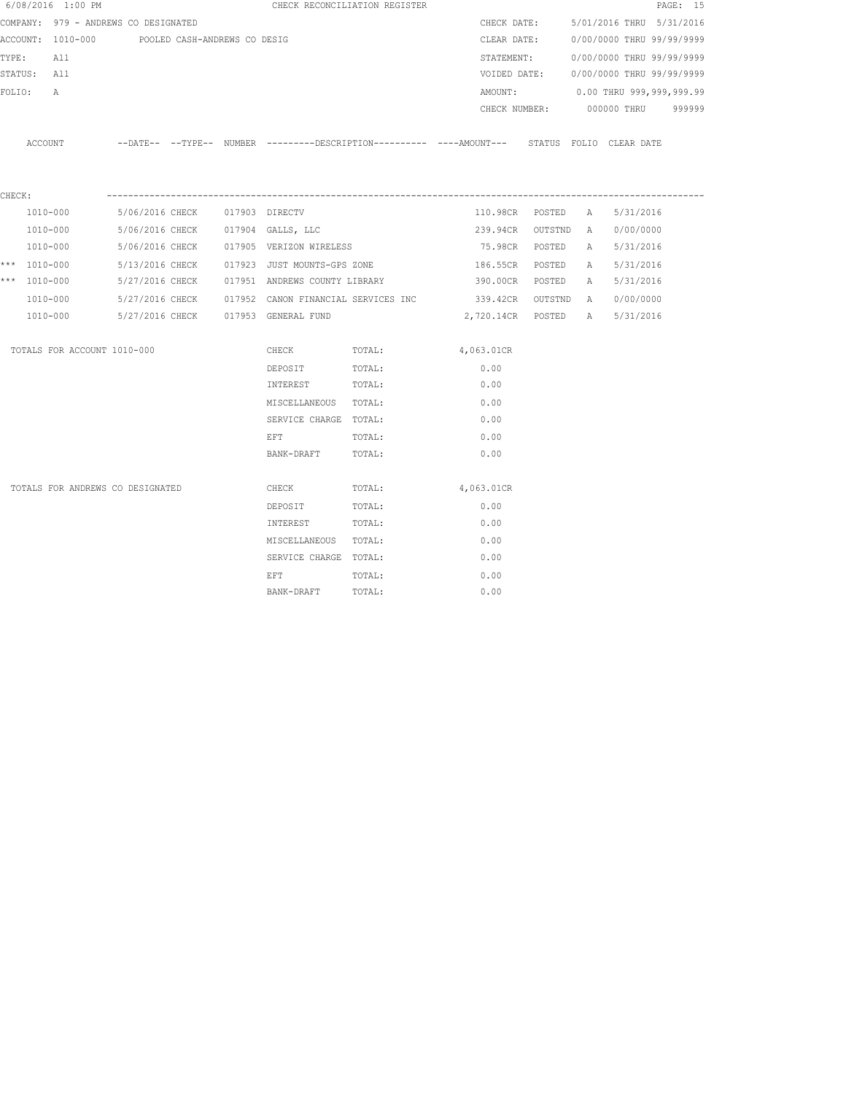|        | 6/08/2016 1:00 PM                    |                              |  |                                     | CHECK RECONCILIATION REGISTER                                                                |                     |                 |              |                           | PAGE: 15 |
|--------|--------------------------------------|------------------------------|--|-------------------------------------|----------------------------------------------------------------------------------------------|---------------------|-----------------|--------------|---------------------------|----------|
|        | COMPANY: 979 - ANDREWS CO DESIGNATED |                              |  |                                     |                                                                                              | CHECK DATE:         |                 |              | 5/01/2016 THRU 5/31/2016  |          |
|        | ACCOUNT: 1010-000                    | POOLED CASH-ANDREWS CO DESIG |  |                                     |                                                                                              | CLEAR DATE:         |                 |              | 0/00/0000 THRU 99/99/9999 |          |
| TYPE:  | All                                  |                              |  |                                     |                                                                                              | STATEMENT:          |                 |              | 0/00/0000 THRU 99/99/9999 |          |
|        | STATUS: All                          |                              |  |                                     |                                                                                              | VOIDED DATE:        |                 |              | 0/00/0000 THRU 99/99/9999 |          |
| FOLIO: | A                                    |                              |  |                                     |                                                                                              | AMOUNT:             |                 |              | 0.00 THRU 999,999,999.99  |          |
|        |                                      |                              |  |                                     |                                                                                              |                     | CHECK NUMBER:   |              | 000000 THRU 999999        |          |
|        | ACCOUNT                              |                              |  |                                     | --DATE-- --TYPE-- NUMBER --------DESCRIPTION---------- ----AMOUNT--- STATUS FOLIO CLEAR-DATE |                     |                 |              |                           |          |
| CHECK: |                                      |                              |  |                                     |                                                                                              |                     |                 |              |                           |          |
|        | 1010-000                             | 5/06/2016 CHECK              |  | 017903 DIRECTV                      |                                                                                              |                     | 110.98CR POSTED | $\mathbb{A}$ | 5/31/2016                 |          |
|        | 1010-000                             | 5/06/2016 CHECK              |  | 017904 GALLS, LLC                   |                                                                                              | 239.94CR OUTSTND A  |                 |              | 0/00/0000                 |          |
|        | 1010-000                             | 5/06/2016 CHECK              |  | 017905 VERIZON WIRELESS             |                                                                                              | 75.98CR             | POSTED          | A            | 5/31/2016                 |          |
|        | *** $1010 - 000$                     | 5/13/2016 CHECK              |  | 017923 JUST MOUNTS-GPS ZONE         |                                                                                              | 186.55CR            | POSTED          | A            | 5/31/2016                 |          |
|        | *** 1010-000                         | 5/27/2016 CHECK              |  |                                     | 017951 ANDREWS COUNTY LIBRARY 68 390.00CR POSTED                                             |                     |                 | A            | 5/31/2016                 |          |
|        | 1010-000                             |                              |  |                                     | 5/27/2016 CHECK 017952 CANON FINANCIAL SERVICES INC                                          | 339.42CR OUTSTND A  |                 |              | 0/00/0000                 |          |
|        | 1010-000                             |                              |  | 5/27/2016 CHECK 017953 GENERAL FUND |                                                                                              | 2,720.14CR POSTED A |                 |              | 5/31/2016                 |          |
|        | TOTALS FOR ACCOUNT 1010-000          |                              |  | CHECK                               | TOTAL:                                                                                       | 4,063.01CR          |                 |              |                           |          |
|        |                                      |                              |  | DEPOSIT                             | TOTAL:                                                                                       | 0.00                |                 |              |                           |          |
|        |                                      |                              |  | INTEREST                            | TOTAL:                                                                                       | 0.00                |                 |              |                           |          |
|        |                                      |                              |  | MISCELLANEOUS TOTAL:                |                                                                                              | 0.00                |                 |              |                           |          |
|        |                                      |                              |  | SERVICE CHARGE TOTAL:               |                                                                                              | 0.00                |                 |              |                           |          |
|        |                                      |                              |  | EFT                                 | TOTAL:                                                                                       | 0.00                |                 |              |                           |          |
|        |                                      |                              |  | BANK-DRAFT                          | TOTAL:                                                                                       | 0.00                |                 |              |                           |          |
|        | TOTALS FOR ANDREWS CO DESIGNATED     |                              |  | CHECK                               | TOTAL:                                                                                       | 4,063.01CR          |                 |              |                           |          |
|        |                                      |                              |  | DEPOSIT                             | TOTAL:                                                                                       | 0.00                |                 |              |                           |          |
|        |                                      |                              |  | INTEREST                            | TOTAL:                                                                                       | 0.00                |                 |              |                           |          |
|        |                                      |                              |  | MISCELLANEOUS TOTAL:                |                                                                                              | 0.00                |                 |              |                           |          |
|        |                                      |                              |  | SERVICE CHARGE TOTAL:               |                                                                                              | 0.00                |                 |              |                           |          |
|        |                                      |                              |  | EFT                                 | TOTAL:                                                                                       | 0.00                |                 |              |                           |          |
|        |                                      |                              |  | BANK-DRAFT                          | TOTAL:                                                                                       | 0.00                |                 |              |                           |          |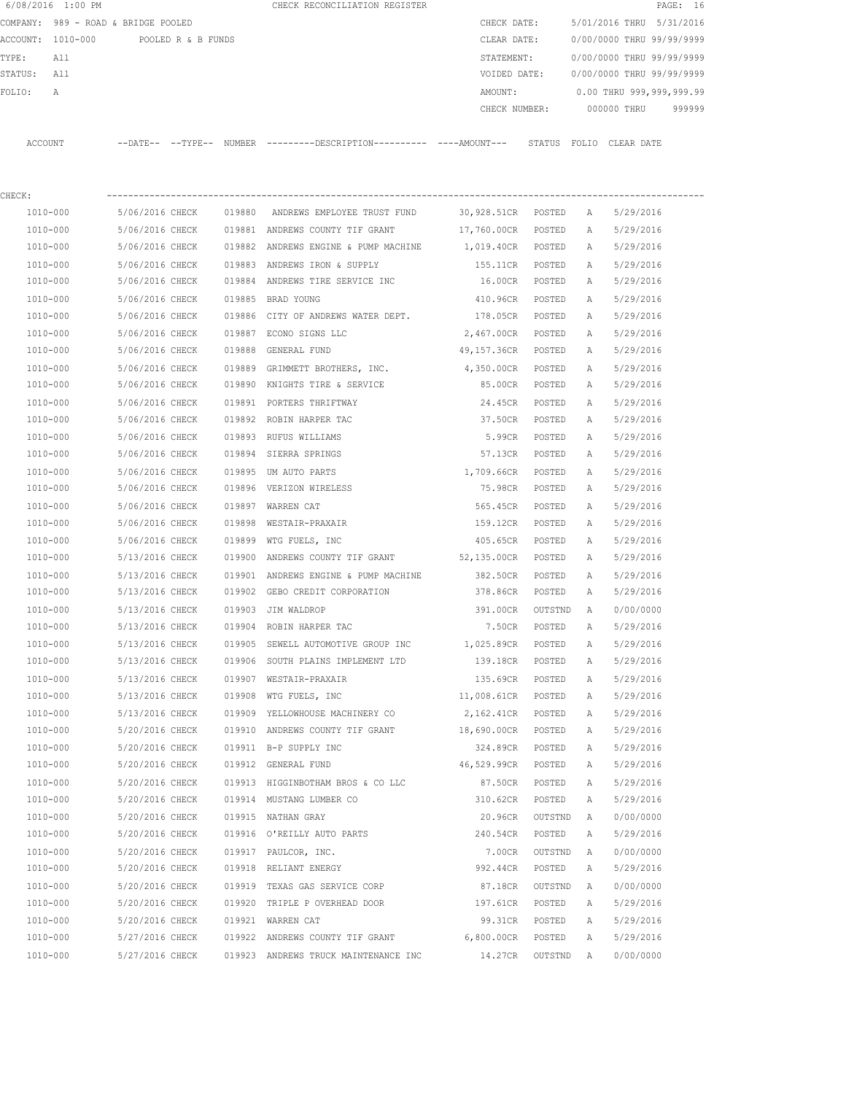|             | 6/08/2016 1:00 PM                    |                 |        | CHECK RECONCILIATION REGISTER                                                                         |                                |           |              |                                        | PAGE: 16 |
|-------------|--------------------------------------|-----------------|--------|-------------------------------------------------------------------------------------------------------|--------------------------------|-----------|--------------|----------------------------------------|----------|
|             | COMPANY: 989 - ROAD & BRIDGE POOLED  |                 |        |                                                                                                       | CHECK DATE:                    |           |              | 5/01/2016 THRU 5/31/2016               |          |
|             | ACCOUNT: 1010-000 POOLED R & B FUNDS |                 |        |                                                                                                       | CLEAR DATE:                    |           |              | 0/00/0000 THRU 99/99/9999              |          |
| TYPE: All   |                                      |                 |        |                                                                                                       |                                |           |              | STATEMENT: 0/00/0000 THRU 99/99/9999   |          |
| STATUS: All |                                      |                 |        |                                                                                                       |                                |           |              | VOIDED DATE: 0/00/0000 THRU 99/99/9999 |          |
| FOLIO:      | A                                    |                 |        |                                                                                                       |                                |           |              | AMOUNT: 0.00 THRU 999,999,999.99       |          |
|             |                                      |                 |        |                                                                                                       |                                |           |              | CHECK NUMBER: 000000 THRU 999999       |          |
|             |                                      |                 |        | ACCOUNT --DATE-- --TYPE-- NUMBER ---------DESCRIPTION---------- ----AMOUNT--- STATUS FOLIO CLEAR DATE |                                |           |              |                                        |          |
| CHECK:      |                                      |                 |        |                                                                                                       |                                |           |              |                                        |          |
|             | 1010-000                             |                 |        | 5/06/2016 CHECK 019880 ANDREWS EMPLOYEE TRUST FUND                                                    | 30,928.51CR POSTED A 5/29/2016 |           |              |                                        |          |
|             | 1010-000                             |                 |        | 5/06/2016 CHECK 019881 ANDREWS COUNTY TIF GRANT                                                       | 17,760.00CR POSTED A 5/29/2016 |           |              |                                        |          |
|             | 1010-000                             |                 |        | 5/06/2016 CHECK 019882 ANDREWS ENGINE & PUMP MACHINE                                                  | 1,019.40CR POSTED A 5/29/2016  |           |              |                                        |          |
|             | 1010-000                             |                 |        | 5/06/2016 CHECK 019883 ANDREWS IRON & SUPPLY                                                          | 155.11CR POSTED A              |           |              | 5/29/2016                              |          |
|             | 1010-000                             |                 |        | 5/06/2016 CHECK 019884 ANDREWS TIRE SERVICE INC                                                       | 16.00CR POSTED A               |           |              | 5/29/2016                              |          |
|             | 1010-000                             |                 |        | 5/06/2016 CHECK 019885 BRAD YOUNG                                                                     | 410.96CR POSTED A              |           |              | 5/29/2016                              |          |
|             | 1010-000                             |                 |        | 5/06/2016 CHECK 019886 CITY OF ANDREWS WATER DEPT. 178.05CR POSTED A                                  |                                |           |              | 5/29/2016                              |          |
|             | 1010-000                             |                 |        | 5/06/2016 CHECK 019887 ECONO SIGNS LLC                                                                | 2,467.00CR POSTED              |           | A            | 5/29/2016                              |          |
|             | 1010-000                             | 5/06/2016 CHECK |        | 019888 GENERAL FUND                                                                                   | 49,157.36CR POSTED A           |           |              | 5/29/2016                              |          |
|             | 1010-000                             |                 |        | 5/06/2016 CHECK 019889 GRIMMETT BROTHERS, INC.                                                        | 4,350.00CR POSTED A            |           |              | 5/29/2016                              |          |
|             | 1010-000                             |                 |        | 5/06/2016 CHECK 019890 KNIGHTS TIRE & SERVICE                                                         | 85.00CR POSTED A               |           |              | 5/29/2016                              |          |
|             | 1010-000                             |                 |        | 5/06/2016 CHECK 019891 PORTERS THRIFTWAY                                                              |                                |           |              | 24.45CR POSTED A 5/29/2016             |          |
|             | 1010-000                             |                 |        | 5/06/2016 CHECK 019892 ROBIN HARPER TAC                                                               | 37.50CR POSTED                 |           | A            | 5/29/2016                              |          |
|             | 1010-000                             |                 |        | 5/06/2016 CHECK 019893 RUFUS WILLIAMS                                                                 | 5.99CR POSTED                  |           |              | A 5/29/2016                            |          |
|             | 1010-000                             |                 |        | 5/06/2016 CHECK 019894 SIERRA SPRINGS                                                                 | 57.13CR POSTED                 |           | A            | 5/29/2016                              |          |
|             | 1010-000                             |                 |        | 5/06/2016 CHECK 019895 UM AUTO PARTS                                                                  | 1,709.66CR POSTED              |           | A            | 5/29/2016                              |          |
|             | 1010-000                             |                 |        | 5/06/2016 CHECK 019896 VERIZON WIRELESS                                                               | 75.98CR POSTED A               |           |              | 5/29/2016                              |          |
|             | 1010-000                             |                 |        | 5/06/2016 CHECK 019897 WARREN CAT                                                                     | 565.45CR POSTED                |           | A            | 5/29/2016                              |          |
|             | 1010-000                             |                 |        | 5/06/2016 CHECK 019898 WESTAIR-PRAXAIR                                                                | 159.12CR POSTED                |           | A            | 5/29/2016                              |          |
|             | 1010-000                             |                 |        | 5/06/2016 CHECK 019899 WTG FUELS, INC                                                                 | 405.65CR POSTED                |           | A            | 5/29/2016                              |          |
|             | 1010-000                             |                 |        | 5/13/2016 CHECK 019900 ANDREWS COUNTY TIF GRANT 52,135.00CR POSTED A                                  |                                |           |              | 5/29/2016                              |          |
|             | 1010-000                             |                 |        | 5/13/2016 CHECK 019901 ANDREWS ENGINE & PUMP MACHINE                                                  | 382.50CR POSTED A              |           |              | 5/29/2016                              |          |
|             | 1010-000                             |                 |        | 5/13/2016 CHECK 019902 GEBO CREDIT CORPORATION                                                        | 378.86CR POSTED A              |           |              | 5/29/2016                              |          |
|             | 1010-000                             |                 |        | 5/13/2016 CHECK 019903 JIM WALDROP                                                                    | 391.00CR                       | OUTSTND A |              | 0/00/0000                              |          |
|             | 1010-000                             | 5/13/2016 CHECK |        | 019904 ROBIN HARPER TAC                                                                               | 7.50CR                         | POSTED    | Α            | 5/29/2016                              |          |
|             | 1010-000                             | 5/13/2016 CHECK |        | 019905 SEWELL AUTOMOTIVE GROUP INC                                                                    | 1,025.89CR                     | POSTED    | Α            | 5/29/2016                              |          |
|             | 1010-000                             | 5/13/2016 CHECK |        | 019906 SOUTH PLAINS IMPLEMENT LTD                                                                     | 139.18CR                       | POSTED    | Α            | 5/29/2016                              |          |
|             | 1010-000                             | 5/13/2016 CHECK |        | 019907 WESTAIR-PRAXAIR                                                                                | 135.69CR                       | POSTED    | Α            | 5/29/2016                              |          |
|             | 1010-000                             | 5/13/2016 CHECK | 019908 | WTG FUELS, INC                                                                                        | 11,008.61CR                    | POSTED    | Α            | 5/29/2016                              |          |
|             | 1010-000                             | 5/13/2016 CHECK |        | 019909 YELLOWHOUSE MACHINERY CO                                                                       | 2,162.41CR                     | POSTED    | Α            | 5/29/2016                              |          |
|             | 1010-000                             | 5/20/2016 CHECK |        | 019910 ANDREWS COUNTY TIF GRANT                                                                       | 18,690.00CR                    | POSTED    | Α            | 5/29/2016                              |          |
|             | 1010-000                             | 5/20/2016 CHECK |        | 019911 B-P SUPPLY INC                                                                                 | 324.89CR                       | POSTED    | Α            | 5/29/2016                              |          |
|             | 1010-000                             | 5/20/2016 CHECK |        | 019912 GENERAL FUND                                                                                   | 46,529.99CR                    | POSTED    | Α            | 5/29/2016                              |          |
|             | 1010-000                             | 5/20/2016 CHECK |        | 019913 HIGGINBOTHAM BROS & CO LLC                                                                     | 87.50CR                        | POSTED    | Α            | 5/29/2016                              |          |
|             | 1010-000                             | 5/20/2016 CHECK |        | 019914 MUSTANG LUMBER CO                                                                              | 310.62CR                       | POSTED    | Α            | 5/29/2016                              |          |
|             | 1010-000                             | 5/20/2016 CHECK |        | 019915 NATHAN GRAY                                                                                    | 20.96CR                        | OUTSTND   | A            | 0/00/0000                              |          |
|             | 1010-000                             | 5/20/2016 CHECK |        | 019916 O'REILLY AUTO PARTS                                                                            | 240.54CR                       | POSTED    | Α            | 5/29/2016                              |          |
|             | 1010-000                             | 5/20/2016 CHECK |        | 019917 PAULCOR, INC.                                                                                  | 7.00CR                         | OUTSTND   | A            | 0/00/0000                              |          |
|             | 1010-000                             | 5/20/2016 CHECK |        | 019918 RELIANT ENERGY                                                                                 | 992.44CR                       | POSTED    | Α            | 5/29/2016                              |          |
|             | 1010-000                             | 5/20/2016 CHECK |        | 019919 TEXAS GAS SERVICE CORP                                                                         | 87.18CR                        | OUTSTND   | Α            | 0/00/0000                              |          |
|             | 1010-000                             | 5/20/2016 CHECK |        | 019920 TRIPLE P OVERHEAD DOOR                                                                         | 197.61CR                       | POSTED    | Α            | 5/29/2016                              |          |
|             | 1010-000                             | 5/20/2016 CHECK |        | 019921 WARREN CAT                                                                                     | 99.31CR                        | POSTED    | Α            | 5/29/2016                              |          |
|             | 1010-000                             | 5/27/2016 CHECK |        | 019922 ANDREWS COUNTY TIF GRANT 6,800.00CR                                                            |                                | POSTED    | Α            | 5/29/2016                              |          |
|             | 1010-000                             | 5/27/2016 CHECK |        | 019923 ANDREWS TRUCK MAINTENANCE INC                                                                  | 14.27CR                        | OUTSTND   | $\mathbb{A}$ | 0/00/0000                              |          |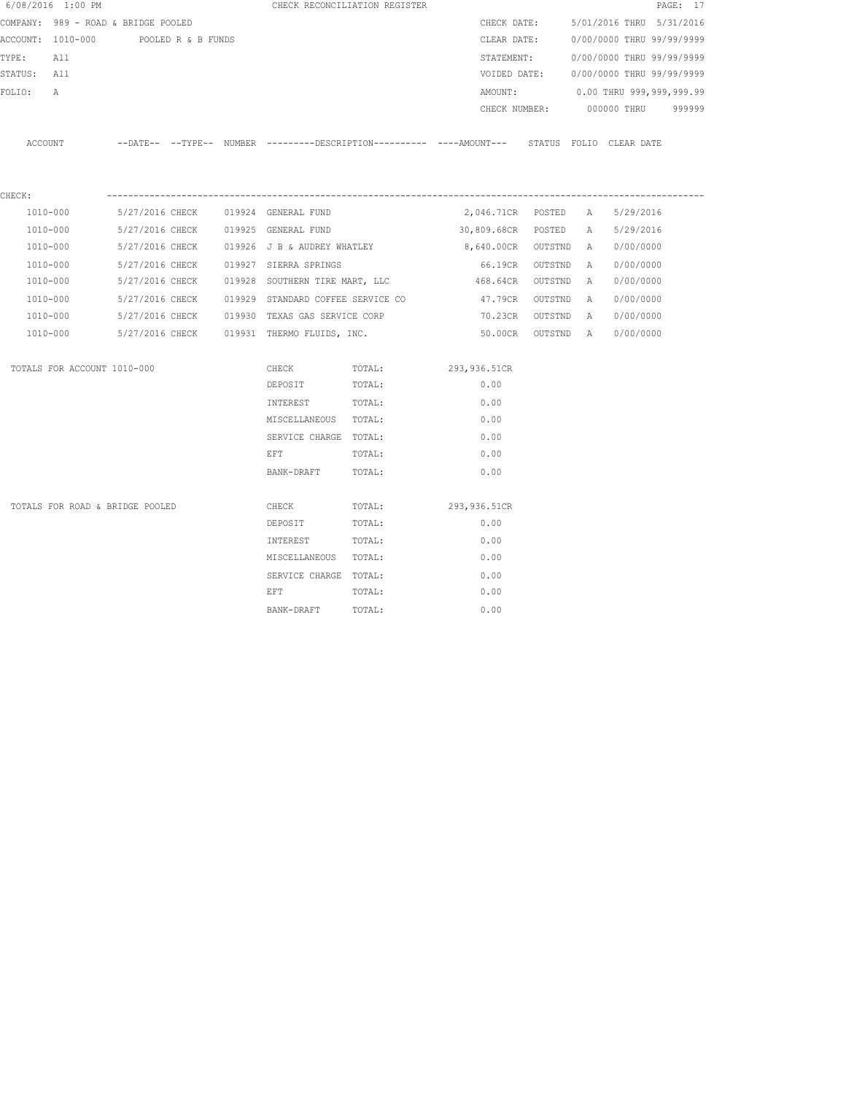|             | 6/08/2016 1:00 PM                    |  | CHECK RECONCILIATION REGISTER                                                                                                                                                                                                  |                                             |                                                                                                       |  |                                        | PAGE: 17 |
|-------------|--------------------------------------|--|--------------------------------------------------------------------------------------------------------------------------------------------------------------------------------------------------------------------------------|---------------------------------------------|-------------------------------------------------------------------------------------------------------|--|----------------------------------------|----------|
|             | COMPANY: 989 - ROAD & BRIDGE POOLED  |  |                                                                                                                                                                                                                                |                                             | CHECK DATE:                                                                                           |  | 5/01/2016 THRU 5/31/2016               |          |
|             | ACCOUNT: 1010-000 POOLED R & B FUNDS |  |                                                                                                                                                                                                                                |                                             | CLEAR DATE:                                                                                           |  | 0/00/0000 THRU 99/99/9999              |          |
| TYPE: All   |                                      |  |                                                                                                                                                                                                                                |                                             | STATEMENT:                                                                                            |  | 0/00/0000 THRU 99/99/9999              |          |
| STATUS: All |                                      |  |                                                                                                                                                                                                                                |                                             |                                                                                                       |  | VOIDED DATE: 0/00/0000 THRU 99/99/9999 |          |
| FOLIO: A    |                                      |  |                                                                                                                                                                                                                                |                                             |                                                                                                       |  | AMOUNT: 0.00 THRU 999,999,999.99       |          |
|             |                                      |  |                                                                                                                                                                                                                                |                                             |                                                                                                       |  | CHECK NUMBER: 000000 THRU 999999       |          |
|             |                                      |  |                                                                                                                                                                                                                                |                                             | ACCOUNT --DATE-- --TYPE-- NUMBER ---------DESCRIPTION---------- ----AMOUNT--- STATUS FOLIO CLEAR DATE |  |                                        |          |
| CHECK:      |                                      |  |                                                                                                                                                                                                                                |                                             |                                                                                                       |  |                                        |          |
|             | 1010-000                             |  | 5/27/2016 CHECK 019924 GENERAL FUND                                                                                                                                                                                            |                                             | 2,046.71CR POSTED A 5/29/2016                                                                         |  |                                        |          |
|             | 1010-000                             |  | 5/27/2016 CHECK 019925 GENERAL FUND                                                                                                                                                                                            |                                             | 30,809.68CR POSTED A 5/29/2016                                                                        |  |                                        |          |
|             | 1010-000                             |  |                                                                                                                                                                                                                                | 5/27/2016 CHECK 019926 J B & AUDREY WHATLEY | 8,640.00CR OUTSTND A 0/00/0000                                                                        |  |                                        |          |
|             | 1010-000                             |  | 5/27/2016 CHECK 019927 SIERRA SPRINGS                                                                                                                                                                                          |                                             |                                                                                                       |  | 66.19CR OUTSTND A 0/00/0000            |          |
|             | 1010-000                             |  |                                                                                                                                                                                                                                |                                             | 5/27/2016 CHECK 6019928 SOUTHERN TIRE MART, LLC 600 468.64CR OUTSTND A 60/00/0000                     |  |                                        |          |
|             |                                      |  |                                                                                                                                                                                                                                |                                             | 1010-000 5/27/2016 CHECK 019929 STANDARD COFFEE SERVICE CO 47.79CR OUTSTND A                          |  | 0/00/0000                              |          |
|             |                                      |  | 1010-000 5/27/2016 CHECK 019930 TEXAS GAS SERVICE CORP                                                                                                                                                                         |                                             | 70.23CR OUTSTND A 0/00/0000                                                                           |  |                                        |          |
|             | 1010-000                             |  | 5/27/2016 CHECK 019931 THERMO FLUIDS, INC.                                                                                                                                                                                     |                                             |                                                                                                       |  | 50.00CR OUTSTND A 0/00/0000            |          |
|             | TOTALS FOR ACCOUNT 1010-000          |  | CHECK                                                                                                                                                                                                                          | TOTAL:                                      | 293,936.51CR                                                                                          |  |                                        |          |
|             |                                      |  | DEPOSIT                                                                                                                                                                                                                        | TOTAL:                                      | 0.00                                                                                                  |  |                                        |          |
|             |                                      |  | INTEREST                                                                                                                                                                                                                       | TOTAL:                                      | 0.00                                                                                                  |  |                                        |          |
|             |                                      |  | MISCELLANEOUS TOTAL:                                                                                                                                                                                                           |                                             | 0.00                                                                                                  |  |                                        |          |
|             |                                      |  | SERVICE CHARGE TOTAL:                                                                                                                                                                                                          |                                             | 0.00                                                                                                  |  |                                        |          |
|             |                                      |  | EFT                                                                                                                                                                                                                            | TOTAL:                                      | 0.00                                                                                                  |  |                                        |          |
|             |                                      |  | BANK-DRAFT TOTAL:                                                                                                                                                                                                              |                                             | 0.00                                                                                                  |  |                                        |          |
|             | TOTALS FOR ROAD & BRIDGE POOLED      |  | CHECK                                                                                                                                                                                                                          | TOTAL:                                      | 293,936.51CR                                                                                          |  |                                        |          |
|             |                                      |  | DEPOSIT                                                                                                                                                                                                                        | TOTAL:                                      | 0.00                                                                                                  |  |                                        |          |
|             |                                      |  | INTEREST                                                                                                                                                                                                                       | TOTAL:                                      | 0.00                                                                                                  |  |                                        |          |
|             |                                      |  | MISCELLANEOUS TOTAL:                                                                                                                                                                                                           |                                             | 0.00                                                                                                  |  |                                        |          |
|             |                                      |  | SERVICE CHARGE TOTAL:                                                                                                                                                                                                          |                                             | 0.00                                                                                                  |  |                                        |          |
|             |                                      |  | EFT FOR THE RESIDENCE OF THE RESIDENCE OF THE RESIDENCE OF THE RESIDENCE OF THE RESIDENCE OF THE RESIDENCE OF THE RESIDENCE OF THE RESIDENCE OF THE RESIDENCE OF THE RESIDENCE OF THE RESIDENCE OF THE RESIDENCE OF THE RESIDE | TOTAL:                                      | 0.00                                                                                                  |  |                                        |          |
|             |                                      |  | BANK-DRAFT                                                                                                                                                                                                                     | TOTAL:                                      | 0.00                                                                                                  |  |                                        |          |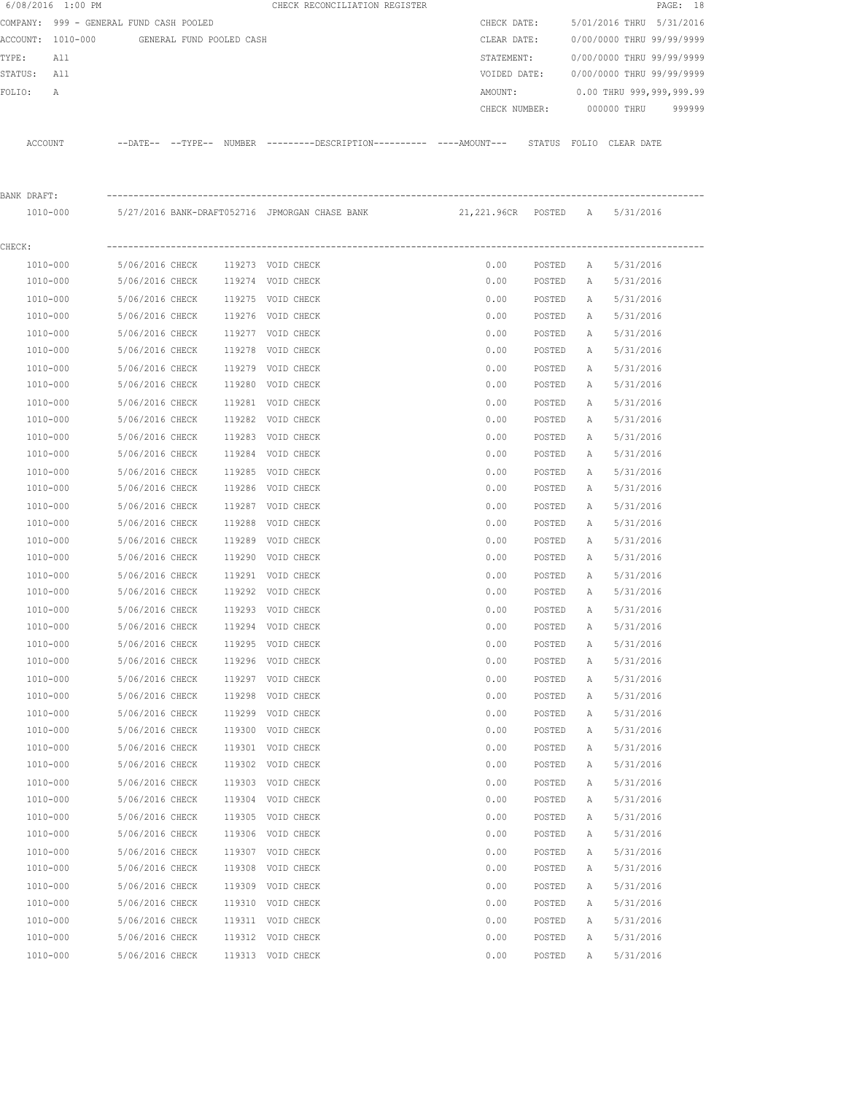|             | 6/08/2016 1:00 PM                          |                 |        | CHECK RECONCILIATION REGISTER                                                                |               |        |   |                           | PAGE: 18 |
|-------------|--------------------------------------------|-----------------|--------|----------------------------------------------------------------------------------------------|---------------|--------|---|---------------------------|----------|
|             | COMPANY: 999 - GENERAL FUND CASH POOLED    |                 |        |                                                                                              | CHECK DATE:   |        |   | 5/01/2016 THRU 5/31/2016  |          |
|             | ACCOUNT: 1010-000 GENERAL FUND POOLED CASH |                 |        |                                                                                              | CLEAR DATE:   |        |   | 0/00/0000 THRU 99/99/9999 |          |
| TYPE:       | All                                        |                 |        |                                                                                              | STATEMENT:    |        |   | 0/00/0000 THRU 99/99/9999 |          |
| STATUS: All |                                            |                 |        |                                                                                              | VOIDED DATE:  |        |   | 0/00/0000 THRU 99/99/9999 |          |
| FOLIO:      | Α                                          |                 |        |                                                                                              | AMOUNT:       |        |   | 0.00 THRU 999,999,999.99  |          |
|             |                                            |                 |        |                                                                                              | CHECK NUMBER: |        |   | 000000 THRU               | 999999   |
|             | ACCOUNT                                    |                 |        | --DATE-- --TYPE-- NUMBER ---------DESCRIPTION---------- ----AMOUNT--- STATUS FOLIO CLEARDATE |               |        |   |                           |          |
| BANK DRAFT: |                                            |                 |        |                                                                                              |               |        |   |                           |          |
|             | 1010-000                                   |                 |        | 5/27/2016 BANK-DRAFT052716 JPMORGAN CHASE BANK         21,221.96CR  POSTED   A               |               |        |   | 5/31/2016                 |          |
| CHECK:      |                                            |                 |        |                                                                                              |               |        |   |                           |          |
|             | 1010-000                                   | 5/06/2016 CHECK |        | 119273 VOID CHECK                                                                            | 0.00          | POSTED | A | 5/31/2016                 |          |
|             | 1010-000                                   | 5/06/2016 CHECK |        | 119274 VOID CHECK                                                                            | 0.00          | POSTED | A | 5/31/2016                 |          |
|             | 1010-000                                   | 5/06/2016 CHECK |        | 119275 VOID CHECK                                                                            | 0.00          | POSTED | A | 5/31/2016                 |          |
|             | 1010-000                                   | 5/06/2016 CHECK |        | 119276 VOID CHECK                                                                            | 0.00          | POSTED | A | 5/31/2016                 |          |
|             | 1010-000                                   | 5/06/2016 CHECK |        | 119277 VOID CHECK                                                                            | 0.00          | POSTED | A | 5/31/2016                 |          |
|             | 1010-000                                   | 5/06/2016 CHECK |        | 119278 VOID CHECK                                                                            | 0.00          | POSTED | A | 5/31/2016                 |          |
|             | 1010-000                                   | 5/06/2016 CHECK |        | 119279 VOID CHECK                                                                            | 0.00          | POSTED | A | 5/31/2016                 |          |
|             | 1010-000                                   | 5/06/2016 CHECK |        | 119280 VOID CHECK                                                                            | 0.00          | POSTED | А | 5/31/2016                 |          |
|             | 1010-000                                   | 5/06/2016 CHECK |        | 119281 VOID CHECK                                                                            | 0.00          | POSTED | A | 5/31/2016                 |          |
|             | 1010-000                                   | 5/06/2016 CHECK |        | 119282 VOID CHECK                                                                            | 0.00          | POSTED | А | 5/31/2016                 |          |
|             | 1010-000                                   | 5/06/2016 CHECK |        | 119283 VOID CHECK                                                                            | 0.00          | POSTED | Α | 5/31/2016                 |          |
|             | 1010-000                                   | 5/06/2016 CHECK |        | 119284 VOID CHECK                                                                            | 0.00          | POSTED | Α | 5/31/2016                 |          |
|             | 1010-000                                   | 5/06/2016 CHECK |        | 119285 VOID CHECK                                                                            | 0.00          | POSTED | Α | 5/31/2016                 |          |
|             | 1010-000                                   | 5/06/2016 CHECK |        | 119286 VOID CHECK                                                                            | 0.00          | POSTED | A | 5/31/2016                 |          |
|             | 1010-000                                   | 5/06/2016 CHECK |        | 119287 VOID CHECK                                                                            | 0.00          | POSTED | А | 5/31/2016                 |          |
|             | 1010-000                                   | 5/06/2016 CHECK | 119288 | VOID CHECK                                                                                   | 0.00          | POSTED | А | 5/31/2016                 |          |
|             | 1010-000                                   | 5/06/2016 CHECK |        | 119289 VOID CHECK                                                                            | 0.00          | POSTED | Α | 5/31/2016                 |          |
|             | 1010-000                                   | 5/06/2016 CHECK |        | 119290 VOID CHECK                                                                            | 0.00          | POSTED | Α | 5/31/2016                 |          |
|             | 1010-000                                   | 5/06/2016 CHECK |        | 119291 VOID CHECK                                                                            | 0.00          | POSTED | A | 5/31/2016                 |          |
|             | 1010-000                                   | 5/06/2016 CHECK |        | 119292 VOID CHECK                                                                            | 0.00          | POSTED | A | 5/31/2016                 |          |
|             | 1010-000                                   | 5/06/2016 CHECK |        | 119293 VOID CHECK                                                                            | 0.00          | POSTED | A | 5/31/2016                 |          |
|             | $1010 - 000$                               | 5/06/2016 CHECK |        | 119294 VOID CHECK                                                                            | 0.00          | POSTED | Α | 5/31/2016                 |          |
|             | 1010-000                                   | 5/06/2016 CHECK |        | 119295 VOID CHECK                                                                            | 0.00          | POSTED | Α | 5/31/2016                 |          |
|             | $1010 - 000$                               | 5/06/2016 CHECK |        | 119296 VOID CHECK                                                                            | 0.00          | POSTED | Α | 5/31/2016                 |          |
|             | 1010-000                                   | 5/06/2016 CHECK |        | 119297 VOID CHECK                                                                            | 0.00          | POSTED | Α | 5/31/2016                 |          |
|             | 1010-000                                   | 5/06/2016 CHECK | 119298 | VOID CHECK                                                                                   | 0.00          | POSTED | Α | 5/31/2016                 |          |
|             | 1010-000                                   | 5/06/2016 CHECK |        | 119299 VOID CHECK                                                                            | 0.00          | POSTED | Α | 5/31/2016                 |          |
|             | 1010-000                                   | 5/06/2016 CHECK | 119300 | VOID CHECK                                                                                   | 0.00          | POSTED | Α | 5/31/2016                 |          |
|             | 1010-000                                   | 5/06/2016 CHECK |        | 119301 VOID CHECK                                                                            | 0.00          | POSTED | Α | 5/31/2016                 |          |
|             | 1010-000                                   | 5/06/2016 CHECK |        | 119302 VOID CHECK                                                                            | 0.00          | POSTED | Α | 5/31/2016                 |          |
|             | $1010 - 000$                               | 5/06/2016 CHECK |        | 119303 VOID CHECK                                                                            | 0.00          | POSTED | Α | 5/31/2016                 |          |
|             | 1010-000                                   | 5/06/2016 CHECK | 119304 | VOID CHECK                                                                                   | 0.00          | POSTED | Α | 5/31/2016                 |          |
|             | 1010-000                                   | 5/06/2016 CHECK |        | 119305 VOID CHECK                                                                            | 0.00          | POSTED | Α | 5/31/2016                 |          |
|             | 1010-000                                   | 5/06/2016 CHECK |        | 119306 VOID CHECK                                                                            | 0.00          | POSTED | Α | 5/31/2016                 |          |
|             | 1010-000                                   | 5/06/2016 CHECK |        | 119307 VOID CHECK                                                                            | 0.00          | POSTED | Α | 5/31/2016                 |          |
|             | 1010-000                                   | 5/06/2016 CHECK | 119308 | VOID CHECK                                                                                   | 0.00          | POSTED | Α | 5/31/2016                 |          |
|             | 1010-000                                   | 5/06/2016 CHECK | 119309 | VOID CHECK                                                                                   | 0.00          | POSTED | Α | 5/31/2016                 |          |
|             | $1010 - 000$                               | 5/06/2016 CHECK |        | 119310 VOID CHECK                                                                            | 0.00          | POSTED | Α | 5/31/2016                 |          |
|             | 1010-000                                   | 5/06/2016 CHECK |        | 119311 VOID CHECK                                                                            | 0.00          | POSTED | Α | 5/31/2016                 |          |
|             | 1010-000                                   | 5/06/2016 CHECK |        | 119312 VOID CHECK                                                                            | 0.00          | POSTED | Α | 5/31/2016                 |          |
|             | 1010-000                                   | 5/06/2016 CHECK |        | 119313 VOID CHECK                                                                            | 0.00          | POSTED | Α | 5/31/2016                 |          |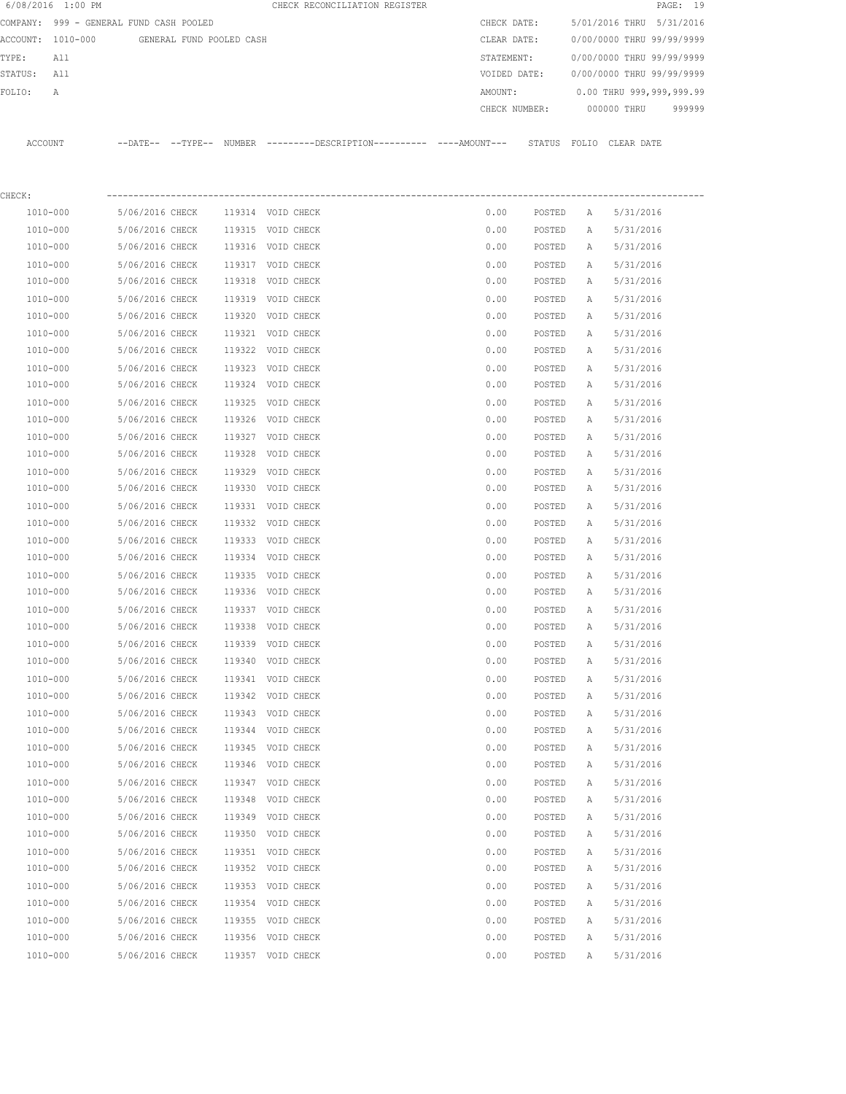|         | 6/08/2016 1:00 PM                       |                                    |                          |                  | CHECK RECONCILIATION REGISTER                                                               |               |                  |              |                           | PAGE: 19 |
|---------|-----------------------------------------|------------------------------------|--------------------------|------------------|---------------------------------------------------------------------------------------------|---------------|------------------|--------------|---------------------------|----------|
|         | COMPANY: 999 - GENERAL FUND CASH POOLED |                                    |                          |                  |                                                                                             | CHECK DATE:   |                  |              | 5/01/2016 THRU 5/31/2016  |          |
|         | ACCOUNT: 1010-000                       |                                    | GENERAL FUND POOLED CASH |                  |                                                                                             | CLEAR DATE:   |                  |              | 0/00/0000 THRU 99/99/9999 |          |
| TYPE:   | All                                     |                                    |                          |                  |                                                                                             | STATEMENT:    |                  |              | 0/00/0000 THRU 99/99/9999 |          |
| STATUS: | All                                     |                                    |                          |                  |                                                                                             | VOIDED DATE:  |                  |              | 0/00/0000 THRU 99/99/9999 |          |
| FOLIO:  | A                                       |                                    |                          |                  |                                                                                             | AMOUNT:       |                  |              | 0.00 THRU 999,999,999.99  |          |
|         |                                         |                                    |                          |                  |                                                                                             | CHECK NUMBER: |                  |              | 000000 THRU               | 999999   |
|         | ACCOUNT                                 |                                    |                          |                  | --DATE-- --TYPE-- NUMBER --------DESCRIPTION---------- ---AMOUNT--- STATUS FOLIO CLEAR DATE |               |                  |              |                           |          |
|         |                                         |                                    |                          |                  |                                                                                             |               |                  |              |                           |          |
| CHECK:  |                                         |                                    |                          |                  |                                                                                             |               |                  |              |                           |          |
|         | 1010-000                                | 5/06/2016 CHECK                    |                          |                  | 119314 VOID CHECK                                                                           | 0.00          | POSTED           | Α            | 5/31/2016                 |          |
|         | 1010-000                                | 5/06/2016 CHECK                    |                          |                  | 119315 VOID CHECK                                                                           | 0.00          | POSTED           | Α            | 5/31/2016                 |          |
|         | 1010-000                                | 5/06/2016 CHECK                    |                          |                  | 119316 VOID CHECK                                                                           | 0.00          | POSTED           | Α            | 5/31/2016                 |          |
|         | 1010-000                                | 5/06/2016 CHECK                    |                          |                  | 119317 VOID CHECK                                                                           | 0.00          | POSTED           | Α            | 5/31/2016                 |          |
|         | 1010-000                                | 5/06/2016 CHECK                    |                          | 119318           | VOID CHECK                                                                                  | 0.00          | POSTED           | Α            | 5/31/2016                 |          |
|         | 1010-000                                | 5/06/2016 CHECK                    |                          | 119319           | VOID CHECK                                                                                  | 0.00          | POSTED           | Α            | 5/31/2016                 |          |
|         | 1010-000                                | 5/06/2016 CHECK                    |                          | 119320           | VOID CHECK                                                                                  | 0.00          | POSTED           | Α            | 5/31/2016                 |          |
|         | 1010-000                                | 5/06/2016 CHECK                    |                          |                  | 119321 VOID CHECK                                                                           | 0.00          | POSTED           | Α            | 5/31/2016                 |          |
|         | 1010-000                                | 5/06/2016 CHECK                    |                          |                  | 119322 VOID CHECK                                                                           | 0.00          | POSTED           | Α            | 5/31/2016                 |          |
|         | 1010-000                                | 5/06/2016 CHECK                    |                          |                  | 119323 VOID CHECK<br>119324 VOID CHECK                                                      | 0.00          | POSTED           | А            | 5/31/2016                 |          |
|         | 1010-000                                | 5/06/2016 CHECK                    |                          |                  |                                                                                             | 0.00          | POSTED           | Α            | 5/31/2016                 |          |
|         | 1010-000<br>1010-000                    | 5/06/2016 CHECK<br>5/06/2016 CHECK |                          | 119325<br>119326 | VOID CHECK<br>VOID CHECK                                                                    | 0.00<br>0.00  | POSTED<br>POSTED | Α<br>Α       | 5/31/2016<br>5/31/2016    |          |
|         | 1010-000                                | 5/06/2016 CHECK                    |                          |                  | 119327 VOID CHECK                                                                           |               |                  |              |                           |          |
|         | 1010-000                                | 5/06/2016 CHECK                    |                          | 119328           | VOID CHECK                                                                                  | 0.00<br>0.00  | POSTED<br>POSTED | Α<br>Α       | 5/31/2016<br>5/31/2016    |          |
|         | 1010-000                                | 5/06/2016 CHECK                    |                          | 119329           | VOID CHECK                                                                                  | 0.00          |                  |              | 5/31/2016                 |          |
|         | 1010-000                                | 5/06/2016 CHECK                    |                          | 119330           | VOID CHECK                                                                                  | 0.00          | POSTED<br>POSTED | Α<br>Α       | 5/31/2016                 |          |
|         | 1010-000                                | 5/06/2016 CHECK                    |                          | 119331           | VOID CHECK                                                                                  | 0.00          | POSTED           | Α            | 5/31/2016                 |          |
|         | 1010-000                                | 5/06/2016 CHECK                    |                          | 119332           | VOID CHECK                                                                                  | 0.00          | POSTED           | Α            | 5/31/2016                 |          |
|         | 1010-000                                | 5/06/2016 CHECK                    |                          |                  | 119333 VOID CHECK                                                                           | 0.00          | POSTED           | Α            | 5/31/2016                 |          |
|         | 1010-000                                | 5/06/2016 CHECK                    |                          |                  | 119334 VOID CHECK                                                                           | 0.00          | POSTED           | Α            | 5/31/2016                 |          |
|         | 1010-000                                | 5/06/2016 CHECK                    |                          |                  | 119335 VOID CHECK                                                                           | 0.00          | POSTED           | Α            | 5/31/2016                 |          |
|         | 1010-000                                | 5/06/2016 CHECK                    |                          |                  | 119336 VOID CHECK                                                                           | 0.00          | POSTED           | Α            | 5/31/2016                 |          |
|         | 1010-000                                | 5/06/2016 CHECK                    |                          |                  | 119337 VOID CHECK                                                                           | 0.00          | POSTED           | $\mathbb{A}$ | 5/31/2016                 |          |
|         | 1010-000                                | 5/06/2016 CHECK                    |                          | 119338           | VOID CHECK                                                                                  | 0.00          | POSTED           | Α            | 5/31/2016                 |          |
|         | 1010-000                                | 5/06/2016 CHECK                    |                          |                  | 119339 VOID CHECK                                                                           | 0.00          | POSTED           | Α            | 5/31/2016                 |          |
|         | 1010-000                                | 5/06/2016 CHECK                    |                          | 119340           | VOID CHECK                                                                                  | 0.00          | POSTED           | Α            | 5/31/2016                 |          |
|         | 1010-000                                | 5/06/2016 CHECK                    |                          | 119341           | VOID CHECK                                                                                  | 0.00          | POSTED           | Α            | 5/31/2016                 |          |
|         | 1010-000                                | 5/06/2016 CHECK                    |                          | 119342           | VOID CHECK                                                                                  | 0.00          | POSTED           | Α            | 5/31/2016                 |          |
|         | 1010-000                                | 5/06/2016 CHECK                    |                          |                  | 119343 VOID CHECK                                                                           | 0.00          | POSTED           | Α            | 5/31/2016                 |          |
|         | 1010-000                                | 5/06/2016 CHECK                    |                          | 119344           | VOID CHECK                                                                                  | 0.00          | POSTED           | Α            | 5/31/2016                 |          |
|         | 1010-000                                | 5/06/2016 CHECK                    |                          |                  | 119345 VOID CHECK                                                                           | 0.00          | POSTED           | Α            | 5/31/2016                 |          |
|         | 1010-000                                | 5/06/2016 CHECK                    |                          | 119346           | VOID CHECK                                                                                  | 0.00          | POSTED           | А            | 5/31/2016                 |          |
|         | 1010-000                                | 5/06/2016 CHECK                    |                          |                  | 119347 VOID CHECK                                                                           | 0.00          | POSTED           | Α            | 5/31/2016                 |          |
|         | 1010-000                                | 5/06/2016 CHECK                    |                          | 119348           | VOID CHECK                                                                                  | 0.00          | POSTED           | Α            | 5/31/2016                 |          |
|         | 1010-000                                | 5/06/2016 CHECK                    |                          | 119349           | VOID CHECK                                                                                  | 0.00          | POSTED           | Α            | 5/31/2016                 |          |
|         | 1010-000                                | 5/06/2016 CHECK                    |                          | 119350           | VOID CHECK                                                                                  | 0.00          | POSTED           | Α            | 5/31/2016                 |          |
|         | 1010-000                                | 5/06/2016 CHECK                    |                          |                  | 119351 VOID CHECK                                                                           | 0.00          | POSTED           | Α            | 5/31/2016                 |          |
|         | 1010-000                                | 5/06/2016 CHECK                    |                          |                  | 119352 VOID CHECK                                                                           | 0.00          | POSTED           | Α            | 5/31/2016                 |          |
|         | 1010-000                                | 5/06/2016 CHECK                    |                          |                  | 119353 VOID CHECK                                                                           | 0.00          | POSTED           | Α            | 5/31/2016                 |          |
|         | 1010-000                                | 5/06/2016 CHECK                    |                          |                  | 119354 VOID CHECK                                                                           | 0.00          | POSTED           | Α            | 5/31/2016                 |          |
|         | 1010-000                                | 5/06/2016 CHECK                    |                          |                  | 119355 VOID CHECK                                                                           | 0.00          | POSTED           | Α            | 5/31/2016                 |          |
|         | 1010-000                                | 5/06/2016 CHECK                    |                          | 119356           | VOID CHECK                                                                                  | 0.00          | POSTED           | Α            | 5/31/2016                 |          |
|         | 1010-000                                | 5/06/2016 CHECK                    |                          |                  | 119357 VOID CHECK                                                                           | 0.00          | POSTED           | Α            | 5/31/2016                 |          |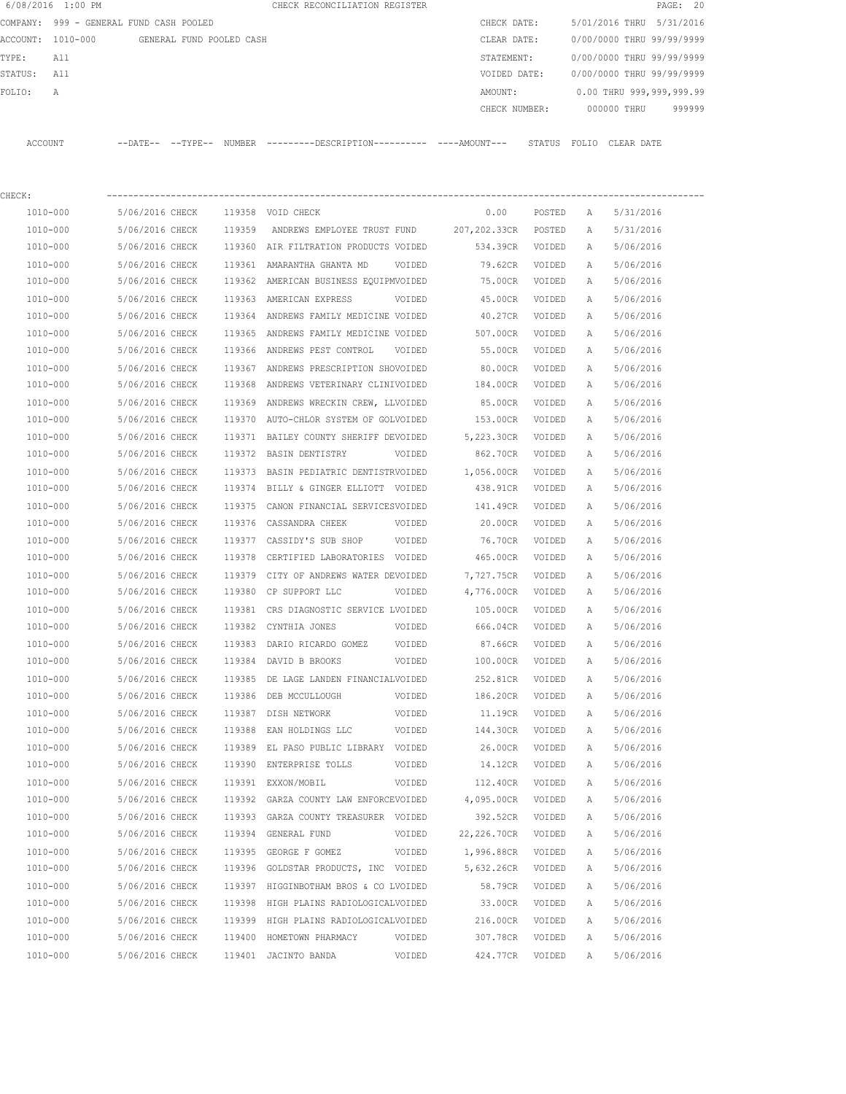|         | 6/08/2016 1:00 PM                       |                |                |                          | CHECK RECONCILIATION REGISTER |               |        |                           |             | PAGE: 20  |  |
|---------|-----------------------------------------|----------------|----------------|--------------------------|-------------------------------|---------------|--------|---------------------------|-------------|-----------|--|
|         | COMPANY: 999 - GENERAL FUND CASH POOLED |                |                |                          |                               | CHECK DATE:   |        | 5/01/2016 THRU            |             | 5/31/2016 |  |
|         | ACCOUNT: 1010-000                       |                |                | GENERAL FUND POOLED CASH |                               | CLEAR DATE:   |        | 0/00/0000 THRU 99/99/9999 |             |           |  |
| TYPE:   | All                                     |                |                |                          |                               | STATEMENT:    |        | 0/00/0000 THRU 99/99/9999 |             |           |  |
| STATUS: | All                                     |                |                |                          |                               | VOIDED DATE:  |        | 0/00/0000 THRU 99/99/9999 |             |           |  |
| FOLTO:  | $\mathbb{A}$                            |                |                |                          |                               | AMOUNT:       |        | 0.00 THRU 999,999,999.99  |             |           |  |
|         |                                         |                |                |                          |                               | CHECK NUMBER: |        |                           | 000000 THRU | 999999    |  |
|         |                                         |                |                |                          |                               |               |        |                           |             |           |  |
| ACCOUNT |                                         | $--$ DATE $--$ | $--$ TYPE $--$ | NUMBER                   | $------DESCRTPTTON--$         |               | STATUS | FOLTO                     | CLEAR DATE  |           |  |

| CHECK:   |                 |        |                                           |             |        |   |           |
|----------|-----------------|--------|-------------------------------------------|-------------|--------|---|-----------|
| 1010-000 | 5/06/2016 CHECK |        | 119358 VOID CHECK                         | 0.00        | POSTED | Α | 5/31/2016 |
| 1010-000 | 5/06/2016 CHECK | 119359 | ANDREWS EMPLOYEE TRUST FUND 207, 202.33CR |             | POSTED | Α | 5/31/2016 |
| 1010-000 | 5/06/2016 CHECK |        | 119360 AIR FILTRATION PRODUCTS VOIDED     | 534.39CR    | VOIDED | Α | 5/06/2016 |
| 1010-000 | 5/06/2016 CHECK |        | 119361 AMARANTHA GHANTA MD<br>VOIDED      | 79.62CR     | VOIDED | Α | 5/06/2016 |
| 1010-000 | 5/06/2016 CHECK |        | 119362 AMERICAN BUSINESS EQUIPMVOIDED     | 75.00CR     | VOIDED | A | 5/06/2016 |
| 1010-000 | 5/06/2016 CHECK |        | 119363 AMERICAN EXPRESS<br>VOIDED         | 45.00CR     | VOIDED | A | 5/06/2016 |
| 1010-000 | 5/06/2016 CHECK |        | 119364 ANDREWS FAMILY MEDICINE VOIDED     | 40.27CR     | VOIDED | A | 5/06/2016 |
| 1010-000 | 5/06/2016 CHECK |        | 119365 ANDREWS FAMILY MEDICINE VOIDED     | 507.00CR    | VOIDED | Α | 5/06/2016 |
| 1010-000 | 5/06/2016 CHECK |        | 119366 ANDREWS PEST CONTROL<br>VOIDED     | 55.00CR     | VOIDED | Α | 5/06/2016 |
| 1010-000 | 5/06/2016 CHECK |        | 119367 ANDREWS PRESCRIPTION SHOVOIDED     | 80.00CR     | VOIDED | Α | 5/06/2016 |
| 1010-000 | 5/06/2016 CHECK |        | 119368 ANDREWS VETERINARY CLINIVOIDED     | 184.00CR    | VOIDED | Α | 5/06/2016 |
| 1010-000 | 5/06/2016 CHECK | 119369 | ANDREWS WRECKIN CREW, LLVOIDED            | 85.00CR     | VOIDED | Α | 5/06/2016 |
| 1010-000 | 5/06/2016 CHECK |        | 119370 AUTO-CHLOR SYSTEM OF GOLVOIDED     | 153.00CR    | VOIDED | Α | 5/06/2016 |
| 1010-000 | 5/06/2016 CHECK |        | 119371 BAILEY COUNTY SHERIFF DEVOIDED     | 5,223.30CR  | VOIDED | Α | 5/06/2016 |
| 1010-000 | 5/06/2016 CHECK |        | 119372 BASIN DENTISTRY<br>VOIDED          | 862.70CR    | VOIDED | Α | 5/06/2016 |
| 1010-000 | 5/06/2016 CHECK |        | 119373 BASIN PEDIATRIC DENTISTRVOIDED     | 1,056.00CR  | VOIDED | Α | 5/06/2016 |
| 1010-000 | 5/06/2016 CHECK |        | 119374 BILLY & GINGER ELLIOTT VOIDED      | 438.91CR    | VOIDED | Α | 5/06/2016 |
| 1010-000 | 5/06/2016 CHECK |        | 119375 CANON FINANCIAL SERVICESVOIDED     | 141.49CR    | VOIDED | Α | 5/06/2016 |
| 1010-000 | 5/06/2016 CHECK |        | 119376 CASSANDRA CHEEK<br>VOIDED          | 20.00CR     | VOIDED | Α | 5/06/2016 |
| 1010-000 | 5/06/2016 CHECK |        | 119377 CASSIDY'S SUB SHOP<br>VOIDED       | 76.70CR     | VOIDED | Α | 5/06/2016 |
| 1010-000 | 5/06/2016 CHECK | 119378 | CERTIFIED LABORATORIES VOIDED             | 465.00CR    | VOIDED | Α | 5/06/2016 |
| 1010-000 | 5/06/2016 CHECK |        | 119379 CITY OF ANDREWS WATER DEVOIDED     | 7,727.75CR  | VOIDED | А | 5/06/2016 |
| 1010-000 | 5/06/2016 CHECK |        | 119380 CP SUPPORT LLC<br>VOIDED           | 4,776.00CR  | VOIDED | А | 5/06/2016 |
| 1010-000 | 5/06/2016 CHECK |        | 119381 CRS DIAGNOSTIC SERVICE LVOIDED     | 105.00CR    | VOIDED | Α | 5/06/2016 |
| 1010-000 | 5/06/2016 CHECK |        | 119382 CYNTHIA JONES<br>VOIDED            | 666.04CR    | VOIDED | Α | 5/06/2016 |
| 1010-000 | 5/06/2016 CHECK | 119383 | DARIO RICARDO GOMEZ<br>VOIDED             | 87.66CR     | VOIDED | Α | 5/06/2016 |
| 1010-000 | 5/06/2016 CHECK |        | 119384 DAVID B BROOKS<br>VOIDED           | 100.00CR    | VOIDED | Α | 5/06/2016 |
| 1010-000 | 5/06/2016 CHECK |        | 119385 DE LAGE LANDEN FINANCIALVOIDED     | 252.81CR    | VOIDED | Α | 5/06/2016 |
| 1010-000 | 5/06/2016 CHECK |        | 119386 DEB MCCULLOUGH<br>VOIDED           | 186.20CR    | VOIDED | A | 5/06/2016 |
| 1010-000 | 5/06/2016 CHECK | 119387 | DISH NETWORK<br>VOIDED                    | 11.19CR     | VOIDED | Α | 5/06/2016 |
| 1010-000 | 5/06/2016 CHECK | 119388 | EAN HOLDINGS LLC<br>VOIDED                | 144.30CR    | VOIDED | A | 5/06/2016 |
| 1010-000 | 5/06/2016 CHECK |        | 119389 EL PASO PUBLIC LIBRARY VOIDED      | 26.00CR     | VOIDED | Α | 5/06/2016 |
| 1010-000 | 5/06/2016 CHECK |        | 119390 ENTERPRISE TOLLS<br>VOIDED         | 14.12CR     | VOIDED | Α | 5/06/2016 |
| 1010-000 | 5/06/2016 CHECK |        | 119391 EXXON/MOBIL<br>VOIDED              | 112.40CR    | VOIDED | Α | 5/06/2016 |
| 1010-000 | 5/06/2016 CHECK |        | 119392 GARZA COUNTY LAW ENFORCEVOIDED     | 4,095.00CR  | VOIDED | Α | 5/06/2016 |
| 1010-000 | 5/06/2016 CHECK |        | 119393 GARZA COUNTY TREASURER VOIDED      | 392.52CR    | VOIDED | А | 5/06/2016 |
| 1010-000 | 5/06/2016 CHECK | 119394 | GENERAL FUND<br>VOIDED                    | 22,226.70CR | VOIDED | А | 5/06/2016 |
| 1010-000 | 5/06/2016 CHECK | 119395 | GEORGE F GOMEZ<br>VOIDED                  | 1,996.88CR  | VOIDED | А | 5/06/2016 |
| 1010-000 | 5/06/2016 CHECK | 119396 | GOLDSTAR PRODUCTS, INC VOIDED             | 5,632.26CR  | VOIDED | А | 5/06/2016 |
| 1010-000 | 5/06/2016 CHECK | 119397 | HIGGINBOTHAM BROS & CO LVOIDED            | 58.79CR     | VOIDED | А | 5/06/2016 |
| 1010-000 | 5/06/2016 CHECK | 119398 | HIGH PLAINS RADIOLOGICALVOIDED            | 33.00CR     | VOIDED | А | 5/06/2016 |
| 1010-000 | 5/06/2016 CHECK | 119399 | HIGH PLAINS RADIOLOGICALVOIDED            | 216.00CR    | VOIDED | А | 5/06/2016 |
| 1010-000 | 5/06/2016 CHECK | 119400 | HOMETOWN PHARMACY<br>VOIDED               | 307.78CR    | VOIDED | Α | 5/06/2016 |
| 1010-000 | 5/06/2016 CHECK |        | 119401 JACINTO BANDA<br>VOIDED            | 424.77CR    | VOIDED | Α | 5/06/2016 |
|          |                 |        |                                           |             |        |   |           |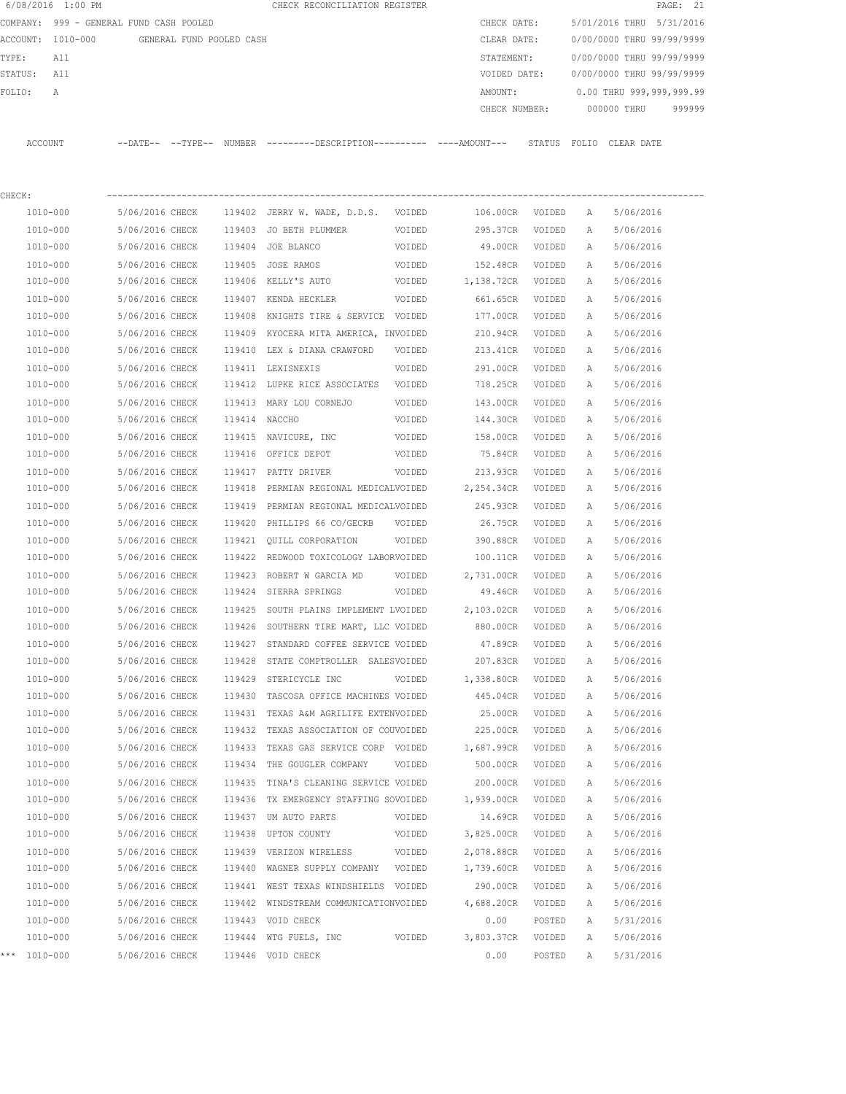|         | 6/08/2016 1:00 PM |                                         |        | CHECK RECONCILIATION REGISTER                                                                |                  |                          |                  |        | PAGE: 21                                          |
|---------|-------------------|-----------------------------------------|--------|----------------------------------------------------------------------------------------------|------------------|--------------------------|------------------|--------|---------------------------------------------------|
|         |                   | COMPANY: 999 - GENERAL FUND CASH POOLED |        |                                                                                              |                  | CHECK DATE:              |                  |        | 5/01/2016 THRU<br>5/31/2016                       |
|         | ACCOUNT: 1010-000 | GENERAL FUND POOLED CASH                |        |                                                                                              |                  | CLEAR DATE:              |                  |        | 0/00/0000 THRU 99/99/9999                         |
| TYPE:   | All               |                                         |        |                                                                                              |                  | STATEMENT:               |                  |        | 0/00/0000 THRU 99/99/9999                         |
| STATUS: | All               |                                         |        |                                                                                              |                  | VOIDED DATE:             |                  |        | 0/00/0000 THRU 99/99/9999                         |
| FOLIO:  | Α                 |                                         |        |                                                                                              |                  | AMOUNT:<br>CHECK NUMBER: |                  |        | 0.00 THRU 999,999,999.99<br>000000 THRU<br>999999 |
|         | ACCOUNT           |                                         |        | --DATE-- --TYPE-- NUMBER --------DESCRIPTION---------- ----AMOUNT--- STATUS FOLIO CLEAR-DATE |                  |                          |                  |        |                                                   |
|         |                   |                                         |        |                                                                                              |                  |                          |                  |        |                                                   |
| CHECK:  |                   |                                         |        |                                                                                              |                  |                          |                  |        |                                                   |
|         | 1010-000          | 5/06/2016 CHECK                         |        | 119402 JERRY W. WADE, D.D.S. VOIDED                                                          |                  | 106.00CR VOIDED          |                  | A      | 5/06/2016                                         |
|         | 1010-000          | 5/06/2016 CHECK                         |        | 119403 JO BETH PLUMMER                                                                       | VOIDED           | 295.37CR                 | VOIDED           | Α      | 5/06/2016                                         |
|         | 1010-000          | 5/06/2016 CHECK                         |        | 119404 JOE BLANCO                                                                            | VOIDED           | 49.00CR VOIDED           |                  | A      | 5/06/2016                                         |
|         | 1010-000          | 5/06/2016 CHECK                         |        | 119405 JOSE RAMOS                                                                            | VOIDED           | 152.48CR                 | VOIDED           | Α      | 5/06/2016                                         |
|         | 1010-000          | 5/06/2016 CHECK                         |        | 119406 KELLY'S AUTO                                                                          | VOIDED           | 1,138.72CR VOIDED        |                  | Α      | 5/06/2016                                         |
|         | 1010-000          | 5/06/2016 CHECK                         |        | 119407 KENDA HECKLER                                                                         | VOIDED           | 661.65CR                 | VOIDED           | Α      | 5/06/2016                                         |
|         | 1010-000          | 5/06/2016 CHECK                         |        | 119408 KNIGHTS TIRE & SERVICE VOIDED                                                         |                  | 177.00CR                 | VOIDED           | А      | 5/06/2016                                         |
|         | 1010-000          | 5/06/2016 CHECK                         |        | 119409 KYOCERA MITA AMERICA, INVOIDED                                                        |                  | 210.94CR                 | VOIDED           | Α      | 5/06/2016                                         |
|         | 1010-000          | 5/06/2016 CHECK                         |        | 119410 LEX & DIANA CRAWFORD VOIDED                                                           |                  | 213.41CR                 | VOIDED           | А      | 5/06/2016                                         |
|         | 1010-000          | 5/06/2016 CHECK                         |        | 119411 LEXISNEXIS                                                                            | VOIDED           | 291.00CR                 | VOIDED           | Α      | 5/06/2016                                         |
|         | 1010-000          | 5/06/2016 CHECK                         |        | 119412 LUPKE RICE ASSOCIATES VOIDED                                                          |                  | 718.25CR                 | VOIDED           | A      | 5/06/2016                                         |
|         | 1010-000          | 5/06/2016 CHECK                         |        | 119413 MARY LOU CORNEJO                                                                      | VOIDED           | 143.00CR                 | VOIDED           | Α      | 5/06/2016                                         |
|         | 1010-000          | 5/06/2016 CHECK                         |        | 119414 NACCHO                                                                                | VOIDED           | 144.30CR                 | VOIDED           | A      | 5/06/2016                                         |
|         | 1010-000          | 5/06/2016 CHECK                         |        | 119415 NAVICURE, INC                                                                         | VOIDED           | 158.00CR                 | VOIDED           | Α      | 5/06/2016                                         |
|         | 1010-000          | 5/06/2016 CHECK                         |        | 119416 OFFICE DEPOT                                                                          | VOIDED           | 75.84CR                  | VOIDED           | А      | 5/06/2016                                         |
|         | 1010-000          | 5/06/2016 CHECK                         | 119417 | PATTY DRIVER                                                                                 | VOIDED           | 213.93CR                 | VOIDED           | Α      | 5/06/2016                                         |
|         | 1010-000          | 5/06/2016 CHECK                         | 119418 | PERMIAN REGIONAL MEDICALVOIDED                                                               |                  | 2,254.34CR               | VOIDED           | Α      | 5/06/2016                                         |
|         | 1010-000          | 5/06/2016 CHECK                         | 119419 | PERMIAN REGIONAL MEDICALVOIDED                                                               |                  | 245.93CR                 | VOIDED           | Α      | 5/06/2016                                         |
|         | 1010-000          | 5/06/2016 CHECK                         |        | 119420 PHILLIPS 66 CO/GECRB                                                                  | VOIDED           | 26.75CR                  | VOIDED           | Α      | 5/06/2016                                         |
|         | 1010-000          | 5/06/2016 CHECK                         |        | 119421 OUILL CORPORATION                                                                     | VOIDED           | 390.88CR                 | VOIDED           | А      | 5/06/2016                                         |
|         | 1010-000          | 5/06/2016 CHECK                         |        | 119422 REDWOOD TOXICOLOGY LABORVOIDED                                                        |                  | 100.11CR                 | VOIDED           | Α      | 5/06/2016                                         |
|         | 1010-000          | 5/06/2016 CHECK                         | 119423 | ROBERT W GARCIA MD                                                                           | VOIDED           | 2,731.00CR               | VOIDED           | A      | 5/06/2016                                         |
|         | 1010-000          | 5/06/2016 CHECK                         |        | 119424 SIERRA SPRINGS                                                                        | VOIDED           | 49.46CR                  | VOIDED           | Α      | 5/06/2016                                         |
|         | 1010-000          | 5/06/2016 CHECK                         |        | 119425 SOUTH PLAINS IMPLEMENT LVOIDED                                                        |                  | 2,103.02CR               | VOIDED           | Α      | 5/06/2016                                         |
|         | 1010-000          | 5/06/2016 CHECK                         |        | 119426 SOUTHERN TIRE MART, LLC VOIDED                                                        |                  | 880.00CR                 | VOIDED           | А      | 5/06/2016                                         |
|         | 1010-000          | 5/06/2016 CHECK                         |        | 119427 STANDARD COFFEE SERVICE VOIDED                                                        |                  | 47.89CR                  | VOIDED           | Α      | 5/06/2016                                         |
|         | 1010-000          | 5/06/2016 CHECK                         |        | 119428 STATE COMPTROLLER SALESVOIDED                                                         |                  | 207.83CR                 | VOIDED           | Α      | 5/06/2016                                         |
|         | 1010-000          | 5/06/2016 CHECK                         | 119429 | STERICYCLE INC                                                                               | VOIDED           | 1,338.80CR               | VOIDED           | Α      | 5/06/2016                                         |
|         | 1010-000          | 5/06/2016 CHECK                         | 119430 | TASCOSA OFFICE MACHINES VOIDED                                                               |                  | 445.04CR                 | VOIDED           | Α      | 5/06/2016                                         |
|         | 1010-000          | 5/06/2016 CHECK                         | 119431 | TEXAS A&M AGRILIFE EXTENVOIDED                                                               |                  | 25.00CR                  | VOIDED           | Α      | 5/06/2016                                         |
|         | 1010-000          | 5/06/2016 CHECK                         | 119432 | TEXAS ASSOCIATION OF COUVOIDED                                                               |                  | 225.00CR                 | VOIDED           | Α      | 5/06/2016                                         |
|         | 1010-000          | 5/06/2016 CHECK                         | 119433 | TEXAS GAS SERVICE CORP VOIDED                                                                |                  | 1,687.99CR               | VOIDED           | Α      | 5/06/2016                                         |
|         | 1010-000          | 5/06/2016 CHECK                         | 119434 | THE GOUGLER COMPANY                                                                          | VOIDED           | 500.00CR                 | VOIDED           | Α      | 5/06/2016                                         |
|         | 1010-000          | 5/06/2016 CHECK                         | 119435 | TINA'S CLEANING SERVICE VOIDED                                                               |                  | 200.00CR                 | VOIDED           | Α      | 5/06/2016                                         |
|         | 1010-000          | 5/06/2016 CHECK                         |        | 119436 TX EMERGENCY STAFFING SOVOIDED                                                        |                  | 1,939.00CR               | VOIDED           | Α      | 5/06/2016                                         |
|         | 1010-000          | 5/06/2016 CHECK                         |        |                                                                                              |                  |                          |                  |        |                                                   |
|         | 1010-000          | 5/06/2016 CHECK                         |        | 119437 UM AUTO PARTS<br>119438 UPTON COUNTY                                                  | VOIDED<br>VOIDED | 14.69CR<br>3,825.00CR    | VOIDED<br>VOIDED | Α<br>Α | 5/06/2016<br>5/06/2016                            |
|         |                   |                                         |        |                                                                                              |                  |                          |                  |        |                                                   |
|         | 1010-000          | 5/06/2016 CHECK                         |        | 119439 VERIZON WIRELESS                                                                      | VOIDED           | 2,078.88CR               | VOIDED           | Α      | 5/06/2016                                         |
|         | 1010-000          | 5/06/2016 CHECK                         |        | 119440 WAGNER SUPPLY COMPANY VOIDED                                                          |                  | 1,739.60CR               | VOIDED           | Α      | 5/06/2016                                         |
|         | 1010-000          | 5/06/2016 CHECK                         |        | 119441 WEST TEXAS WINDSHIELDS VOIDED                                                         |                  | 290.00CR                 | VOIDED           | Α      | 5/06/2016                                         |
|         | 1010-000          | 5/06/2016 CHECK                         |        | 119442 WINDSTREAM COMMUNICATIONVOIDED                                                        |                  | 4,688.20CR               | VOIDED           | Α      | 5/06/2016                                         |
|         | 1010-000          | 5/06/2016 CHECK                         |        | 119443 VOID CHECK                                                                            |                  | 0.00                     | POSTED           | Α      | 5/31/2016                                         |
|         | $1010 - 000$      | 5/06/2016 CHECK                         |        | 119444 WTG FUELS, INC                                                                        | VOIDED           | 3,803.37CR               | VOIDED           | Α      | 5/06/2016                                         |
|         | *** 1010-000      | 5/06/2016 CHECK                         |        | 119446 VOID CHECK                                                                            |                  | 0.00                     | POSTED           | Α      | 5/31/2016                                         |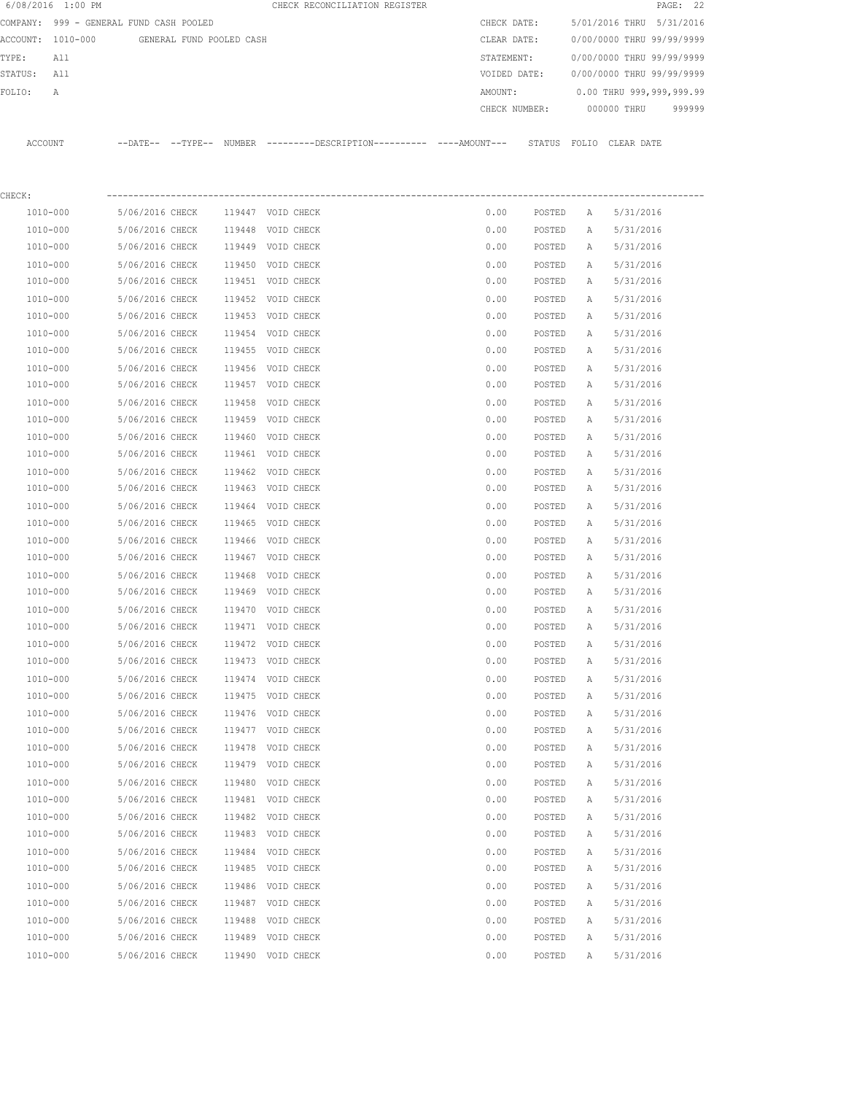|         | 6/08/2016 1:00 PM                       |                 |                          |        | CHECK RECONCILIATION REGISTER                                                                |         |               |              |                           | PAGE: 22 |
|---------|-----------------------------------------|-----------------|--------------------------|--------|----------------------------------------------------------------------------------------------|---------|---------------|--------------|---------------------------|----------|
|         | COMPANY: 999 - GENERAL FUND CASH POOLED |                 |                          |        |                                                                                              |         | CHECK DATE:   |              | 5/01/2016 THRU 5/31/2016  |          |
|         | ACCOUNT: 1010-000                       |                 | GENERAL FUND POOLED CASH |        |                                                                                              |         | CLEAR DATE:   |              | 0/00/0000 THRU 99/99/9999 |          |
| TYPE:   | All                                     |                 |                          |        |                                                                                              |         | STATEMENT:    |              | 0/00/0000 THRU 99/99/9999 |          |
| STATUS: | All                                     |                 |                          |        |                                                                                              |         | VOIDED DATE:  |              | 0/00/0000 THRU 99/99/9999 |          |
| FOLIO:  | A                                       |                 |                          |        |                                                                                              | AMOUNT: |               |              | 0.00 THRU 999,999,999.99  |          |
|         |                                         |                 |                          |        |                                                                                              |         | CHECK NUMBER: |              | 000000 THRU               | 999999   |
|         | ACCOUNT                                 |                 |                          |        | --DATE-- --TYPE-- NUMBER --------DESCRIPTION---------- ----AMOUNT--- STATUS FOLIO CLEAR DATE |         |               |              |                           |          |
|         |                                         |                 |                          |        |                                                                                              |         |               |              |                           |          |
| CHECK:  |                                         |                 |                          |        |                                                                                              |         |               |              |                           |          |
|         | 1010-000                                | 5/06/2016 CHECK |                          |        | 119447 VOID CHECK                                                                            | 0.00    | POSTED        | A            | 5/31/2016                 |          |
|         | 1010-000                                | 5/06/2016 CHECK |                          | 119448 | VOID CHECK                                                                                   | 0.00    | POSTED        | Α            | 5/31/2016                 |          |
|         | 1010-000                                | 5/06/2016 CHECK |                          |        | 119449 VOID CHECK                                                                            | 0.00    | POSTED        | Α            | 5/31/2016                 |          |
|         | 1010-000                                | 5/06/2016 CHECK |                          |        | 119450 VOID CHECK                                                                            | 0.00    | POSTED        | Α            | 5/31/2016                 |          |
|         | 1010-000                                | 5/06/2016 CHECK |                          |        | 119451 VOID CHECK                                                                            | 0.00    | POSTED        | А            | 5/31/2016                 |          |
|         | 1010-000                                | 5/06/2016 CHECK |                          |        | 119452 VOID CHECK                                                                            | 0.00    | POSTED        | А            | 5/31/2016                 |          |
|         | 1010-000                                | 5/06/2016 CHECK |                          |        | 119453 VOID CHECK                                                                            | 0.00    | POSTED        | А            | 5/31/2016                 |          |
|         | 1010-000                                | 5/06/2016 CHECK |                          |        | 119454 VOID CHECK                                                                            | 0.00    | POSTED        | Α            | 5/31/2016                 |          |
|         | 1010-000                                | 5/06/2016 CHECK |                          |        | 119455 VOID CHECK                                                                            | 0.00    | POSTED        | Α            | 5/31/2016                 |          |
|         | 1010-000                                | 5/06/2016 CHECK |                          |        | 119456 VOID CHECK                                                                            | 0.00    | POSTED        | Α            | 5/31/2016                 |          |
|         | 1010-000                                | 5/06/2016 CHECK |                          |        | 119457 VOID CHECK                                                                            | 0.00    | POSTED        | Α            | 5/31/2016                 |          |
|         | 1010-000                                | 5/06/2016 CHECK |                          | 119458 | VOID CHECK                                                                                   | 0.00    | POSTED        | Α            | 5/31/2016                 |          |
|         | 1010-000                                | 5/06/2016 CHECK |                          |        | 119459 VOID CHECK                                                                            | 0.00    | POSTED        | Α            | 5/31/2016                 |          |
|         | 1010-000                                | 5/06/2016 CHECK |                          |        | 119460 VOID CHECK                                                                            | 0.00    | POSTED        | Α            | 5/31/2016                 |          |
|         | 1010-000                                | 5/06/2016 CHECK |                          |        | 119461 VOID CHECK                                                                            | 0.00    | POSTED        | Α            | 5/31/2016                 |          |
|         | 1010-000                                | 5/06/2016 CHECK |                          | 119462 | VOID CHECK                                                                                   | 0.00    | POSTED        | Α            | 5/31/2016                 |          |
|         | 1010-000                                | 5/06/2016 CHECK |                          |        | 119463 VOID CHECK                                                                            | 0.00    | POSTED        | Α            | 5/31/2016                 |          |
|         | 1010-000                                | 5/06/2016 CHECK |                          |        | 119464 VOID CHECK                                                                            | 0.00    | POSTED        | Α            | 5/31/2016                 |          |
|         | 1010-000                                | 5/06/2016 CHECK |                          |        | 119465 VOID CHECK                                                                            | 0.00    | POSTED        | Α            | 5/31/2016                 |          |
|         | 1010-000                                | 5/06/2016 CHECK |                          | 119466 | VOID CHECK                                                                                   | 0.00    | POSTED        | Α            | 5/31/2016                 |          |
|         | 1010-000                                | 5/06/2016 CHECK |                          |        | 119467 VOID CHECK                                                                            | 0.00    | POSTED        | Α            | 5/31/2016                 |          |
|         | 1010-000                                | 5/06/2016 CHECK |                          | 119468 | VOID CHECK                                                                                   | 0.00    | POSTED        | Α            | 5/31/2016                 |          |
|         | 1010-000                                | 5/06/2016 CHECK |                          |        | 119469 VOID CHECK                                                                            | 0.00    | POSTED        | Α            | 5/31/2016                 |          |
|         | 1010-000                                | 5/06/2016 CHECK |                          |        | 119470 VOID CHECK                                                                            | 0.00    | POSTED        | $\mathbb{A}$ | 5/31/2016                 |          |
|         | 1010-000                                | 5/06/2016 CHECK |                          |        | 119471 VOID CHECK                                                                            | 0.00    | POSTED        | Α            | 5/31/2016                 |          |
|         | 1010-000                                | 5/06/2016 CHECK |                          |        | 119472 VOID CHECK                                                                            | 0.00    | POSTED        | Α            | 5/31/2016                 |          |
|         | 1010-000                                | 5/06/2016 CHECK |                          |        | 119473 VOID CHECK                                                                            | 0.00    | POSTED        | Α            | 5/31/2016                 |          |
|         | 1010-000                                | 5/06/2016 CHECK |                          |        | 119474 VOID CHECK                                                                            | 0.00    | POSTED        | Α            | 5/31/2016                 |          |
|         | 1010-000                                | 5/06/2016 CHECK |                          |        | 119475 VOID CHECK                                                                            | 0.00    | POSTED        | Α            | 5/31/2016                 |          |
|         | 1010-000                                | 5/06/2016 CHECK |                          |        | 119476 VOID CHECK                                                                            | 0.00    | POSTED        | Α            | 5/31/2016                 |          |
|         | 1010-000                                | 5/06/2016 CHECK |                          |        | 119477 VOID CHECK                                                                            | 0.00    | POSTED        | Α            | 5/31/2016                 |          |
|         | 1010-000                                | 5/06/2016 CHECK |                          |        | 119478 VOID CHECK                                                                            | 0.00    | POSTED        | Α            | 5/31/2016                 |          |
|         | 1010-000                                | 5/06/2016 CHECK |                          |        | 119479 VOID CHECK                                                                            | 0.00    | POSTED        | Α            | 5/31/2016                 |          |
|         | $1010 - 000$                            | 5/06/2016 CHECK |                          |        | 119480 VOID CHECK                                                                            | 0.00    | POSTED        | Α            | 5/31/2016                 |          |
|         | $1010 - 000$                            | 5/06/2016 CHECK |                          |        | 119481 VOID CHECK                                                                            | 0.00    | POSTED        | Α            | 5/31/2016                 |          |
|         | 1010-000                                | 5/06/2016 CHECK |                          |        | 119482 VOID CHECK                                                                            | 0.00    | POSTED        | Α            | 5/31/2016                 |          |
|         | 1010-000                                | 5/06/2016 CHECK |                          |        | 119483 VOID CHECK                                                                            | 0.00    | POSTED        | Α            | 5/31/2016                 |          |
|         | 1010-000                                | 5/06/2016 CHECK |                          |        | 119484 VOID CHECK                                                                            | 0.00    | POSTED        | Α            | 5/31/2016                 |          |
|         | 1010-000                                | 5/06/2016 CHECK |                          |        | 119485 VOID CHECK                                                                            | 0.00    | POSTED        | Α            | 5/31/2016                 |          |
|         | 1010-000                                | 5/06/2016 CHECK |                          |        | 119486 VOID CHECK                                                                            | 0.00    | POSTED        | Α            | 5/31/2016                 |          |
|         | $1010 - 000$                            | 5/06/2016 CHECK |                          |        | 119487 VOID CHECK                                                                            | 0.00    | POSTED        | Α            | 5/31/2016                 |          |
|         | 1010-000                                | 5/06/2016 CHECK |                          | 119488 | VOID CHECK                                                                                   | 0.00    | POSTED        | Α            | 5/31/2016                 |          |
|         | 1010-000                                | 5/06/2016 CHECK |                          |        | 119489 VOID CHECK                                                                            | 0.00    | POSTED        | Α            | 5/31/2016                 |          |
|         | 1010-000                                | 5/06/2016 CHECK |                          |        | 119490 VOID CHECK                                                                            | 0.00    | POSTED        | Α            | 5/31/2016                 |          |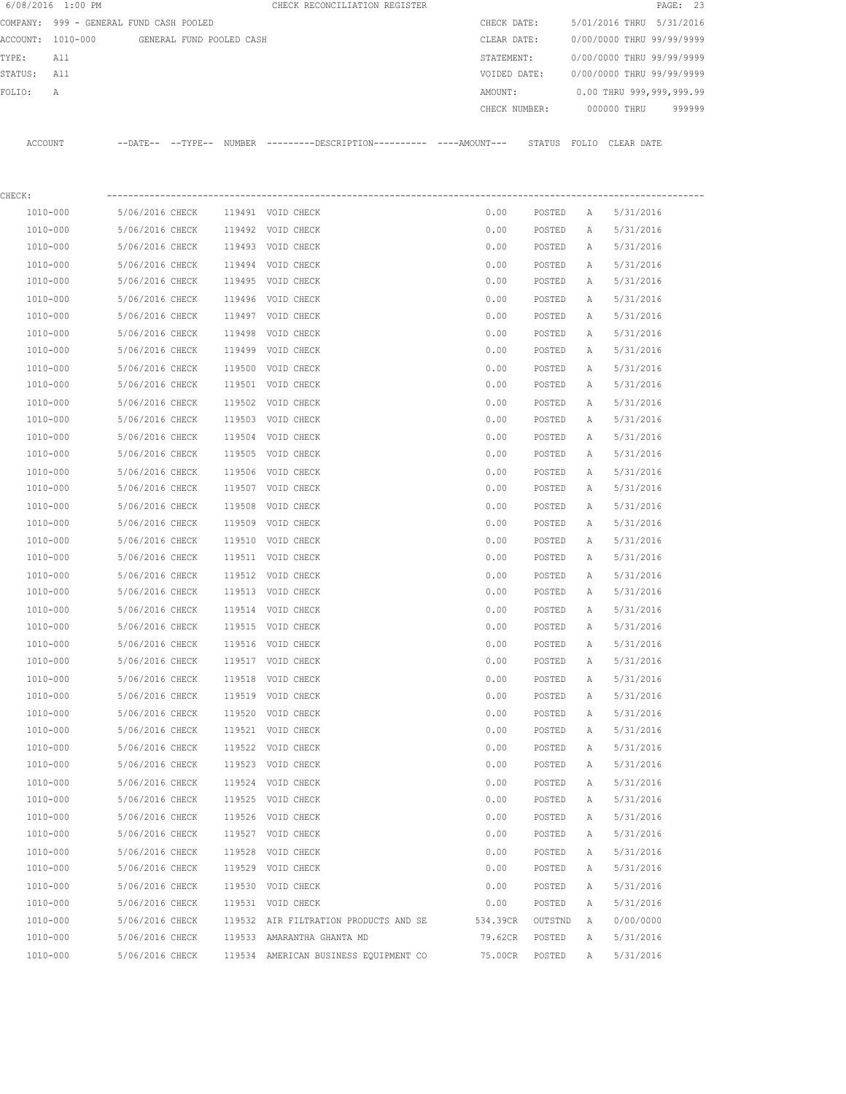|         | 6/08/2016 1:00 PM                       |                 |                          |        | CHECK RECONCILIATION REGISTER                                                                |                     |                   |        |                           | PAGE: 23 |
|---------|-----------------------------------------|-----------------|--------------------------|--------|----------------------------------------------------------------------------------------------|---------------------|-------------------|--------|---------------------------|----------|
|         | COMPANY: 999 - GENERAL FUND CASH POOLED |                 |                          |        |                                                                                              | CHECK DATE:         |                   |        | 5/01/2016 THRU 5/31/2016  |          |
|         | ACCOUNT: 1010-000                       |                 | GENERAL FUND POOLED CASH |        |                                                                                              | CLEAR DATE:         |                   |        | 0/00/0000 THRU 99/99/9999 |          |
| TYPE:   | All                                     |                 |                          |        |                                                                                              | STATEMENT:          |                   |        | 0/00/0000 THRU 99/99/9999 |          |
| STATUS: | All                                     |                 |                          |        |                                                                                              | VOIDED DATE:        |                   |        | 0/00/0000 THRU 99/99/9999 |          |
| FOLIO:  | А                                       |                 |                          |        |                                                                                              | AMOUNT:             |                   |        | 0.00 THRU 999,999,999.99  |          |
|         |                                         |                 |                          |        |                                                                                              | CHECK NUMBER:       |                   |        | 000000 THRU               | 999999   |
|         | ACCOUNT                                 |                 |                          |        | --DATE-- --TYPE-- NUMBER ---------DESCRIPTION---------- ----AMOUNT--- STATUS FOLIO CLEARDATE |                     |                   |        |                           |          |
|         |                                         |                 |                          |        |                                                                                              |                     |                   |        |                           |          |
| CHECK:  |                                         |                 |                          |        |                                                                                              |                     |                   |        |                           |          |
|         | 1010-000                                | 5/06/2016 CHECK |                          |        | 119491 VOID CHECK                                                                            | 0.00                | POSTED            | Α      | 5/31/2016                 |          |
|         | 1010-000                                | 5/06/2016 CHECK |                          |        | 119492 VOID CHECK                                                                            | 0.00                | POSTED            | Α      | 5/31/2016                 |          |
|         | 1010-000                                | 5/06/2016 CHECK |                          |        | 119493 VOID CHECK                                                                            | 0.00                | POSTED            | Α      | 5/31/2016                 |          |
|         | 1010-000                                | 5/06/2016 CHECK |                          |        | 119494 VOID CHECK                                                                            | 0.00                | POSTED            | А      | 5/31/2016                 |          |
|         | 1010-000                                | 5/06/2016 CHECK |                          |        | 119495 VOID CHECK                                                                            | 0.00                | POSTED            | А      | 5/31/2016                 |          |
|         | 1010-000                                | 5/06/2016 CHECK |                          | 119496 | VOID CHECK                                                                                   | 0.00                | POSTED            | Α      | 5/31/2016                 |          |
|         | 1010-000                                | 5/06/2016 CHECK |                          |        | 119497 VOID CHECK                                                                            | 0.00                | POSTED            | Α      | 5/31/2016                 |          |
|         | 1010-000                                | 5/06/2016 CHECK |                          | 119498 | VOID CHECK                                                                                   | 0.00                | POSTED            | Α      | 5/31/2016                 |          |
|         | 1010-000                                | 5/06/2016 CHECK |                          | 119499 | VOID CHECK                                                                                   | 0.00                | POSTED            | Α      | 5/31/2016                 |          |
|         | 1010-000                                | 5/06/2016 CHECK |                          | 119500 | VOID CHECK                                                                                   | 0.00                | POSTED            | Α      | 5/31/2016                 |          |
|         | 1010-000                                | 5/06/2016 CHECK |                          |        | 119501 VOID CHECK                                                                            | 0.00                | POSTED            | Α      | 5/31/2016                 |          |
|         | 1010-000                                | 5/06/2016 CHECK |                          |        | 119502 VOID CHECK                                                                            | 0.00                | POSTED            | Α      | 5/31/2016                 |          |
|         | 1010-000                                | 5/06/2016 CHECK |                          |        | 119503 VOID CHECK                                                                            | 0.00                | POSTED            | Α      | 5/31/2016                 |          |
|         | 1010-000                                | 5/06/2016 CHECK |                          | 119504 | VOID CHECK                                                                                   | 0.00                | POSTED            | Α      | 5/31/2016                 |          |
|         | 1010-000                                | 5/06/2016 CHECK |                          | 119505 | VOID CHECK                                                                                   | 0.00                | POSTED            | Α      | 5/31/2016                 |          |
|         | 1010-000                                | 5/06/2016 CHECK |                          | 119506 | VOID CHECK                                                                                   | 0.00                | POSTED            | Α      | 5/31/2016                 |          |
|         | 1010-000                                | 5/06/2016 CHECK |                          |        | 119507 VOID CHECK                                                                            | 0.00                | POSTED            | Α      | 5/31/2016                 |          |
|         | 1010-000                                | 5/06/2016 CHECK |                          | 119508 | VOID CHECK                                                                                   | 0.00                | POSTED            | Α      | 5/31/2016                 |          |
|         | 1010-000                                | 5/06/2016 CHECK |                          | 119509 | VOID CHECK                                                                                   | 0.00                | POSTED            | Α      | 5/31/2016                 |          |
|         | 1010-000                                | 5/06/2016 CHECK |                          | 119510 | VOID CHECK                                                                                   | 0.00                | POSTED            | Α      | 5/31/2016                 |          |
|         | 1010-000                                | 5/06/2016 CHECK |                          |        | 119511 VOID CHECK                                                                            | 0.00                | POSTED            | Α      | 5/31/2016                 |          |
|         | 1010-000                                | 5/06/2016 CHECK |                          |        | 119512 VOID CHECK                                                                            | 0.00                | POSTED            | Α      | 5/31/2016                 |          |
|         | 1010-000                                | 5/06/2016 CHECK |                          |        | 119513 VOID CHECK                                                                            | 0.00                | POSTED            | Α      | 5/31/2016                 |          |
|         | 1010-000                                | 5/06/2016 CHECK |                          |        | 119514 VOID CHECK                                                                            | 0.00                | POSTED            | Α      | 5/31/2016                 |          |
|         | 1010-000                                | 5/06/2016 CHECK |                          |        | 119515 VOID CHECK                                                                            | 0.00                | POSTED            | А      | 5/31/2016                 |          |
|         | 1010-000                                | 5/06/2016 CHECK |                          |        | 119516 VOID CHECK                                                                            | 0.00                | POSTED            | Α      | 5/31/2016                 |          |
|         | 1010-000                                | 5/06/2016 CHECK |                          |        | 119517 VOID CHECK                                                                            | 0.00                | POSTED            | Α      | 5/31/2016                 |          |
|         | 1010-000                                | 5/06/2016 CHECK |                          |        | 119518 VOID CHECK                                                                            | 0.00                | POSTED            | Α      | 5/31/2016                 |          |
|         | 1010-000                                | 5/06/2016 CHECK |                          |        | 119519 VOID CHECK                                                                            | 0.00                | POSTED            | Α      | 5/31/2016                 |          |
|         | 1010-000                                | 5/06/2016 CHECK |                          |        | 119520 VOID CHECK                                                                            | 0.00                | POSTED            | Α      | 5/31/2016                 |          |
|         | 1010-000                                | 5/06/2016 CHECK |                          |        | 119521 VOID CHECK                                                                            | 0.00                | POSTED            | Α      | 5/31/2016                 |          |
|         | 1010-000                                | 5/06/2016 CHECK |                          |        | 119522 VOID CHECK                                                                            | 0.00                | POSTED            | Α      | 5/31/2016                 |          |
|         | 1010-000                                | 5/06/2016 CHECK |                          |        | 119523 VOID CHECK                                                                            | 0.00                | POSTED            | Α      | 5/31/2016                 |          |
|         | 1010-000                                | 5/06/2016 CHECK |                          |        | 119524 VOID CHECK                                                                            | 0.00                | POSTED            | Α      | 5/31/2016                 |          |
|         | 1010-000                                | 5/06/2016 CHECK |                          |        | 119525 VOID CHECK                                                                            | 0.00                | POSTED            | Α      | 5/31/2016                 |          |
|         | 1010-000                                | 5/06/2016 CHECK |                          |        | 119526 VOID CHECK                                                                            | 0.00                | POSTED            | Α      | 5/31/2016                 |          |
|         | 1010-000                                | 5/06/2016 CHECK |                          |        | 119527 VOID CHECK                                                                            | 0.00                | POSTED            | Α      | 5/31/2016                 |          |
|         | 1010-000                                | 5/06/2016 CHECK |                          | 119528 | VOID CHECK                                                                                   | 0.00                | POSTED            | Α      | 5/31/2016                 |          |
|         | 1010-000                                | 5/06/2016 CHECK |                          | 119529 | VOID CHECK                                                                                   | 0.00                | POSTED            | Α      | 5/31/2016                 |          |
|         | 1010-000                                | 5/06/2016 CHECK |                          | 119530 | VOID CHECK                                                                                   | 0.00                | POSTED            | Α      | 5/31/2016                 |          |
|         | 1010-000                                | 5/06/2016 CHECK |                          |        | 119531 VOID CHECK                                                                            | 0.00                | POSTED            | Α      | 5/31/2016                 |          |
|         | 1010-000                                | 5/06/2016 CHECK |                          |        |                                                                                              |                     |                   |        |                           |          |
|         | 1010-000                                | 5/06/2016 CHECK |                          |        | 119532 AIR FILTRATION PRODUCTS AND SE<br>119533 AMARANTHA GHANTA MD                          | 534.39CR<br>79.62CR | OUTSTND<br>POSTED | Α<br>Α | 0/00/0000<br>5/31/2016    |          |
|         | 1010-000                                | 5/06/2016 CHECK |                          |        | 119534 AMERICAN BUSINESS EQUIPMENT CO                                                        | 75.00CR             | POSTED            | Α      | 5/31/2016                 |          |
|         |                                         |                 |                          |        |                                                                                              |                     |                   |        |                           |          |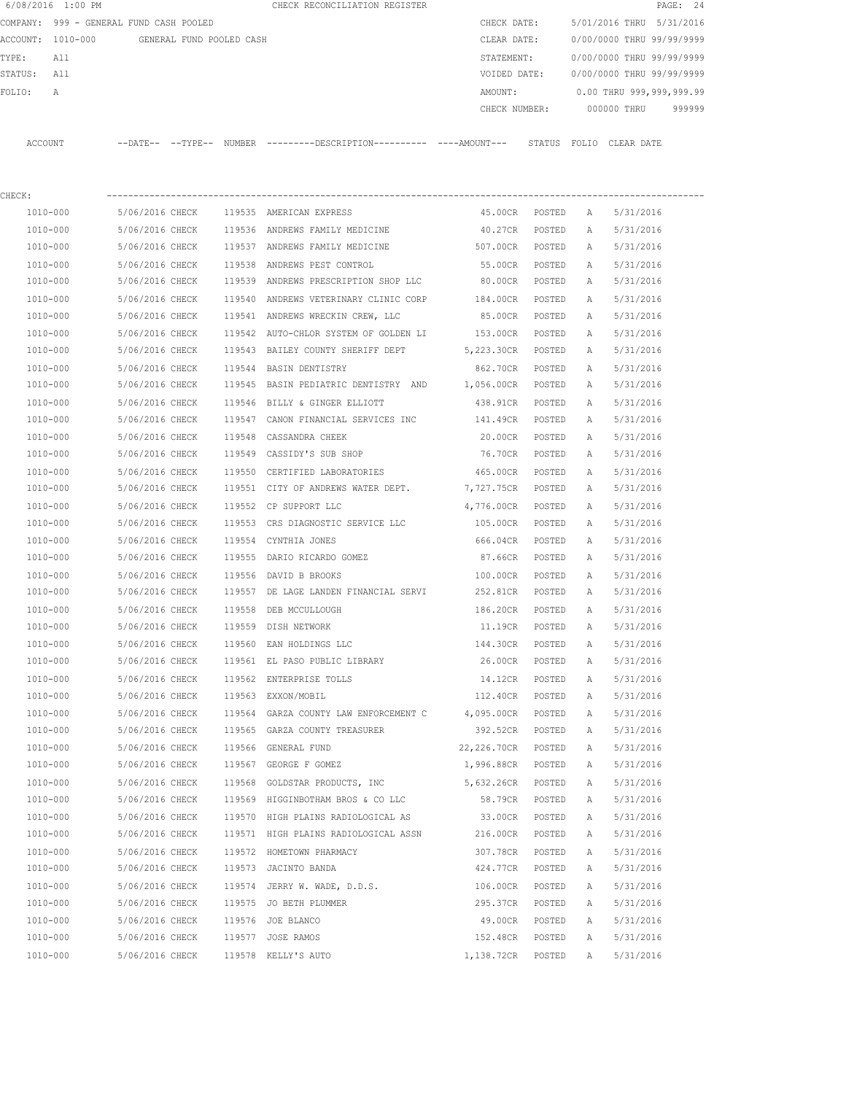|                   | 6/08/2016 1:00 PM                       |                          |        |                  | CHECK RECONCILIATION REGISTER |                                          |             |               |              |                           | PAGE: 24 |  |
|-------------------|-----------------------------------------|--------------------------|--------|------------------|-------------------------------|------------------------------------------|-------------|---------------|--------------|---------------------------|----------|--|
|                   | COMPANY: 999 - GENERAL FUND CASH POOLED |                          |        |                  |                               |                                          | CHECK DATE: |               |              | 5/01/2016 THRU 5/31/2016  |          |  |
| ACCOUNT: 1010-000 |                                         | GENERAL FUND POOLED CASH |        |                  |                               |                                          | CLEAR DATE: |               |              | 0/00/0000 THRU 99/99/9999 |          |  |
| TYPE:             | All                                     |                          |        |                  |                               |                                          | STATEMENT:  |               |              | 0/00/0000 THRU 99/99/9999 |          |  |
| STATUS:           | All                                     |                          |        |                  |                               |                                          |             | VOIDED DATE:  |              | 0/00/0000 THRU 99/99/9999 |          |  |
| FOLIO:            | $\overline{A}$                          |                          |        |                  |                               |                                          | AMOUNT:     |               |              | 0.00 THRU 999,999,999.99  |          |  |
|                   |                                         |                          |        |                  |                               |                                          |             | CHECK NUMBER: |              | 000000 THRU               | 999999   |  |
| ACCOUNT           |                                         | --DATE-- --TYPE-- NUMBER |        |                  |                               | $------DESCRTPTTON-------- ---AMOUNT---$ |             | STATUS        | FOLIO        | CLEAR DATE                |          |  |
| CHECK:            |                                         |                          |        |                  |                               |                                          |             |               |              |                           |          |  |
| 1010-000          |                                         | 5/06/2016 CHECK          | 119535 | AMERICAN EXPRESS |                               |                                          | 45.00CR     | POSTED        | $\mathsf{A}$ | 5/31/2016                 |          |  |

| 1010-000     | 5/06/2016 CHECK |        | 119536 ANDREWS FAMILY MEDICINE                                         | 40.27CR POSTED     |        | A | 5/31/2016 |
|--------------|-----------------|--------|------------------------------------------------------------------------|--------------------|--------|---|-----------|
| 1010-000     | 5/06/2016 CHECK |        | 119537 ANDREWS FAMILY MEDICINE                                         | 507.00CR           | POSTED | A | 5/31/2016 |
| 1010-000     | 5/06/2016 CHECK |        | 119538 ANDREWS PEST CONTROL                                            | 55.00CR            | POSTED | Α | 5/31/2016 |
| 1010-000     | 5/06/2016 CHECK |        | 119539 ANDREWS PRESCRIPTION SHOP LLC                                   | 80.00CR            | POSTED | Α | 5/31/2016 |
| 1010-000     | 5/06/2016 CHECK |        | 119540 ANDREWS VETERINARY CLINIC CORP 184.00CR                         |                    | POSTED | Α | 5/31/2016 |
| 1010-000     | 5/06/2016 CHECK |        | 119541 ANDREWS WRECKIN CREW, LLC                                       | 85.00CR            | POSTED | Α | 5/31/2016 |
| 1010-000     | 5/06/2016 CHECK |        | 119542 AUTO-CHLOR SYSTEM OF GOLDEN LI 153.00CR                         |                    | POSTED | Α | 5/31/2016 |
| 1010-000     | 5/06/2016 CHECK |        | 119543 BAILEY COUNTY SHERIFF DEPT 5,223.30CR POSTED                    |                    |        | Α | 5/31/2016 |
| 1010-000     | 5/06/2016 CHECK |        | 119544 BASIN DENTISTRY                                                 | 862.70CR           | POSTED | Α | 5/31/2016 |
| 1010-000     | 5/06/2016 CHECK |        | 119545 BASIN PEDIATRIC DENTISTRY AND                                   | 1,056.00CR         | POSTED | Α | 5/31/2016 |
| 1010-000     | 5/06/2016 CHECK |        | 119546 BILLY & GINGER ELLIOTT                                          | 438.91CR           | POSTED | Α | 5/31/2016 |
| 1010-000     | 5/06/2016 CHECK |        | 119547 CANON FINANCIAL SERVICES INC                                    | 141.49CR           | POSTED | Α | 5/31/2016 |
| 1010-000     | 5/06/2016 CHECK |        | 119548 CASSANDRA CHEEK                                                 | 20.00CR            | POSTED | Α | 5/31/2016 |
| 1010-000     | 5/06/2016 CHECK |        | 119549 CASSIDY'S SUB SHOP                                              | 76.70CR            | POSTED | Α | 5/31/2016 |
| 1010-000     | 5/06/2016 CHECK |        | 119550 CERTIFIED LABORATORIES                                          | 465.00CR           | POSTED | Α | 5/31/2016 |
| 1010-000     | 5/06/2016 CHECK |        | 119551 CITY OF ANDREWS WATER DEPT.                                     | 7,727.75CR         | POSTED | Α | 5/31/2016 |
| 1010-000     | 5/06/2016 CHECK |        | 119552 CP SUPPORT LLC                                                  | 4,776.00CR         | POSTED | Α | 5/31/2016 |
| 1010-000     | 5/06/2016 CHECK |        | 119553 CRS DIAGNOSTIC SERVICE LLC                                      | 105.00CR           | POSTED | Α | 5/31/2016 |
| 1010-000     | 5/06/2016 CHECK |        | 119554 CYNTHIA JONES                                                   | 666.04CR           | POSTED | Α | 5/31/2016 |
| 1010-000     | 5/06/2016 CHECK |        | 119555 DARIO RICARDO GOMEZ                                             | 87.66CR            | POSTED | Α | 5/31/2016 |
| 1010-000     | 5/06/2016 CHECK |        | 119556 DAVID B BROOKS                                                  | 100.00CR           | POSTED | Α | 5/31/2016 |
| 1010-000     | 5/06/2016 CHECK |        | 119557 DE LAGE LANDEN FINANCIAL SERVI 252.81CR                         |                    | POSTED | Α | 5/31/2016 |
| 1010-000     | 5/06/2016 CHECK |        | 119558 DEB MCCULLOUGH                                                  | 186.20CR           | POSTED | Α | 5/31/2016 |
| 1010-000     | 5/06/2016 CHECK |        | 119559 DISH NETWORK                                                    | 11.19CR            | POSTED | Α | 5/31/2016 |
| 1010-000     | 5/06/2016 CHECK |        | 119560 EAN HOLDINGS LLC                                                | 144.30CR           | POSTED | Α | 5/31/2016 |
| 1010-000     | 5/06/2016 CHECK |        | 119561 EL PASO PUBLIC LIBRARY                                          | 26.00CR POSTED     |        | Α | 5/31/2016 |
| 1010-000     | 5/06/2016 CHECK |        | 119562 ENTERPRISE TOLLS                                                | 14.12CR            | POSTED | Α | 5/31/2016 |
| 1010-000     | 5/06/2016 CHECK |        | 119563 EXXON/MOBIL                                                     | 112.40CR POSTED    |        | Α | 5/31/2016 |
| 1010-000     | 5/06/2016 CHECK |        | 119564 GARZA COUNTY LAW ENFORCEMENT C 4,095.00CR POSTED                |                    |        | Α | 5/31/2016 |
| 1010-000     | 5/06/2016 CHECK |        | 119565 GARZA COUNTY TREASURER                                          | 392.52CR POSTED    |        | Α | 5/31/2016 |
| 1010-000     | 5/06/2016 CHECK |        | 119566 GENERAL FUND                                                    | 22,226.70CR POSTED |        | Α | 5/31/2016 |
| 1010-000     | 5/06/2016 CHECK |        | 119567 GEORGE F GOMEZ                                                  | 1,996.88CR POSTED  |        | Α | 5/31/2016 |
| 1010-000     | 5/06/2016 CHECK |        | 119568 GOLDSTAR PRODUCTS, INC                                          | 5,632.26CR         | POSTED | Α | 5/31/2016 |
| 1010-000     | 5/06/2016 CHECK |        | 119569 HIGGINBOTHAM BROS & CO LLC                                      | 58.79CR            | POSTED | Α | 5/31/2016 |
| 1010-000     | 5/06/2016 CHECK |        | 119570 HIGH PLAINS RADIOLOGICAL AS                                     | 33.00CR            | POSTED | A | 5/31/2016 |
| 1010-000     |                 |        | 5/06/2016 CHECK 119571 HIGH PLAINS RADIOLOGICAL ASSN 216.00CR POSTED A |                    |        |   | 5/31/2016 |
| 1010-000     | 5/06/2016 CHECK |        | 119572 HOMETOWN PHARMACY                                               | 307.78CR           | POSTED | Α | 5/31/2016 |
| $1010 - 000$ | 5/06/2016 CHECK |        | 119573 JACINTO BANDA                                                   | 424.77CR           | POSTED | Α | 5/31/2016 |
| 1010-000     | 5/06/2016 CHECK |        | 119574 JERRY W. WADE, D.D.S.                                           | 106.00CR           | POSTED | Α | 5/31/2016 |
| 1010-000     | 5/06/2016 CHECK |        | 119575 JO BETH PLUMMER                                                 | 295.37CR           | POSTED | Α | 5/31/2016 |
| 1010-000     | 5/06/2016 CHECK |        | 119576 JOE BLANCO                                                      | 49.00CR            | POSTED | Α | 5/31/2016 |
| 1010-000     | 5/06/2016 CHECK | 119577 | JOSE RAMOS                                                             | 152.48CR           | POSTED | Α | 5/31/2016 |
| $1010 - 000$ | 5/06/2016 CHECK | 119578 | KELLY'S AUTO                                                           | 1,138.72CR         | POSTED | Α | 5/31/2016 |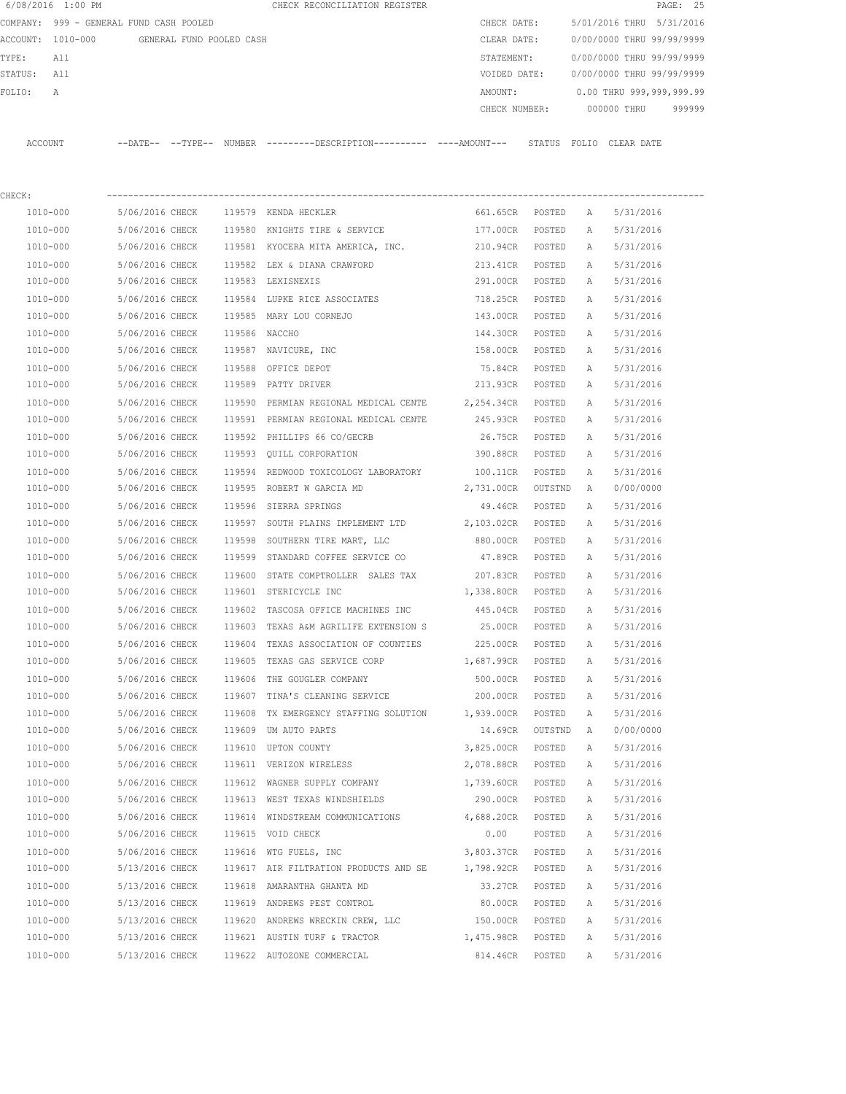|          | 6/08/2016 1:00 PM              |                   |                          | CHECK RECONCILIATION REGISTER                                                                 |               |               |              |                           | PAGE: 25 |
|----------|--------------------------------|-------------------|--------------------------|-----------------------------------------------------------------------------------------------|---------------|---------------|--------------|---------------------------|----------|
| COMPANY: | 999 - GENERAL FUND CASH POOLED |                   |                          |                                                                                               | CHECK DATE:   |               |              | 5/01/2016 THRU 5/31/2016  |          |
| ACCOUNT: | 1010-000                       |                   | GENERAL FUND POOLED CASH |                                                                                               | CLEAR DATE:   |               |              | 0/00/0000 THRU 99/99/9999 |          |
| TYPE:    | All                            |                   |                          |                                                                                               | STATEMENT:    |               |              | 0/00/0000 THRU 99/99/9999 |          |
| STATUS:  | All                            |                   |                          |                                                                                               | VOIDED DATE:  |               |              | 0/00/0000 THRU 99/99/9999 |          |
| FOLIO:   | Α                              |                   |                          |                                                                                               | AMOUNT:       |               |              | 0.00 THRU 999,999,999.99  |          |
|          |                                |                   |                          |                                                                                               | CHECK NUMBER: |               |              | 000000 THRU               | 999999   |
|          |                                |                   |                          |                                                                                               |               |               |              |                           |          |
| ACCOUNT  |                                |                   |                          | --DATE-- --TYPE-- NUMBER ---------DESCRIPTION---------- ----AMOUNT--- STATUS FOLIO CLEAR DATE |               |               |              |                           |          |
|          |                                |                   |                          |                                                                                               |               |               |              |                           |          |
|          |                                |                   |                          |                                                                                               |               |               |              |                           |          |
| CHECK:   |                                |                   |                          |                                                                                               |               |               |              |                           |          |
| 1010-000 |                                | 5/06/2016 CHECK   |                          | 119579 KENDA HECKLER                                                                          | 661.65CR      | POSTED        | A            | 5/31/2016                 |          |
| 1010-000 |                                | 5/06/2016 CHECK   | 119580                   | KNIGHTS TIRE & SERVICE                                                                        | 177.00CR      | POSTED        | $\mathbb A$  | 5/31/2016                 |          |
| 1010-000 |                                | 5/06/2016 CHECK   | 119581                   | KYOCERA MITA AMERICA, INC.                                                                    | 210.94CR      | POSTED        | Α            | 5/31/2016                 |          |
| 1010-000 |                                | 5/06/2016 CHECK   | 119582                   | LEX & DIANA CRAWFORD                                                                          | 213.41CR      | POSTED        | Α            | 5/31/2016                 |          |
| 1010-000 |                                | 5/06/2016 CHECK   | 119583                   | LEXISNEXIS                                                                                    | 291.00CR      | POSTED        | Α            | 5/31/2016                 |          |
| 1010-000 |                                | 5/06/2016 CHECK   | 119584                   | LUPKE RICE ASSOCIATES                                                                         | 718.25CR      | POSTED        | Α            | 5/31/2016                 |          |
| 1010-000 |                                | 5/06/2016 CHECK   | 119585                   | MARY LOU CORNEJO                                                                              | 143.00CR      | POSTED        | Α            | 5/31/2016                 |          |
| 1010-000 |                                | 5/06/2016 CHECK   | 119586                   | NACCHO                                                                                        | 144.30CR      | POSTED        | $\mathbb{A}$ | 5/31/2016                 |          |
| 1010-000 |                                | 5/06/2016 CHECK   |                          | 119587 NAVICURE, INC                                                                          | 158.00CR      | POSTED        | $\mathbb{A}$ | 5/31/2016                 |          |
| 1010-000 |                                | $5/06/2016$ CHECK |                          | $119588$ OFFICE DEDOT                                                                         | 75 84CP       | <b>DOSTED</b> | $\mathbb{Z}$ | 5/31/2016                 |          |

| 1010-000     | 5/06/2016 CHECK |               | 119581 KYOCERA MITA AMERICA, INC.            | 210.94CR   | POSTED  | А            | 5/31/2016 |
|--------------|-----------------|---------------|----------------------------------------------|------------|---------|--------------|-----------|
| 1010-000     | 5/06/2016 CHECK |               | 119582 LEX & DIANA CRAWFORD                  | 213.41CR   | POSTED  | Α            | 5/31/2016 |
| 1010-000     | 5/06/2016 CHECK |               | 119583 LEXISNEXIS                            | 291.00CR   | POSTED  | Α            | 5/31/2016 |
| 1010-000     | 5/06/2016 CHECK |               | 119584 LUPKE RICE ASSOCIATES                 | 718.25CR   | POSTED  | Α            | 5/31/2016 |
| 1010-000     | 5/06/2016 CHECK |               | 119585 MARY LOU CORNEJO                      | 143.00CR   | POSTED  | Α            | 5/31/2016 |
| 1010-000     | 5/06/2016 CHECK | 119586 NACCHO |                                              | 144.30CR   | POSTED  | Α            | 5/31/2016 |
| 1010-000     | 5/06/2016 CHECK |               | 119587 NAVICURE, INC                         | 158.00CR   | POSTED  | Α            | 5/31/2016 |
| 1010-000     | 5/06/2016 CHECK |               | 119588 OFFICE DEPOT                          | 75.84CR    | POSTED  | Α            | 5/31/2016 |
| 1010-000     | 5/06/2016 CHECK |               | 119589 PATTY DRIVER                          | 213.93CR   | POSTED  | Α            | 5/31/2016 |
| 1010-000     | 5/06/2016 CHECK |               | 119590 PERMIAN REGIONAL MEDICAL CENTE        | 2,254.34CR | POSTED  | А            | 5/31/2016 |
| 1010-000     | 5/06/2016 CHECK |               | 119591 PERMIAN REGIONAL MEDICAL CENTE        | 245.93CR   | POSTED  | А            | 5/31/2016 |
| 1010-000     | 5/06/2016 CHECK |               | 119592 PHILLIPS 66 CO/GECRB                  | 26.75CR    | POSTED  | Α            | 5/31/2016 |
| 1010-000     | 5/06/2016 CHECK |               | 119593 QUILL CORPORATION                     | 390.88CR   | POSTED  | Α            | 5/31/2016 |
| 1010-000     | 5/06/2016 CHECK |               | 119594 REDWOOD TOXICOLOGY LABORATORY         | 100.11CR   | POSTED  | Α            | 5/31/2016 |
| 1010-000     | 5/06/2016 CHECK |               | 119595 ROBERT W GARCIA MD                    | 2,731.00CR | OUTSTND | Α            | 0/00/0000 |
| 1010-000     | 5/06/2016 CHECK |               | 119596 SIERRA SPRINGS                        | 49.46CR    | POSTED  | Α            | 5/31/2016 |
| 1010-000     | 5/06/2016 CHECK |               | 119597 SOUTH PLAINS IMPLEMENT LTD 2,103.02CR |            | POSTED  | А            | 5/31/2016 |
| 1010-000     | 5/06/2016 CHECK |               | 119598 SOUTHERN TIRE MART, LLC               | 880.00CR   | POSTED  | Α            | 5/31/2016 |
| 1010-000     | 5/06/2016 CHECK |               | 119599 STANDARD COFFEE SERVICE CO            | 47.89CR    | POSTED  | Α            | 5/31/2016 |
| 1010-000     | 5/06/2016 CHECK |               | 119600 STATE COMPTROLLER SALES TAX           | 207.83CR   | POSTED  | Α            | 5/31/2016 |
| 1010-000     | 5/06/2016 CHECK |               | 119601 STERICYCLE INC                        | 1,338.80CR | POSTED  | Α            | 5/31/2016 |
| 1010-000     | 5/06/2016 CHECK |               | 119602 TASCOSA OFFICE MACHINES INC           | 445.04CR   | POSTED  | Α            | 5/31/2016 |
| 1010-000     | 5/06/2016 CHECK |               | 119603 TEXAS A&M AGRILIFE EXTENSION S        | 25.00CR    | POSTED  | А            | 5/31/2016 |
| 1010-000     | 5/06/2016 CHECK |               | 119604 TEXAS ASSOCIATION OF COUNTIES         | 225.00CR   | POSTED  | Α            | 5/31/2016 |
| 1010-000     | 5/06/2016 CHECK |               | 119605 TEXAS GAS SERVICE CORP                | 1,687.99CR | POSTED  | Α            | 5/31/2016 |
| 1010-000     | 5/06/2016 CHECK |               | 119606 THE GOUGLER COMPANY                   | 500.00CR   | POSTED  | Α            | 5/31/2016 |
| 1010-000     | 5/06/2016 CHECK |               | 119607 TINA'S CLEANING SERVICE               | 200.00CR   | POSTED  | Α            | 5/31/2016 |
| 1010-000     | 5/06/2016 CHECK |               | 119608 TX EMERGENCY STAFFING SOLUTION        | 1,939.00CR | POSTED  | Α            | 5/31/2016 |
| 1010-000     | 5/06/2016 CHECK |               | 119609 UM AUTO PARTS                         | 14.69CR    | OUTSTND | А            | 0/00/0000 |
| 1010-000     | 5/06/2016 CHECK |               | 119610 UPTON COUNTY                          | 3,825.00CR | POSTED  | Α            | 5/31/2016 |
| 1010-000     | 5/06/2016 CHECK |               | 119611 VERIZON WIRELESS                      | 2,078.88CR | POSTED  | Α            | 5/31/2016 |
| 1010-000     | 5/06/2016 CHECK |               | 119612 WAGNER SUPPLY COMPANY                 | 1,739.60CR | POSTED  | Α            | 5/31/2016 |
| 1010-000     | 5/06/2016 CHECK |               | 119613 WEST TEXAS WINDSHIELDS                | 290.00CR   | POSTED  | А            | 5/31/2016 |
| 1010-000     | 5/06/2016 CHECK |               | 119614 WINDSTREAM COMMUNICATIONS             | 4,688.20CR | POSTED  | А            | 5/31/2016 |
| 1010-000     | 5/06/2016 CHECK |               | 119615 VOID CHECK                            | 0.00       | POSTED  | A            | 5/31/2016 |
| 1010-000     | 5/06/2016 CHECK |               | 119616 WTG FUELS, INC                        | 3,803.37CR | POSTED  | $\mathbb{A}$ | 5/31/2016 |
| 1010-000     | 5/13/2016 CHECK |               | 119617 AIR FILTRATION PRODUCTS AND SE        | 1,798.92CR | POSTED  | Α            | 5/31/2016 |
| $1010 - 000$ | 5/13/2016 CHECK |               | 119618 AMARANTHA GHANTA MD                   | 33.27CR    | POSTED  | Α            | 5/31/2016 |
| 1010-000     | 5/13/2016 CHECK |               | 119619 ANDREWS PEST CONTROL                  | 80.00CR    | POSTED  | Α            | 5/31/2016 |
| $1010 - 000$ | 5/13/2016 CHECK |               | 119620 ANDREWS WRECKIN CREW, LLC             | 150.00CR   | POSTED  | Α            | 5/31/2016 |
| 1010-000     | 5/13/2016 CHECK |               | 119621 AUSTIN TURF & TRACTOR                 | 1,475.98CR | POSTED  | Α            | 5/31/2016 |
| 1010-000     | 5/13/2016 CHECK |               | 119622 AUTOZONE COMMERCIAL                   | 814.46CR   | POSTED  | Α            | 5/31/2016 |
|              |                 |               |                                              |            |         |              |           |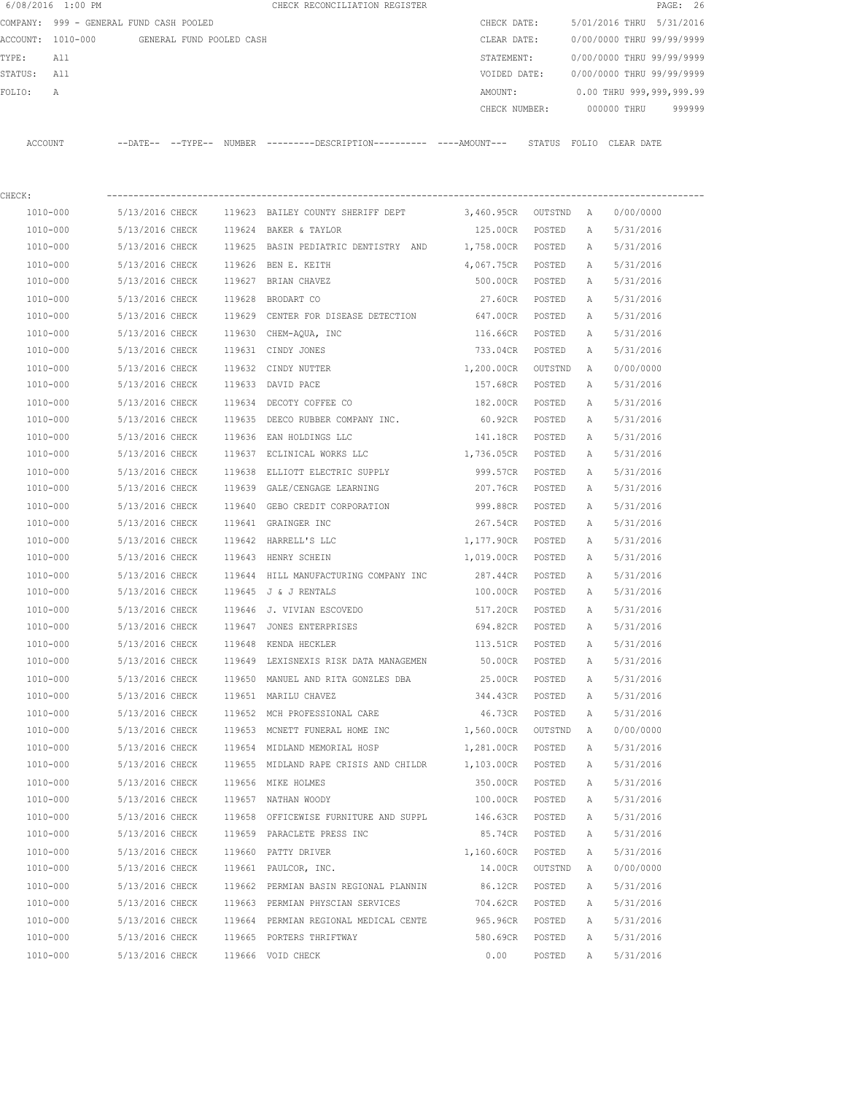|             | 6/08/2016 1:00 PM                       |                 |                          |        | CHECK RECONCILIATION REGISTER                                                                |                   |         |   |                           | PAGE: 26 |
|-------------|-----------------------------------------|-----------------|--------------------------|--------|----------------------------------------------------------------------------------------------|-------------------|---------|---|---------------------------|----------|
|             | COMPANY: 999 - GENERAL FUND CASH POOLED |                 |                          |        |                                                                                              | CHECK DATE:       |         |   | 5/01/2016 THRU 5/31/2016  |          |
|             | ACCOUNT: 1010-000                       |                 | GENERAL FUND POOLED CASH |        |                                                                                              | CLEAR DATE:       |         |   | 0/00/0000 THRU 99/99/9999 |          |
| TYPE:       | All                                     |                 |                          |        |                                                                                              | STATEMENT:        |         |   | 0/00/0000 THRU 99/99/9999 |          |
| STATUS: All |                                         |                 |                          |        |                                                                                              | VOIDED DATE:      |         |   | 0/00/0000 THRU 99/99/9999 |          |
| FOLIO:      | Α                                       |                 |                          |        |                                                                                              | AMOUNT:           |         |   | 0.00 THRU 999,999,999.99  |          |
|             |                                         |                 |                          |        |                                                                                              | CHECK NUMBER:     |         |   | 000000 THRU               | 999999   |
|             | ACCOUNT                                 |                 |                          |        | --DATE-- --TYPE-- NUMBER ---------DESCRIPTION---------- ----AMOUNT--- STATUS FOLIO CLEARDATE |                   |         |   |                           |          |
| CHECK:      |                                         |                 |                          |        |                                                                                              |                   |         |   |                           |          |
|             | 1010-000                                | 5/13/2016 CHECK |                          |        | 119623 BAILEY COUNTY SHERIFF DEPT 3,460.95CR OUTSTND A                                       |                   |         |   | 0/00/0000                 |          |
|             | 1010-000                                | 5/13/2016 CHECK |                          |        | 119624 BAKER & TAYLOR                                                                        | 125.00CR          | POSTED  | Α | 5/31/2016                 |          |
|             | 1010-000                                | 5/13/2016 CHECK |                          |        | 119625 BASIN PEDIATRIC DENTISTRY AND                                                         | 1,758.00CR POSTED |         | А | 5/31/2016                 |          |
|             | 1010-000                                | 5/13/2016 CHECK |                          |        | 119626 BEN E. KEITH                                                                          | 4,067.75CR POSTED |         | Α | 5/31/2016                 |          |
|             | 1010-000                                | 5/13/2016 CHECK |                          |        | 119627 BRIAN CHAVEZ                                                                          | 500.00CR          | POSTED  | Α | 5/31/2016                 |          |
|             | 1010-000                                | 5/13/2016 CHECK |                          |        | 119628 BRODART CO                                                                            | 27.60CR           | POSTED  | Α | 5/31/2016                 |          |
|             | 1010-000                                | 5/13/2016 CHECK |                          |        | 119629 CENTER FOR DISEASE DETECTION                                                          | 647.00CR          | POSTED  | Α | 5/31/2016                 |          |
|             | 1010-000                                | 5/13/2016 CHECK |                          | 119630 | CHEM-AQUA, INC                                                                               | 116.66CR          | POSTED  | Α | 5/31/2016                 |          |
|             | 1010-000                                | 5/13/2016 CHECK |                          |        | 119631 CINDY JONES                                                                           | 733.04CR          | POSTED  | А | 5/31/2016                 |          |
|             | 1010-000                                | 5/13/2016 CHECK |                          | 119632 | CINDY NUTTER                                                                                 | 1,200.00CR        | OUTSTND | A | 0/00/0000                 |          |
|             | 1010-000                                | 5/13/2016 CHECK |                          |        | 119633 DAVID PACE                                                                            | 157.68CR          | POSTED  | Α | 5/31/2016                 |          |
|             | 1010-000                                | 5/13/2016 CHECK |                          |        | 119634 DECOTY COFFEE CO                                                                      | 182.00CR          | POSTED  | Α | 5/31/2016                 |          |
|             | 1010-000                                | 5/13/2016 CHECK |                          | 119635 | DEECO RUBBER COMPANY INC.                                                                    | 60.92CR           | POSTED  | Α | 5/31/2016                 |          |
|             | 1010-000                                | 5/13/2016 CHECK |                          | 119636 | EAN HOLDINGS LLC                                                                             | 141.18CR          | POSTED  | А | 5/31/2016                 |          |
|             | 1010-000                                | 5/13/2016 CHECK |                          |        | 119637 ECLINICAL WORKS LLC                                                                   | 1,736.05CR        | POSTED  | Α | 5/31/2016                 |          |
|             | 1010-000                                | 5/13/2016 CHECK |                          | 119638 | ELLIOTT ELECTRIC SUPPLY                                                                      | 999.57CR          | POSTED  | Α | 5/31/2016                 |          |
|             | 1010-000                                | 5/13/2016 CHECK |                          |        | 119639 GALE/CENGAGE LEARNING                                                                 | 207.76CR          | POSTED  | А | 5/31/2016                 |          |
|             | 1010-000                                | 5/13/2016 CHECK |                          | 119640 | GEBO CREDIT CORPORATION                                                                      | 999.88CR          | POSTED  | Α | 5/31/2016                 |          |
|             | 1010-000                                | 5/13/2016 CHECK |                          |        | 119641 GRAINGER INC                                                                          | 267.54CR          | POSTED  | Α | 5/31/2016                 |          |
|             | 1010-000                                | 5/13/2016 CHECK |                          |        | 119642 HARRELL'S LLC                                                                         | 1,177.90CR        | POSTED  | А | 5/31/2016                 |          |
|             | 1010-000                                | 5/13/2016 CHECK |                          |        | 119643 HENRY SCHEIN                                                                          | 1,019.00CR        | POSTED  | А | 5/31/2016                 |          |
|             | 1010-000                                | 5/13/2016 CHECK |                          |        | 119644 HILL MANUFACTURING COMPANY INC                                                        | 287.44CR          | POSTED  | Α | 5/31/2016                 |          |
|             | 1010-000                                | 5/13/2016 CHECK |                          |        | 119645 J & J RENTALS                                                                         | 100.00CR          | POSTED  | Α | 5/31/2016                 |          |
|             | 1010-000                                | 5/13/2016 CHECK |                          |        | 119646 J. VIVIAN ESCOVEDO                                                                    | 517.20CR          | POSTED  | A | 5/31/2016                 |          |
|             | 1010-000                                | 5/13/2016 CHECK |                          |        | 119647 JONES ENTERPRISES                                                                     | 694.82CR          | POSTED  | Α | 5/31/2016                 |          |
|             | 1010-000                                | 5/13/2016 CHECK |                          |        | 119648 KENDA HECKLER                                                                         | 113.51CR          | POSTED  | Α | 5/31/2016                 |          |
|             | 1010-000                                | 5/13/2016 CHECK |                          |        | 119649 LEXISNEXIS RISK DATA MANAGEMEN                                                        | 50.00CR           | POSTED  | Α | 5/31/2016                 |          |
|             | 1010-000                                | 5/13/2016 CHECK |                          |        | 119650 MANUEL AND RITA GONZLES DBA                                                           | 25.00CR           | POSTED  | Α | 5/31/2016                 |          |
|             | 1010-000                                | 5/13/2016 CHECK |                          |        | 119651 MARILU CHAVEZ                                                                         | 344.43CR POSTED   |         | Α | 5/31/2016                 |          |
|             | 1010-000                                | 5/13/2016 CHECK |                          |        | 119652 MCH PROFESSIONAL CARE                                                                 | 46.73CR           | POSTED  | Α | 5/31/2016                 |          |
|             | 1010-000                                | 5/13/2016 CHECK |                          |        | 119653 MCNETT FUNERAL HOME INC                                                               | 1,560.00CR        | OUTSTND | A | 0/00/0000                 |          |
|             | 1010-000                                | 5/13/2016 CHECK |                          |        | 119654 MIDLAND MEMORIAL HOSP                                                                 | 1,281.00CR POSTED |         | Α | 5/31/2016                 |          |
|             | 1010-000                                | 5/13/2016 CHECK |                          |        | 119655 MIDLAND RAPE CRISIS AND CHILDR                                                        | 1,103.00CR        | POSTED  | Α | 5/31/2016                 |          |
|             | 1010-000                                | 5/13/2016 CHECK |                          |        | 119656 MIKE HOLMES                                                                           | 350.00CR          | POSTED  | Α | 5/31/2016                 |          |
|             | 1010-000                                | 5/13/2016 CHECK |                          |        | 119657 NATHAN WOODY                                                                          | 100.00CR          | POSTED  | Α | 5/31/2016                 |          |
|             | 1010-000                                | 5/13/2016 CHECK |                          |        | 119658 OFFICEWISE FURNITURE AND SUPPL 146.63CR                                               |                   | POSTED  | Α | 5/31/2016                 |          |
|             | 1010-000                                | 5/13/2016 CHECK |                          |        | 119659 PARACLETE PRESS INC                                                                   | 85.74CR           | POSTED  | Α | 5/31/2016                 |          |
|             | 1010-000                                | 5/13/2016 CHECK |                          |        | 119660 PATTY DRIVER                                                                          | 1,160.60CR        | POSTED  | Α | 5/31/2016                 |          |
|             | 1010-000                                | 5/13/2016 CHECK |                          |        | 119661 PAULCOR, INC.                                                                         | 14.00CR           | OUTSTND | Α | 0/00/0000                 |          |
|             | 1010-000                                | 5/13/2016 CHECK |                          |        | 119662 PERMIAN BASIN REGIONAL PLANNIN                                                        | 86.12CR           | POSTED  | Α | 5/31/2016                 |          |
|             | 1010-000                                | 5/13/2016 CHECK |                          |        | 119663 PERMIAN PHYSCIAN SERVICES                                                             | 704.62CR          | POSTED  | Α | 5/31/2016                 |          |
|             | 1010-000                                | 5/13/2016 CHECK |                          |        | 119664 PERMIAN REGIONAL MEDICAL CENTE                                                        | 965.96CR          | POSTED  | Α | 5/31/2016                 |          |
|             | 1010-000                                | 5/13/2016 CHECK |                          |        | 119665 PORTERS THRIFTWAY                                                                     | 580.69CR          | POSTED  | Α | 5/31/2016                 |          |
|             | 1010-000                                | 5/13/2016 CHECK |                          |        | 119666 VOID CHECK                                                                            | 0.00              | POSTED  | A | 5/31/2016                 |          |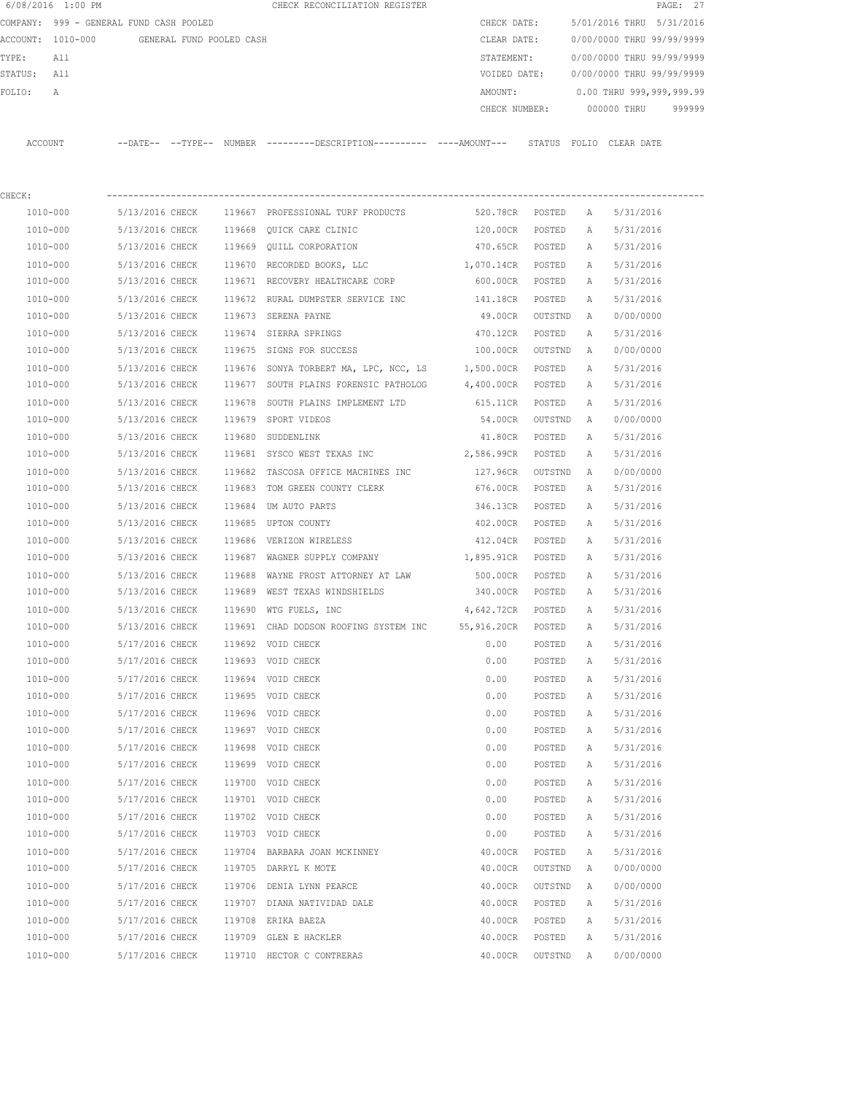| 6/08/2016 1:00 PM |                                            |        | CHECK RECONCILIATION REGISTER                                                               |                     |         |          | PAGE: 27                  |  |
|-------------------|--------------------------------------------|--------|---------------------------------------------------------------------------------------------|---------------------|---------|----------|---------------------------|--|
|                   | COMPANY: 999 - GENERAL FUND CASH POOLED    |        |                                                                                             | CHECK DATE:         |         |          | 5/01/2016 THRU 5/31/2016  |  |
|                   | ACCOUNT: 1010-000 GENERAL FUND POOLED CASH |        |                                                                                             | CLEAR DATE:         |         |          | 0/00/0000 THRU 99/99/9999 |  |
| TYPE:<br>All      |                                            |        |                                                                                             | STATEMENT:          |         |          | 0/00/0000 THRU 99/99/9999 |  |
| STATUS:<br>All    |                                            |        |                                                                                             | VOIDED DATE:        |         |          | 0/00/0000 THRU 99/99/9999 |  |
| FOLIO:<br>Α       |                                            |        |                                                                                             | AMOUNT:             |         |          | 0.00 THRU 999,999,999.99  |  |
|                   |                                            |        |                                                                                             | CHECK NUMBER:       |         |          | 000000 THRU<br>999999     |  |
| ACCOUNT           |                                            |        | --DATE-- --TYPE-- NUMBER ---------DESCRIPTION---------- ---AMOUNT--- STATUS FOLIO CLEARDATE |                     |         |          |                           |  |
| CHECK:            |                                            |        |                                                                                             |                     |         |          |                           |  |
| 1010-000          | 5/13/2016 CHECK                            |        | 119667 PROFESSIONAL TURF PRODUCTS                                                           | 520.78CR POSTED     |         | A        | 5/31/2016                 |  |
| 1010-000          | 5/13/2016 CHECK                            |        | 119668 QUICK CARE CLINIC                                                                    | 120.00CR POSTED     |         | A        | 5/31/2016                 |  |
| 1010-000          | 5/13/2016 CHECK                            |        | 119669 QUILL CORPORATION                                                                    | 470.65CR POSTED     |         | A        | 5/31/2016                 |  |
| 1010-000          | 5/13/2016 CHECK                            |        | 119670 RECORDED BOOKS, LLC                                                                  | 1,070.14CR POSTED   |         |          | 5/31/2016                 |  |
| 1010-000          | 5/13/2016 CHECK                            |        | 119671 RECOVERY HEALTHCARE CORP                                                             | 600.00CR POSTED     |         | A<br>A   | 5/31/2016                 |  |
|                   |                                            |        |                                                                                             |                     |         |          |                           |  |
| 1010-000          | 5/13/2016 CHECK<br>5/13/2016 CHECK         |        | 119672 RURAL DUMPSTER SERVICE INC                                                           | 141.18CR<br>49.00CR | POSTED  | Α        | 5/31/2016                 |  |
| 1010-000          |                                            |        | 119673 SERENA PAYNE                                                                         |                     | OUTSTND | <b>A</b> | 0/00/0000                 |  |
| 1010-000          | 5/13/2016 CHECK                            |        | 119674 SIERRA SPRINGS                                                                       | 470.12CR            | POSTED  | A        | 5/31/2016                 |  |
| 1010-000          | 5/13/2016 CHECK                            |        | 119675 SIGNS FOR SUCCESS                                                                    | 100.00CR            | OUTSTND | A        | 0/00/0000                 |  |
| 1010-000          | 5/13/2016 CHECK                            |        | 119676 SONYA TORBERT MA, LPC, NCC, LS 1,500.00CR POSTED                                     |                     |         | Α        | 5/31/2016                 |  |
| 1010-000          | 5/13/2016 CHECK                            |        | 119677 SOUTH PLAINS FORENSIC PATHOLOG 4,400.00CR POSTED                                     |                     |         | A        | 5/31/2016                 |  |
| 1010-000          | 5/13/2016 CHECK                            |        | 119678 SOUTH PLAINS IMPLEMENT LTD                                                           | 615.11CR            | POSTED  | Α        | 5/31/2016                 |  |
| 1010-000          | 5/13/2016 CHECK                            |        | 119679 SPORT VIDEOS                                                                         | 54.00CR             | OUTSTND | A        | 0/00/0000                 |  |
| 1010-000          | 5/13/2016 CHECK                            |        | 119680 SUDDENLINK                                                                           | 41.80CR POSTED      |         | Α        | 5/31/2016                 |  |
| 1010-000          | 5/13/2016 CHECK                            |        | 119681 SYSCO WEST TEXAS INC                                                                 | 2,586.99CR          | POSTED  | А        | 5/31/2016                 |  |
| 1010-000          | 5/13/2016 CHECK                            |        | 119682 TASCOSA OFFICE MACHINES INC                                                          | 127.96CR            | OUTSTND | A        | 0/00/0000                 |  |
| 1010-000          | 5/13/2016 CHECK                            |        | 119683 TOM GREEN COUNTY CLERK                                                               | 676.00CR            | POSTED  | А        | 5/31/2016                 |  |
| 1010-000          | 5/13/2016 CHECK                            | 119684 | UM AUTO PARTS                                                                               | 346.13CR            | POSTED  | Α        | 5/31/2016                 |  |
| 1010-000          | 5/13/2016 CHECK                            |        | 119685 UPTON COUNTY                                                                         | 402.00CR            | POSTED  | А        | 5/31/2016                 |  |
| 1010-000          | 5/13/2016 CHECK                            |        | 119686 VERIZON WIRELESS                                                                     | 412.04CR            | POSTED  | А        | 5/31/2016                 |  |
| 1010-000          | 5/13/2016 CHECK                            |        | 119687 WAGNER SUPPLY COMPANY                                                                | 1,895.91CR          | POSTED  | A        | 5/31/2016                 |  |
| 1010-000          | 5/13/2016 CHECK                            | 119688 | WAYNE FROST ATTORNEY AT LAW                                                                 | 500.00CR            | POSTED  | A        | 5/31/2016                 |  |
| 1010-000          |                                            |        | 5/13/2016 CHECK 119689 WEST TEXAS WINDSHIELDS                                               | 340.00CR            | POSTED  | A        | 5/31/2016                 |  |
| 1010-000          | 5/13/2016 CHECK                            |        | 119690 WTG FUELS, INC                                                                       | 4,642.72CR          | POSTED  | A        | 5/31/2016                 |  |
| 1010-000          | 5/13/2016 CHECK                            |        | 119691 CHAD DODSON ROOFING SYSTEM INC                                                       | 55,916.20CR         | POSTED  | А        | 5/31/2016                 |  |
| 1010-000          | 5/17/2016 CHECK                            |        | 119692 VOID CHECK                                                                           | 0.00                | POSTED  | Α        | 5/31/2016                 |  |
| 1010-000          | 5/17/2016 CHECK                            |        | 119693 VOID CHECK                                                                           | 0.00                | POSTED  | Α        | 5/31/2016                 |  |
| 1010-000          | 5/17/2016 CHECK                            |        | 119694 VOID CHECK                                                                           | 0.00                | POSTED  | Α        | 5/31/2016                 |  |
| 1010-000          | 5/17/2016 CHECK                            |        | 119695 VOID CHECK                                                                           | 0.00                | POSTED  | Α        | 5/31/2016                 |  |
| 1010-000          | 5/17/2016 CHECK                            |        | 119696 VOID CHECK                                                                           | 0.00                | POSTED  | Α        | 5/31/2016                 |  |
| 1010-000          | 5/17/2016 CHECK                            |        | 119697 VOID CHECK                                                                           | 0.00                | POSTED  | Α        | 5/31/2016                 |  |
| 1010-000          | 5/17/2016 CHECK                            |        | 119698 VOID CHECK                                                                           | 0.00                | POSTED  | Α        | 5/31/2016                 |  |
| 1010-000          | 5/17/2016 CHECK                            |        | 119699 VOID CHECK                                                                           | 0.00                | POSTED  | Α        | 5/31/2016                 |  |
| 1010-000          | 5/17/2016 CHECK                            |        | 119700 VOID CHECK                                                                           | 0.00                | POSTED  | Α        | 5/31/2016                 |  |
| 1010-000          | 5/17/2016 CHECK                            |        | 119701 VOID CHECK                                                                           | 0.00                | POSTED  | Α        | 5/31/2016                 |  |
| 1010-000          | 5/17/2016 CHECK                            |        | 119702 VOID CHECK                                                                           | 0.00                | POSTED  | Α        | 5/31/2016                 |  |
| 1010-000          | 5/17/2016 CHECK                            |        | 119703 VOID CHECK                                                                           | 0.00                | POSTED  | Α        | 5/31/2016                 |  |
| 1010-000          | 5/17/2016 CHECK                            |        | 119704 BARBARA JOAN MCKINNEY                                                                | 40.00CR             | POSTED  | Α        | 5/31/2016                 |  |
| 1010-000          | 5/17/2016 CHECK                            |        | 119705 DARRYL K MOTE                                                                        | 40.00CR             | OUTSTND | Α        | 0/00/0000                 |  |
| 1010-000          | 5/17/2016 CHECK                            |        | 119706 DENIA LYNN PEARCE                                                                    | 40.00CR             | OUTSTND | Α        | 0/00/0000                 |  |
| 1010-000          | 5/17/2016 CHECK                            |        | 119707 DIANA NATIVIDAD DALE                                                                 | 40.00CR             | POSTED  | Α        | 5/31/2016                 |  |
| 1010-000          | 5/17/2016 CHECK                            | 119708 | ERIKA BAEZA                                                                                 | 40.00CR             | POSTED  | Α        | 5/31/2016                 |  |
| 1010-000          | 5/17/2016 CHECK                            |        | 119709 GLEN E HACKLER                                                                       | 40.00CR             | POSTED  | Α        | 5/31/2016                 |  |
| 1010-000          | 5/17/2016 CHECK                            |        | 119710 HECTOR C CONTRERAS                                                                   | 40.00CR             | OUTSTND | Α        | 0/00/0000                 |  |
|                   |                                            |        |                                                                                             |                     |         |          |                           |  |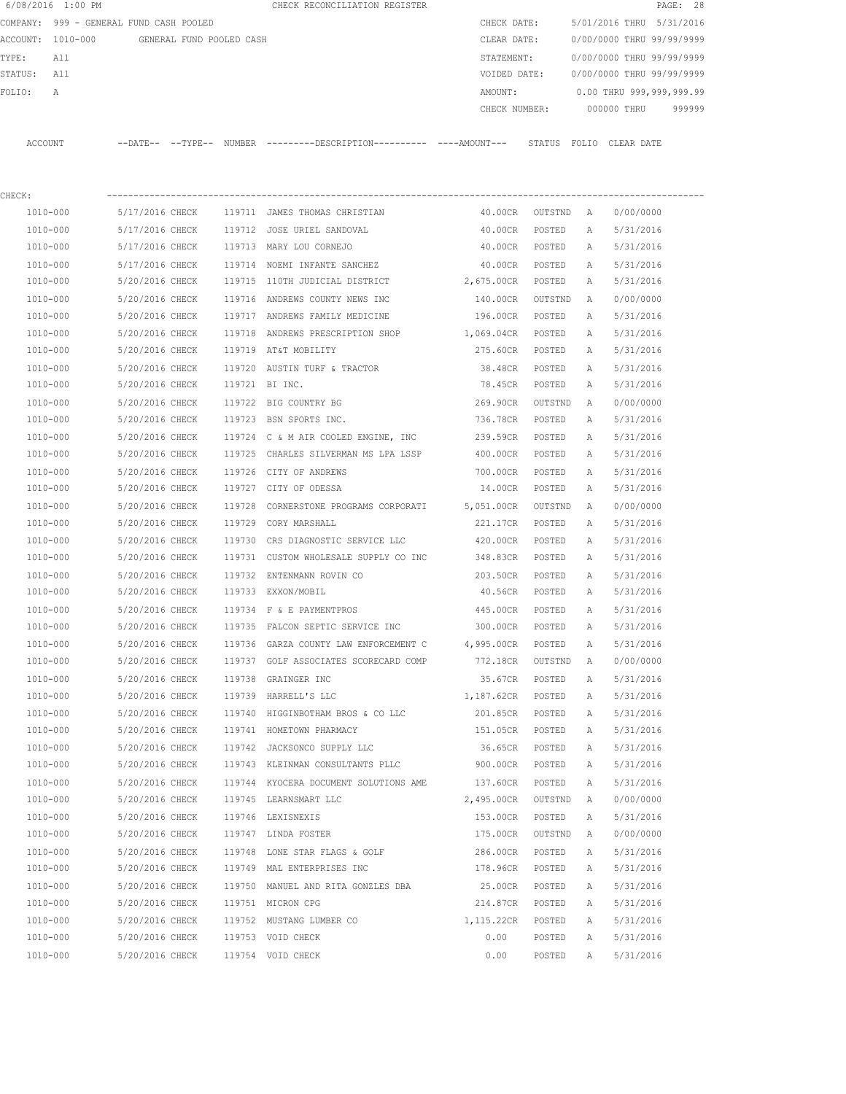|         | 6/08/2016 1:00 PM                       |                 |                          |        | CHECK RECONCILIATION REGISTER                                                               |                   |                 |              |                           | PAGE: 28 |
|---------|-----------------------------------------|-----------------|--------------------------|--------|---------------------------------------------------------------------------------------------|-------------------|-----------------|--------------|---------------------------|----------|
|         | COMPANY: 999 - GENERAL FUND CASH POOLED |                 |                          |        |                                                                                             | CHECK DATE:       |                 |              | 5/01/2016 THRU 5/31/2016  |          |
|         | ACCOUNT: 1010-000                       |                 | GENERAL FUND POOLED CASH |        |                                                                                             | CLEAR DATE:       |                 |              | 0/00/0000 THRU 99/99/9999 |          |
| TYPE:   | All                                     |                 |                          |        |                                                                                             | STATEMENT:        |                 |              | 0/00/0000 THRU 99/99/9999 |          |
| STATUS: | All                                     |                 |                          |        |                                                                                             | VOIDED DATE:      |                 |              | 0/00/0000 THRU 99/99/9999 |          |
| FOLIO:  | Α                                       |                 |                          |        |                                                                                             | AMOUNT:           |                 |              | 0.00 THRU 999,999,999.99  |          |
|         |                                         |                 |                          |        |                                                                                             | CHECK NUMBER:     |                 |              | 000000 THRU               | 999999   |
|         | ACCOUNT                                 |                 |                          |        | --DATE-- --TYPE-- NUMBER --------DESCRIPTION---------- ----AMOUNT--- STATUS FOLIO CLEARDATE |                   |                 |              |                           |          |
|         |                                         |                 |                          |        |                                                                                             |                   |                 |              |                           |          |
| CHECK:  |                                         |                 |                          |        |                                                                                             |                   |                 |              |                           |          |
|         | 1010-000                                | 5/17/2016 CHECK |                          |        | 119711 JAMES THOMAS CHRISTIAN                                                               |                   | 40.00CR OUTSTND | A            | 0/00/0000                 |          |
|         | 1010-000                                | 5/17/2016 CHECK |                          |        | 119712 JOSE URIEL SANDOVAL                                                                  | 40.00CR           | POSTED          | A            | 5/31/2016                 |          |
|         | 1010-000                                | 5/17/2016 CHECK |                          |        | 119713 MARY LOU CORNEJO                                                                     | 40.00CR POSTED    |                 | Α            | 5/31/2016                 |          |
|         | 1010-000                                | 5/17/2016 CHECK |                          |        | 119714 NOEMI INFANTE SANCHEZ                                                                | 40.00CR POSTED    |                 | A            | 5/31/2016                 |          |
|         | 1010-000                                | 5/20/2016 CHECK |                          |        | 119715 110TH JUDICIAL DISTRICT                                                              | 2,675.00CR POSTED |                 | Α            | 5/31/2016                 |          |
|         | 1010-000                                | 5/20/2016 CHECK |                          |        | 119716 ANDREWS COUNTY NEWS INC                                                              | 140.00CR          | OUTSTND         | A            | 0/00/0000                 |          |
|         | 1010-000                                | 5/20/2016 CHECK |                          |        | 119717 ANDREWS FAMILY MEDICINE                                                              | 196.00CR          | POSTED          | Α            | 5/31/2016                 |          |
|         | 1010-000                                | 5/20/2016 CHECK |                          | 119718 | ANDREWS PRESCRIPTION SHOP 1,069.04CR                                                        |                   | POSTED          | Α            | 5/31/2016                 |          |
|         | 1010-000                                | 5/20/2016 CHECK |                          |        | 119719 AT&T MOBILITY                                                                        | 275.60CR          | POSTED          | А            | 5/31/2016                 |          |
|         | 1010-000                                | 5/20/2016 CHECK |                          |        | 119720 AUSTIN TURF & TRACTOR                                                                | 38.48CR           | POSTED          | A            | 5/31/2016                 |          |
|         | 1010-000                                | 5/20/2016 CHECK |                          |        | 119721 BI INC.                                                                              | 78.45CR           | POSTED          | Α            | 5/31/2016                 |          |
|         | 1010-000                                | 5/20/2016 CHECK |                          |        | 119722 BIG COUNTRY BG                                                                       | 269.90CR          | OUTSTND         | A            | 0/00/0000                 |          |
|         | 1010-000                                | 5/20/2016 CHECK |                          |        | 119723 BSN SPORTS INC.                                                                      | 736.78CR          | POSTED          | A            | 5/31/2016                 |          |
|         | 1010-000                                | 5/20/2016 CHECK |                          |        | 119724 C & M AIR COOLED ENGINE, INC                                                         | 239.59CR          | POSTED          | Α            | 5/31/2016                 |          |
|         | 1010-000                                | 5/20/2016 CHECK |                          |        | 119725 CHARLES SILVERMAN MS LPA LSSP                                                        | 400.00CR          | POSTED          | Α            | 5/31/2016                 |          |
|         | 1010-000                                | 5/20/2016 CHECK |                          |        | 119726 CITY OF ANDREWS                                                                      | 700.00CR          | POSTED          | A            | 5/31/2016                 |          |
|         | 1010-000                                | 5/20/2016 CHECK |                          |        | 119727 CITY OF ODESSA                                                                       | 14.00CR           | POSTED          | А            | 5/31/2016                 |          |
|         | 1010-000                                | 5/20/2016 CHECK |                          | 119728 | CORNERSTONE PROGRAMS CORPORATI 5,051.00CR                                                   |                   | OUTSTND         | A            | 0/00/0000                 |          |
|         | 1010-000                                | 5/20/2016 CHECK |                          | 119729 | CORY MARSHALL                                                                               | 221.17CR          | POSTED          | A            | 5/31/2016                 |          |
|         | 1010-000                                | 5/20/2016 CHECK |                          | 119730 | CRS DIAGNOSTIC SERVICE LLC                                                                  | 420.00CR          | POSTED          | A            | 5/31/2016                 |          |
|         | 1010-000                                | 5/20/2016 CHECK |                          |        | 119731 CUSTOM WHOLESALE SUPPLY CO INC                                                       | 348.83CR          | POSTED          | А            | 5/31/2016                 |          |
|         | 1010-000                                | 5/20/2016 CHECK |                          |        | 119732 ENTENMANN ROVIN CO                                                                   | 203.50CR          | POSTED          | A            | 5/31/2016                 |          |
|         | 1010-000                                |                 |                          |        | 5/20/2016 CHECK 119733 EXXON/MOBIL                                                          | 40.56CR           | POSTED          | Α            | 5/31/2016                 |          |
|         | 1010-000                                | 5/20/2016 CHECK |                          |        | 119734 F & E PAYMENTPROS                                                                    | 445.00CR          | POSTED          | $\mathbb{A}$ | 5/31/2016                 |          |
|         | 1010-000                                | 5/20/2016 CHECK |                          |        | 119735 FALCON SEPTIC SERVICE INC                                                            | 300.00CR          | POSTED          | А            | 5/31/2016                 |          |
|         | 1010-000                                | 5/20/2016 CHECK |                          |        | 119736 GARZA COUNTY LAW ENFORCEMENT C                                                       | 4,995.00CR        | POSTED          | Α            | 5/31/2016                 |          |
|         | 1010-000                                | 5/20/2016 CHECK |                          |        | 119737 GOLF ASSOCIATES SCORECARD COMP                                                       | 772.18CR          | OUTSTND         | Α            | 0/00/0000                 |          |
|         | 1010-000                                | 5/20/2016 CHECK |                          |        | 119738 GRAINGER INC                                                                         | 35.67CR           | POSTED          | Α            | 5/31/2016                 |          |
|         | 1010-000                                | 5/20/2016 CHECK |                          |        | 119739 HARRELL'S LLC                                                                        | 1,187.62CR        | POSTED          | Α            | 5/31/2016                 |          |
|         | 1010-000                                | 5/20/2016 CHECK |                          |        | 119740 HIGGINBOTHAM BROS & CO LLC                                                           | 201.85CR          | POSTED          | Α            | 5/31/2016                 |          |
|         | 1010-000                                | 5/20/2016 CHECK |                          |        | 119741 HOMETOWN PHARMACY                                                                    | 151.05CR          | POSTED          | Α            | 5/31/2016                 |          |
|         | $1010 - 000$                            | 5/20/2016 CHECK |                          |        | 119742 JACKSONCO SUPPLY LLC                                                                 | 36.65CR           | POSTED          | Α            | 5/31/2016                 |          |
|         | 1010-000                                | 5/20/2016 CHECK |                          |        | 119743 KLEINMAN CONSULTANTS PLLC                                                            | 900.00CR          | POSTED          | Α            | 5/31/2016                 |          |
|         | 1010-000                                | 5/20/2016 CHECK |                          |        | 119744 KYOCERA DOCUMENT SOLUTIONS AME                                                       | 137.60CR          | POSTED          | Α            |                           |          |
|         | 1010-000                                | 5/20/2016 CHECK |                          |        | 119745 LEARNSMART LLC                                                                       | 2,495.00CR        | OUTSTND         | Α            | 5/31/2016<br>0/00/0000    |          |
|         |                                         |                 |                          |        |                                                                                             |                   |                 |              |                           |          |
|         | 1010-000                                | 5/20/2016 CHECK |                          |        | 119746 LEXISNEXIS                                                                           | 153.00CR          | POSTED          | Α            | 5/31/2016                 |          |
|         | 1010-000                                | 5/20/2016 CHECK |                          |        | 119747 LINDA FOSTER                                                                         | 175.00CR          | OUTSTND         | Α            | 0/00/0000                 |          |
|         | 1010-000                                | 5/20/2016 CHECK |                          |        | 119748 LONE STAR FLAGS & GOLF                                                               | 286.00CR          | POSTED          | Α            | 5/31/2016                 |          |
|         | 1010-000                                | 5/20/2016 CHECK |                          |        | 119749 MAL ENTERPRISES INC                                                                  | 178.96CR          | POSTED          | Α            | 5/31/2016                 |          |
|         | 1010-000                                | 5/20/2016 CHECK |                          |        | 119750 MANUEL AND RITA GONZLES DBA                                                          | 25.00CR           | POSTED          | Α            | 5/31/2016                 |          |
|         | 1010-000                                | 5/20/2016 CHECK |                          |        | 119751 MICRON CPG                                                                           | 214.87CR          | POSTED          | Α            | 5/31/2016                 |          |
|         | 1010-000                                | 5/20/2016 CHECK |                          |        | 119752 MUSTANG LUMBER CO                                                                    | 1,115.22CR        | POSTED          | Α            | 5/31/2016                 |          |
|         | 1010-000                                | 5/20/2016 CHECK |                          |        | 119753 VOID CHECK                                                                           | 0.00              | POSTED          | Α            | 5/31/2016                 |          |
|         | 1010-000                                | 5/20/2016 CHECK |                          |        | 119754 VOID CHECK                                                                           | 0.00              | POSTED          | Α            | 5/31/2016                 |          |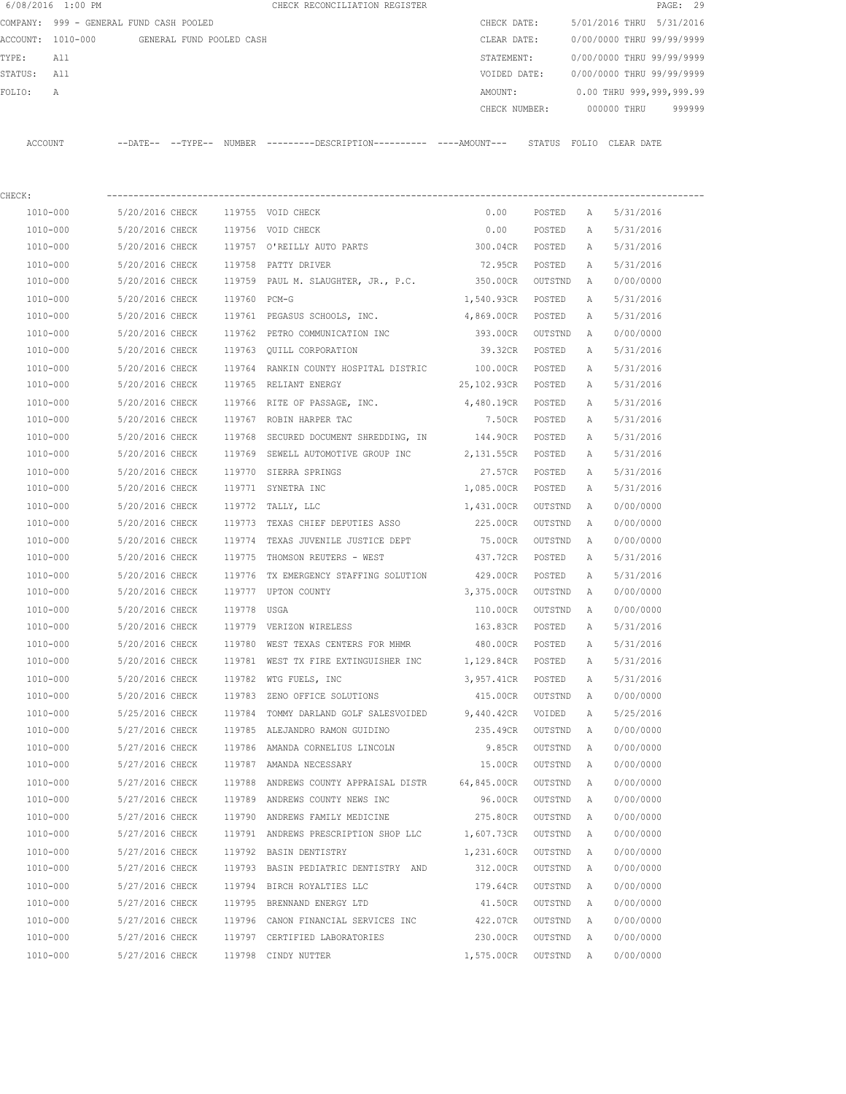|         | 6/08/2016 1:00 PM                       |                   |                          | CHECK RECONCILIATION REGISTER |  |               |        |                           |            | PAGE: 29  |        |
|---------|-----------------------------------------|-------------------|--------------------------|-------------------------------|--|---------------|--------|---------------------------|------------|-----------|--------|
|         | COMPANY: 999 - GENERAL FUND CASH POOLED |                   |                          |                               |  | CHECK DATE:   |        | 5/01/2016 THRU            |            | 5/31/2016 |        |
|         | ACCOUNT: 1010-000                       |                   | GENERAL FUND POOLED CASH |                               |  | CLEAR DATE:   |        | 0/00/0000 THRU 99/99/9999 |            |           |        |
| TYPE:   | All                                     |                   |                          |                               |  | STATEMENT:    |        | 0/00/0000 THRU 99/99/9999 |            |           |        |
| STATUS: | All                                     |                   |                          |                               |  | VOIDED DATE:  |        | 0/00/0000 THRU 99/99/9999 |            |           |        |
| FOLTO:  | A                                       |                   |                          |                               |  | AMOUNT:       |        | 0.00 THRU 999,999,999.99  |            |           |        |
|         |                                         |                   |                          |                               |  | CHECK NUMBER: |        | 000000 THRU               |            |           | 999999 |
|         |                                         |                   |                          |                               |  |               |        |                           |            |           |        |
| ACCOUNT |                                         | --DATE-- --TYPE-- | NUMBER                   |                               |  |               | STATUS | FOLIO                     | CLEAR DATE |           |        |

| CHECK:       |                                         |        |                                                                       |                    |          |              |           |  |
|--------------|-----------------------------------------|--------|-----------------------------------------------------------------------|--------------------|----------|--------------|-----------|--|
| 1010-000     | 5/20/2016 CHECK 119755 VOID CHECK       |        |                                                                       | 0.00               | POSTED A |              | 5/31/2016 |  |
| 1010-000     | 5/20/2016 CHECK 119756 VOID CHECK       |        |                                                                       | 0.00               | POSTED   | Α            | 5/31/2016 |  |
| 1010-000     |                                         |        | 5/20/2016 CHECK 119757 O'REILLY AUTO PARTS                            | 300.04CR POSTED    |          | A            | 5/31/2016 |  |
| 1010-000     | 5/20/2016 CHECK 119758 PATTY DRIVER     |        |                                                                       | 72.95CR            | POSTED   | A            | 5/31/2016 |  |
| 1010-000     |                                         |        | 5/20/2016 CHECK 119759 PAUL M. SLAUGHTER, JR., P.C. 350.00CR OUTSTND  |                    |          | A            | 0/00/0000 |  |
| 1010-000     | 5/20/2016 CHECK 119760 PCM-G            |        |                                                                       | 1,540.93CR POSTED  |          | Α            | 5/31/2016 |  |
| 1010-000     |                                         |        | 5/20/2016 CHECK 119761 PEGASUS SCHOOLS, INC. 4,869.00CR               |                    | POSTED   | Α            | 5/31/2016 |  |
| $1010 - 000$ |                                         |        | 5/20/2016 CHECK 119762 PETRO COMMUNICATION INC                        | 393.00CR           | OUTSTND  | A            | 0/00/0000 |  |
| 1010-000     |                                         |        | 5/20/2016 CHECK 119763 QUILL CORPORATION                              | 39.32CR            | POSTED   | A            | 5/31/2016 |  |
| 1010-000     |                                         |        | 5/20/2016 CHECK 119764 RANKIN COUNTY HOSPITAL DISTRIC 100.00CR POSTED |                    |          | A            | 5/31/2016 |  |
| 1010-000     | 5/20/2016 CHECK 119765 RELIANT ENERGY   |        |                                                                       | 25,102.93CR POSTED |          | A            | 5/31/2016 |  |
| 1010-000     |                                         |        | 5/20/2016 CHECK 119766 RITE OF PASSAGE, INC.                          | 4,480.19CR POSTED  |          | A            | 5/31/2016 |  |
| 1010-000     | 5/20/2016 CHECK                         |        | 119767 ROBIN HARPER TAC                                               | 7.50CR POSTED      |          | A            | 5/31/2016 |  |
| 1010-000     | 5/20/2016 CHECK                         |        | 119768 SECURED DOCUMENT SHREDDING, IN                                 | 144.90CR POSTED    |          | A            | 5/31/2016 |  |
| 1010-000     | 5/20/2016 CHECK                         |        | 119769 SEWELL AUTOMOTIVE GROUP INC                                    | 2,131.55CR POSTED  |          | A            | 5/31/2016 |  |
| 1010-000     | 5/20/2016 CHECK                         |        | 119770 SIERRA SPRINGS                                                 | 27.57CR POSTED     |          | A            | 5/31/2016 |  |
| 1010-000     | 5/20/2016 CHECK                         |        | 119771 SYNETRA INC                                                    | 1,085.00CR POSTED  |          | A            | 5/31/2016 |  |
| 1010-000     | 5/20/2016 CHECK                         |        | 119772 TALLY, LLC                                                     | 1,431.00CR         | OUTSTND  | A            | 0/00/0000 |  |
| 1010-000     |                                         |        | 5/20/2016 CHECK 119773 TEXAS CHIEF DEPUTIES ASSO 225.00CR             |                    | OUTSTND  | A            | 0/00/0000 |  |
| 1010-000     |                                         |        | 5/20/2016 CHECK 119774 TEXAS JUVENILE JUSTICE DEPT                    | 75.00CR            | OUTSTND  | A            | 0/00/0000 |  |
| 1010-000     |                                         |        | 5/20/2016 CHECK 119775 THOMSON REUTERS - WEST 437.72CR POSTED         |                    |          | Α            | 5/31/2016 |  |
| 1010-000     |                                         |        | 5/20/2016 CHECK 119776 TX EMERGENCY STAFFING SOLUTION 429.00CR POSTED |                    |          | A            | 5/31/2016 |  |
| 1010-000     | 5/20/2016 CHECK 119777 UPTON COUNTY     |        |                                                                       | 3,375.00CR OUTSTND |          | A            | 0/00/0000 |  |
| 1010-000     | 5/20/2016 CHECK 119778 USGA             |        |                                                                       | 110.00CR OUTSTND   |          | A            | 0/00/0000 |  |
| 1010-000     | 5/20/2016 CHECK 119779 VERIZON WIRELESS |        |                                                                       | 163.83CR POSTED    |          | A            | 5/31/2016 |  |
| 1010-000     |                                         |        | 5/20/2016 CHECK 119780 WEST TEXAS CENTERS FOR MHMR                    | 480.00CR POSTED    |          | Α            | 5/31/2016 |  |
| 1010-000     | 5/20/2016 CHECK                         |        | 119781 WEST TX FIRE EXTINGUISHER INC                                  | 1,129.84CR POSTED  |          | Α            | 5/31/2016 |  |
| 1010-000     | 5/20/2016 CHECK                         |        | 119782 WTG FUELS, INC                                                 | 3,957.41CR POSTED  |          | $\mathbb{A}$ | 5/31/2016 |  |
| 1010-000     | 5/20/2016 CHECK                         | 119783 | ZENO OFFICE SOLUTIONS                                                 | 415.00CR           | OUTSTND  | A            | 0/00/0000 |  |
| 1010-000     | 5/25/2016 CHECK                         | 119784 | TOMMY DARLAND GOLF SALESVOIDED 9,440.42CR                             |                    | VOIDED   | Α            | 5/25/2016 |  |
| 1010-000     |                                         |        | 5/27/2016 CHECK 119785 ALEJANDRO RAMON GUIDINO                        | 235.49CR           | OUTSTND  | Α            | 0/00/0000 |  |
| 1010-000     |                                         |        | 5/27/2016 CHECK 119786 AMANDA CORNELIUS LINCOLN                       | 9.85CR             | OUTSTND  | Α            | 0/00/0000 |  |
| 1010-000     | 5/27/2016 CHECK 119787 AMANDA NECESSARY |        |                                                                       | 15.00CR            | OUTSTND  | A            | 0/00/0000 |  |
| 1010-000     |                                         |        | 5/27/2016 CHECK 119788 ANDREWS COUNTY APPRAISAL DISTR 64,845.00CR     |                    | OUTSTND  | A            | 0/00/0000 |  |
| 1010-000     |                                         |        | 5/27/2016 CHECK 119789 ANDREWS COUNTY NEWS INC                        | 96.00CR            | OUTSTND  | A            | 0/00/0000 |  |
| 1010-000     | 5/27/2016 CHECK                         |        | 119790 ANDREWS FAMILY MEDICINE                                        | 275.80CR           | OUTSTND  | Α            | 0/00/0000 |  |
| 1010-000     | 5/27/2016 CHECK                         |        | 119791 ANDREWS PRESCRIPTION SHOP LLC                                  | 1,607.73CR         | OUTSTND  | Α            | 0/00/0000 |  |
| 1010-000     | 5/27/2016 CHECK                         |        | 119792 BASIN DENTISTRY                                                | 1,231.60CR         | OUTSTND  | Α            | 0/00/0000 |  |
| 1010-000     | 5/27/2016 CHECK                         |        | 119793 BASIN PEDIATRIC DENTISTRY AND                                  | 312.00CR           | OUTSTND  | Α            | 0/00/0000 |  |
| 1010-000     | 5/27/2016 CHECK                         |        | 119794 BIRCH ROYALTIES LLC                                            | 179.64CR           | OUTSTND  | Α            | 0/00/0000 |  |
| 1010-000     | 5/27/2016 CHECK                         |        | 119795 BRENNAND ENERGY LTD                                            | 41.50CR            | OUTSTND  | Α            | 0/00/0000 |  |
| $1010 - 000$ | 5/27/2016 CHECK                         |        | 119796 CANON FINANCIAL SERVICES INC                                   | 422.07CR           | OUTSTND  | Α            | 0/00/0000 |  |
| 1010-000     | 5/27/2016 CHECK                         |        | 119797 CERTIFIED LABORATORIES                                         | 230.00CR           | OUTSTND  | Α            | 0/00/0000 |  |
| 1010-000     | 5/27/2016 CHECK                         |        | 119798 CINDY NUTTER                                                   | 1,575.00CR         | OUTSTND  | Α            | 0/00/0000 |  |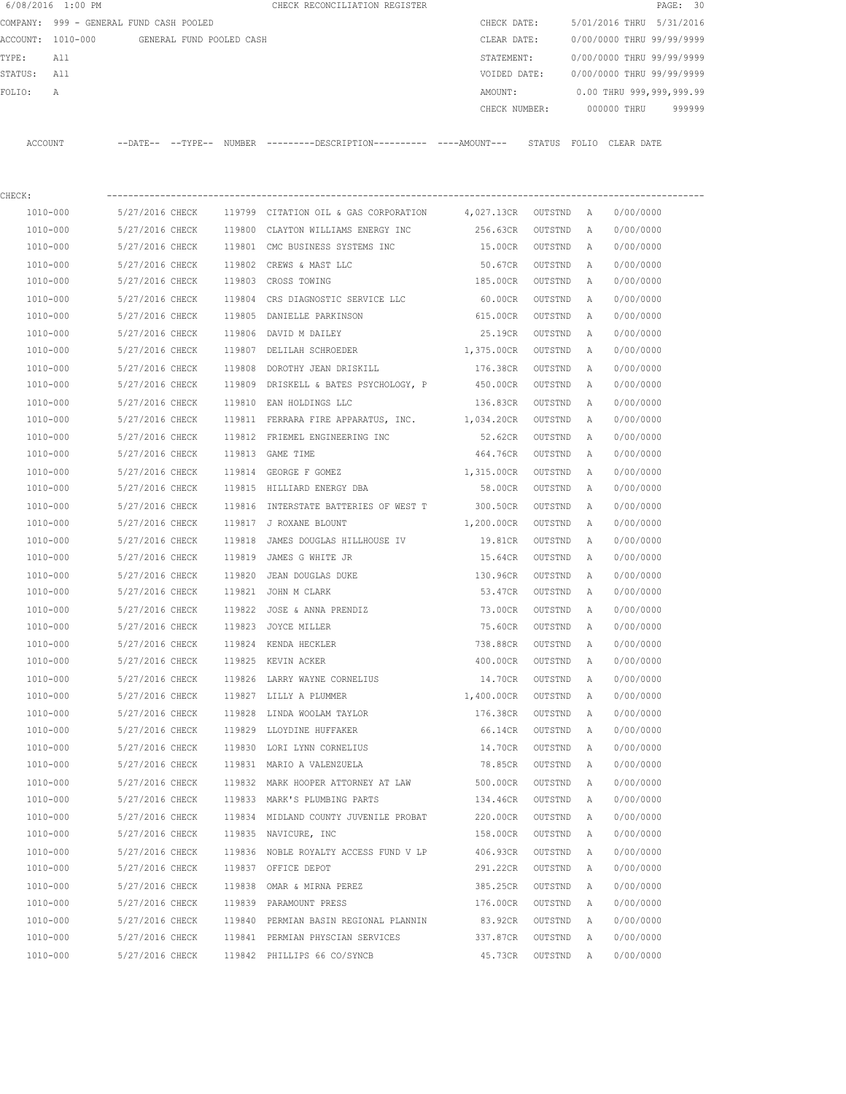|             | 6/08/2016 1:00 PM                          |                 |        | CHECK RECONCILIATION REGISTER                                                                |               |         |              |                           | PAGE: 30 |
|-------------|--------------------------------------------|-----------------|--------|----------------------------------------------------------------------------------------------|---------------|---------|--------------|---------------------------|----------|
|             | COMPANY: 999 - GENERAL FUND CASH POOLED    |                 |        |                                                                                              | CHECK DATE:   |         |              | 5/01/2016 THRU 5/31/2016  |          |
|             | ACCOUNT: 1010-000 GENERAL FUND POOLED CASH |                 |        |                                                                                              | CLEAR DATE:   |         |              | 0/00/0000 THRU 99/99/9999 |          |
| TYPE:       | All                                        |                 |        |                                                                                              | STATEMENT:    |         |              | 0/00/0000 THRU 99/99/9999 |          |
| STATUS: All |                                            |                 |        |                                                                                              | VOIDED DATE:  |         |              | 0/00/0000 THRU 99/99/9999 |          |
| FOLIO:      | А                                          |                 |        |                                                                                              | AMOUNT:       |         |              | 0.00 THRU 999,999,999.99  |          |
|             |                                            |                 |        |                                                                                              | CHECK NUMBER: |         |              | 000000 THRU               | 999999   |
|             | ACCOUNT                                    |                 |        | --DATE-- --TYPE-- NUMBER ---------DESCRIPTION---------- ----AMOUNT--- STATUS FOLIO CLEARDATE |               |         |              |                           |          |
|             |                                            |                 |        |                                                                                              |               |         |              |                           |          |
| CHECK:      |                                            |                 |        |                                                                                              |               |         |              |                           |          |
|             | 1010-000                                   | 5/27/2016 CHECK |        | 119799 CITATION OIL & GAS CORPORATION 4,027.13CR OUTSTND A                                   |               |         |              | 0/00/0000                 |          |
|             | 1010-000                                   | 5/27/2016 CHECK | 119800 | CLAYTON WILLIAMS ENERGY INC                                                                  | 256.63CR      | OUTSTND | Α            | 0/00/0000                 |          |
|             | 1010-000                                   | 5/27/2016 CHECK | 119801 | CMC BUSINESS SYSTEMS INC                                                                     | 15.00CR       | OUTSTND | Α            | 0/00/0000                 |          |
|             | 1010-000                                   | 5/27/2016 CHECK | 119802 | CREWS & MAST LLC                                                                             | 50.67CR       | OUTSTND | A            | 0/00/0000                 |          |
|             | 1010-000                                   | 5/27/2016 CHECK | 119803 | CROSS TOWING                                                                                 | 185.00CR      | OUTSTND | $\mathbb{A}$ | 0/00/0000                 |          |
|             | 1010-000                                   | 5/27/2016 CHECK | 119804 | CRS DIAGNOSTIC SERVICE LLC                                                                   | 60.00CR       | OUTSTND | A            | 0/00/0000                 |          |
|             | 1010-000                                   | 5/27/2016 CHECK | 119805 | DANIELLE PARKINSON                                                                           | 615.00CR      | OUTSTND | A            | 0/00/0000                 |          |
|             | 1010-000                                   | 5/27/2016 CHECK | 119806 | DAVID M DAILEY                                                                               | 25.19CR       | OUTSTND | A            | 0/00/0000                 |          |
|             | 1010-000                                   | 5/27/2016 CHECK |        | 119807 DELILAH SCHROEDER                                                                     | 1,375.00CR    | OUTSTND | A            | 0/00/0000                 |          |
|             | 1010-000                                   | 5/27/2016 CHECK | 119808 | DOROTHY JEAN DRISKILL                                                                        | 176.38CR      | OUTSTND | Α            | 0/00/0000                 |          |
|             | 1010-000                                   | 5/27/2016 CHECK | 119809 | DRISKELL & BATES PSYCHOLOGY, P 450.00CR                                                      |               | OUTSTND | A            | 0/00/0000                 |          |
|             | 1010-000                                   | 5/27/2016 CHECK | 119810 | EAN HOLDINGS LLC                                                                             | 136.83CR      | OUTSTND | Α            | 0/00/0000                 |          |
|             | 1010-000                                   | 5/27/2016 CHECK |        | 119811 FERRARA FIRE APPARATUS, INC. 1,034.20CR                                               |               | OUTSTND | A            | 0/00/0000                 |          |
|             | 1010-000                                   | 5/27/2016 CHECK | 119812 | FRIEMEL ENGINEERING INC                                                                      | 52.62CR       | OUTSTND | Α            | 0/00/0000                 |          |
|             | 1010-000                                   | 5/27/2016 CHECK |        | 119813 GAME TIME                                                                             | 464.76CR      | OUTSTND | Α            | 0/00/0000                 |          |
|             | 1010-000                                   | 5/27/2016 CHECK | 119814 | GEORGE F GOMEZ                                                                               | 1,315.00CR    | OUTSTND | A            | 0/00/0000                 |          |
|             | 1010-000                                   | 5/27/2016 CHECK | 119815 | HILLIARD ENERGY DBA                                                                          | 58.00CR       | OUTSTND | A            | 0/00/0000                 |          |
|             | 1010-000                                   | 5/27/2016 CHECK | 119816 | INTERSTATE BATTERIES OF WEST T                                                               | 300.50CR      | OUTSTND | Α            | 0/00/0000                 |          |
|             | 1010-000                                   | 5/27/2016 CHECK | 119817 | J ROXANE BLOUNT                                                                              | 1,200.00CR    | OUTSTND | A            | 0/00/0000                 |          |
|             | 1010-000                                   | 5/27/2016 CHECK | 119818 | JAMES DOUGLAS HILLHOUSE IV                                                                   | 19.81CR       | OUTSTND | Α            | 0/00/0000                 |          |
|             | 1010-000                                   | 5/27/2016 CHECK | 119819 | JAMES G WHITE JR                                                                             | 15.64CR       | OUTSTND | A            | 0/00/0000                 |          |
|             | 1010-000                                   | 5/27/2016 CHECK | 119820 | JEAN DOUGLAS DUKE                                                                            | 130.96CR      | OUTSTND | A            | 0/00/0000                 |          |
|             | 1010-000                                   | 5/27/2016 CHECK |        | 119821 JOHN M CLARK                                                                          | 53.47CR       | OUTSTND | A            | 0/00/0000                 |          |
|             | $1010 - 000$                               | 5/27/2016 CHECK | 119822 | JOSE & ANNA PRENDIZ                                                                          | 73.00CR       | OUTSTND | Α            | 0/00/0000                 |          |
|             | 1010-000                                   | 5/27/2016 CHECK |        | 119823 JOYCE MILLER                                                                          | 75.60CR       | OUTSTND | Α            | 0/00/0000                 |          |
|             | 1010-000                                   | 5/27/2016 CHECK | 119824 | KENDA HECKLER                                                                                | 738.88CR      | OUTSTND | Α            | 0/00/0000                 |          |
|             | 1010-000                                   | 5/27/2016 CHECK |        | 119825 KEVIN ACKER                                                                           | 400.00CR      | OUTSTND | Α            | 0/00/0000                 |          |
|             | 1010-000                                   | 5/27/2016 CHECK | 119826 | LARRY WAYNE CORNELIUS                                                                        | 14.70CR       | OUTSTND | Α            | 0/00/0000                 |          |
|             | 1010-000                                   | 5/27/2016 CHECK |        | 119827 LILLY A PLUMMER                                                                       | 1,400.00CR    | OUTSTND | Α            | 0/00/0000                 |          |
|             | 1010-000                                   | 5/27/2016 CHECK | 119828 | LINDA WOOLAM TAYLOR                                                                          | 176.38CR      | OUTSTND | Α            | 0/00/0000                 |          |
|             | 1010-000                                   | 5/27/2016 CHECK | 119829 | LLOYDINE HUFFAKER                                                                            | 66.14CR       | OUTSTND | Α            | 0/00/0000                 |          |
|             | $1010 - 000$                               | 5/27/2016 CHECK |        | 119830 LORI LYNN CORNELIUS                                                                   | 14.70CR       | OUTSTND | $\mathbb{A}$ | 0/00/0000                 |          |
|             | 1010-000                                   | 5/27/2016 CHECK |        | 119831 MARIO A VALENZUELA                                                                    | 78.85CR       | OUTSTND | A            | 0/00/0000                 |          |
|             | $1010 - 000$                               | 5/27/2016 CHECK |        | 119832 MARK HOOPER ATTORNEY AT LAW                                                           | 500.00CR      | OUTSTND | Α            | 0/00/0000                 |          |
|             | 1010-000                                   | 5/27/2016 CHECK |        | 119833 MARK'S PLUMBING PARTS                                                                 | 134.46CR      | OUTSTND | Α            | 0/00/0000                 |          |
|             | 1010-000                                   | 5/27/2016 CHECK | 119834 | MIDLAND COUNTY JUVENILE PROBAT                                                               | 220.00CR      | OUTSTND | Α            | 0/00/0000                 |          |
|             | 1010-000                                   | 5/27/2016 CHECK | 119835 | NAVICURE, INC                                                                                | 158.00CR      | OUTSTND | Α            | 0/00/0000                 |          |
|             | 1010-000                                   | 5/27/2016 CHECK |        | 119836 NOBLE ROYALTY ACCESS FUND V LP                                                        | 406.93CR      | OUTSTND | Α            | 0/00/0000                 |          |
|             | 1010-000                                   | 5/27/2016 CHECK |        | 119837 OFFICE DEPOT                                                                          | 291.22CR      | OUTSTND | Α            | 0/00/0000                 |          |

 1010-000 5/27/2016 CHECK 119838 OMAR & MIRNA PEREZ 385.25CR OUTSTND A 0/00/0000 1010-000 5/27/2016 CHECK 119839 PARAMOUNT PRESS 176.00CR OUTSTND A 0/00/0000 1010-000 5/27/2016 CHECK 119840 PERMIAN BASIN REGIONAL PLANNIN 83.92CR OUTSTND A 0/00/0000 1010-000 5/27/2016 CHECK 119841 PERMIAN PHYSCIAN SERVICES 337.87CR OUTSTND A 0/00/0000 1010-000 5/27/2016 CHECK 119842 PHILLIPS 66 CO/SYNCB 45.73CR OUTSTND A 0/00/0000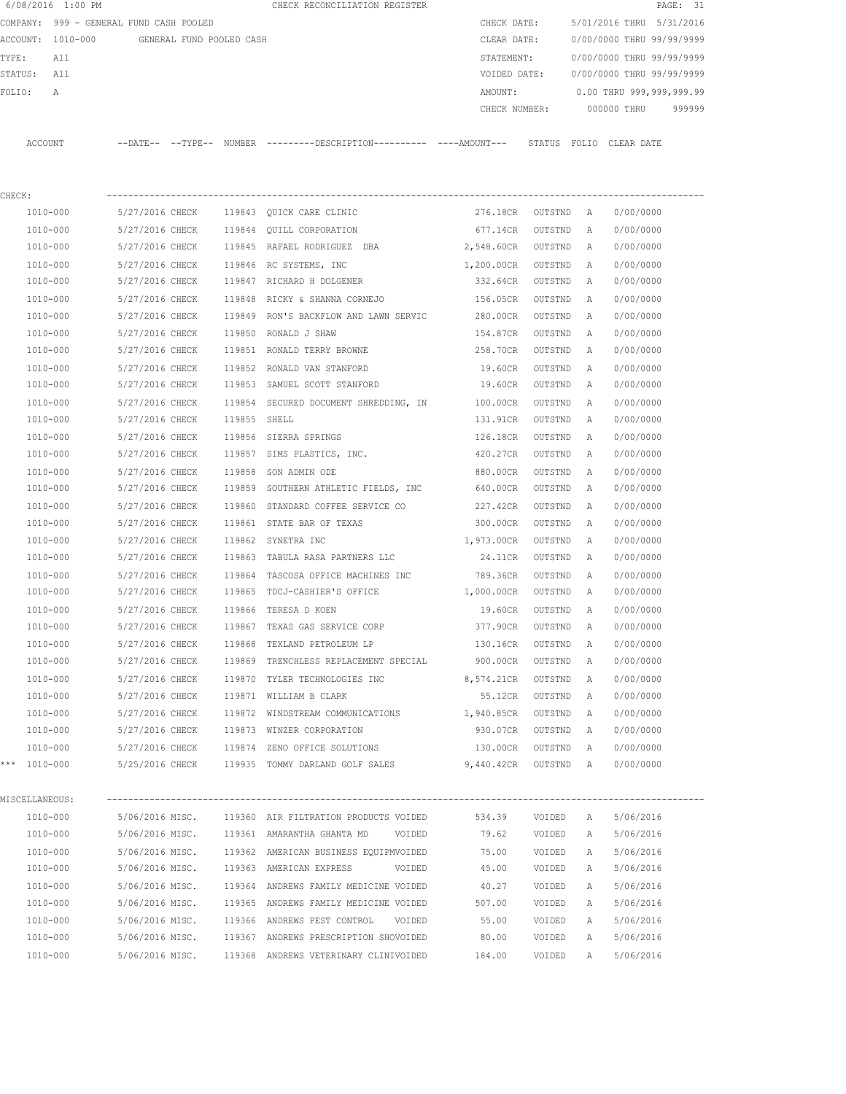| 6/08/2016 1:00 PM                       |                                            |              | CHECK RECONCILIATION REGISTER                                                                 |                    |           |   | PAGE: 31                  |        |
|-----------------------------------------|--------------------------------------------|--------------|-----------------------------------------------------------------------------------------------|--------------------|-----------|---|---------------------------|--------|
| COMPANY: 999 - GENERAL FUND CASH POOLED |                                            |              |                                                                                               | CHECK DATE:        |           |   | 5/01/2016 THRU 5/31/2016  |        |
|                                         | ACCOUNT: 1010-000 GENERAL FUND POOLED CASH |              |                                                                                               | CLEAR DATE:        |           |   | 0/00/0000 THRU 99/99/9999 |        |
| TYPE:<br>All                            |                                            |              |                                                                                               | STATEMENT:         |           |   | 0/00/0000 THRU 99/99/9999 |        |
| STATUS:<br>All                          |                                            |              |                                                                                               | VOIDED DATE:       |           |   | 0/00/0000 THRU 99/99/9999 |        |
| FOLIO:<br>А                             |                                            |              |                                                                                               | AMOUNT:            |           |   | 0.00 THRU 999,999,999.99  |        |
|                                         |                                            |              |                                                                                               | CHECK NUMBER:      |           |   | 000000 THRU               | 999999 |
|                                         |                                            |              |                                                                                               |                    |           |   |                           |        |
| ACCOUNT                                 |                                            |              | --DATE-- --TYPE-- NUMBER ---------DESCRIPTION---------- ----AMOUNT--- STATUS FOLIO CLEAR-DATE |                    |           |   |                           |        |
|                                         |                                            |              |                                                                                               |                    |           |   |                           |        |
|                                         |                                            |              |                                                                                               |                    |           |   |                           |        |
| CHECK:                                  |                                            |              |                                                                                               |                    |           |   |                           |        |
| 1010-000                                | 5/27/2016 CHECK                            |              | 119843 QUICK CARE CLINIC                                                                      | 276.18CR OUTSTND A |           |   | 0/00/0000                 |        |
| 1010-000                                | 5/27/2016 CHECK                            |              | 119844 QUILL CORPORATION                                                                      | 677.14CR           | OUTSTND   | A | 0/00/0000                 |        |
| 1010-000                                | 5/27/2016 CHECK                            |              | 119845 RAFAEL RODRIGUEZ DBA                                                                   | 2,548.60CR         | OUTSTND   | A | 0/00/0000                 |        |
| 1010-000                                | 5/27/2016 CHECK                            |              | 119846 RC SYSTEMS, INC                                                                        | 1,200.00CR         | OUTSTND   | A | 0/00/0000                 |        |
| 1010-000                                | 5/27/2016 CHECK                            |              | 119847 RICHARD H DOLGENER                                                                     | 332.64CR           | OUTSTND   | A | 0/00/0000                 |        |
| 1010-000                                | 5/27/2016 CHECK                            | 119848       | RICKY & SHANNA CORNEJO                                                                        | 156.05CR           | OUTSTND   | Α | 0/00/0000                 |        |
| 1010-000                                | 5/27/2016 CHECK                            |              | 119849 RON'S BACKFLOW AND LAWN SERVIC 280.00CR                                                |                    | OUTSTND   | A | 0/00/0000                 |        |
| 1010-000                                | 5/27/2016 CHECK                            |              | 119850 RONALD J SHAW                                                                          | 154.87CR           | OUTSTND   | A | 0/00/0000                 |        |
| 1010-000                                | 5/27/2016 CHECK                            |              | 119851 RONALD TERRY BROWNE                                                                    | 258.70CR           | OUTSTND   | A | 0/00/0000                 |        |
| 1010-000                                | 5/27/2016 CHECK                            |              | 119852 RONALD VAN STANFORD                                                                    | 19.60CR            | OUTSTND   | Α | 0/00/0000                 |        |
| 1010-000                                | 5/27/2016 CHECK                            |              | 119853 SAMUEL SCOTT STANFORD                                                                  | 19.60CR            | OUTSTND   | A | 0/00/0000                 |        |
| 1010-000                                | 5/27/2016 CHECK                            |              | 119854 SECURED DOCUMENT SHREDDING, IN                                                         | 100.00CR           | OUTSTND   | Α | 0/00/0000                 |        |
| 1010-000                                | 5/27/2016 CHECK                            | 119855 SHELL |                                                                                               | 131.91CR           | OUTSTND   | Α | 0/00/0000                 |        |
| 1010-000                                | 5/27/2016 CHECK                            |              | 119856 SIERRA SPRINGS                                                                         | 126.18CR           | OUTSTND   | A | 0/00/0000                 |        |
| 1010-000                                | 5/27/2016 CHECK                            |              | 119857 SIMS PLASTICS, INC.                                                                    | 420.27CR           | OUTSTND   | A | 0/00/0000                 |        |
| 1010-000                                | 5/27/2016 CHECK                            | 119858       | SON ADMIN ODE                                                                                 | 880.00CR           | OUTSTND   | A | 0/00/0000                 |        |
| 1010-000                                | 5/27/2016 CHECK                            |              | 119859 SOUTHERN ATHLETIC FIELDS, INC                                                          | 640.00CR           | OUTSTND   | A | 0/00/0000                 |        |
| 1010-000                                | 5/27/2016 CHECK                            | 119860       | STANDARD COFFEE SERVICE CO 227.42CR                                                           |                    | OUTSTND   | Α | 0/00/0000                 |        |
| 1010-000                                | 5/27/2016 CHECK                            |              | 119861 STATE BAR OF TEXAS                                                                     | 300.00CR           | OUTSTND   | A | 0/00/0000                 |        |
| 1010-000                                | 5/27/2016 CHECK                            |              | 119862 SYNETRA INC                                                                            | 1,973.00CR         | OUTSTND   | A | 0/00/0000                 |        |
| 1010-000                                | 5/27/2016 CHECK                            |              | 119863 TABULA RASA PARTNERS LLC                                                               | 24.11CR            | OUTSTND   | A | 0/00/0000                 |        |
| 1010-000                                | 5/27/2016 CHECK                            | 119864       | TASCOSA OFFICE MACHINES INC                                                                   | 789.36CR           | OUTSTND   | Α | 0/00/0000                 |        |
| 1010-000                                |                                            |              | 5/27/2016 CHECK 119865 TDCJ-CASHIER'S OFFICE                                                  | 1,000.00CR         | OUTSTND   | A | 0/00/0000                 |        |
| 1010-000                                | 5/27/2016 CHECK                            |              | 119866 TERESA D KOEN                                                                          | 19.60CR            | OUTSTND   | A | 0/00/0000                 |        |
| 1010-000                                | 5/27/2016 CHECK                            |              | 119867 TEXAS GAS SERVICE CORP                                                                 | 377.90CR           | OUTSTND   | Α | 0/00/0000                 |        |
| 1010-000                                | 5/27/2016 CHECK                            |              | 119868 TEXLAND PETROLEUM LP                                                                   | 130.16CR           | OUTSTND   | Α | 0/00/0000                 |        |
| 1010-000                                | 5/27/2016 CHECK                            |              | 119869 TRENCHLESS REPLACEMENT SPECIAL                                                         | 900.00CR           | OUTSTND   | Α | 0/00/0000                 |        |
| 1010-000                                | 5/27/2016 CHECK                            |              | 119870 TYLER TECHNOLOGIES INC                                                                 | 8,574.21CR         | OUTSTND   | Α | 0/00/0000                 |        |
| 1010-000                                | 5/27/2016 CHECK                            |              | 119871 WILLIAM B CLARK                                                                        | 55.12CR            | OUTSTND   | А | 0/00/0000                 |        |
| 1010-000                                | 5/27/2016 CHECK                            |              | 119872 WINDSTREAM COMMUNICATIONS 1,940.85CR                                                   |                    | OUTSTND   | Α | 0/00/0000                 |        |
| 1010-000                                | 5/27/2016 CHECK                            |              | 119873 WINZER CORPORATION                                                                     | 930.07CR           | OUTSTND   | Α | 0/00/0000                 |        |
| 1010-000                                | 5/27/2016 CHECK                            |              | 119874 ZENO OFFICE SOLUTIONS                                                                  | 130.00CR           | OUTSTND   | A | 0/00/0000                 |        |
| *** 1010-000                            | 5/25/2016 CHECK                            |              | 119935 TOMMY DARLAND GOLF SALES 9,440.42CR                                                    |                    | OUTSTND A |   | 0/00/0000                 |        |
|                                         |                                            |              |                                                                                               |                    |           |   |                           |        |
| MISCELLANEOUS:                          |                                            |              |                                                                                               |                    |           |   | ------------------        |        |
| 1010-000                                | 5/06/2016 MISC.                            |              | 119360 AIR FILTRATION PRODUCTS VOIDED                                                         | 534.39             | VOIDED    | A | 5/06/2016                 |        |
| 1010-000                                |                                            |              | 5/06/2016 MISC. 119361 AMARANTHA GHANTA MD<br>VOIDED                                          | 79.62              | VOIDED    | Α | 5/06/2016                 |        |
| 1010-000                                | 5/06/2016 MISC.                            |              | 119362 AMERICAN BUSINESS EQUIPMVOIDED                                                         | 75.00              | VOIDED    | Α | 5/06/2016                 |        |
| 1010-000                                | 5/06/2016 MISC.                            |              | 119363 AMERICAN EXPRESS VOIDED                                                                | 45.00              | VOIDED    | Α | 5/06/2016                 |        |
| 1010-000                                | 5/06/2016 MISC.                            |              | 119364 ANDREWS FAMILY MEDICINE VOIDED                                                         | 40.27              | VOIDED    | Α | 5/06/2016                 |        |
| 1010-000                                | 5/06/2016 MISC.                            |              | 119365 ANDREWS FAMILY MEDICINE VOIDED                                                         | 507.00             | VOIDED    | Α | 5/06/2016                 |        |
| 1010-000                                | 5/06/2016 MISC.                            |              | 119366 ANDREWS PEST CONTROL<br>VOIDED                                                         | 55.00              | VOIDED    | Α | 5/06/2016                 |        |
| 1010-000                                | 5/06/2016 MISC.                            |              | 119367 ANDREWS PRESCRIPTION SHOVOIDED                                                         | 80.00              | VOIDED    | Α | 5/06/2016                 |        |
| 1010-000                                | 5/06/2016 MISC.                            |              | 119368 ANDREWS VETERINARY CLINIVOIDED                                                         | 184.00             | VOIDED    | Α | 5/06/2016                 |        |
|                                         |                                            |              |                                                                                               |                    |           |   |                           |        |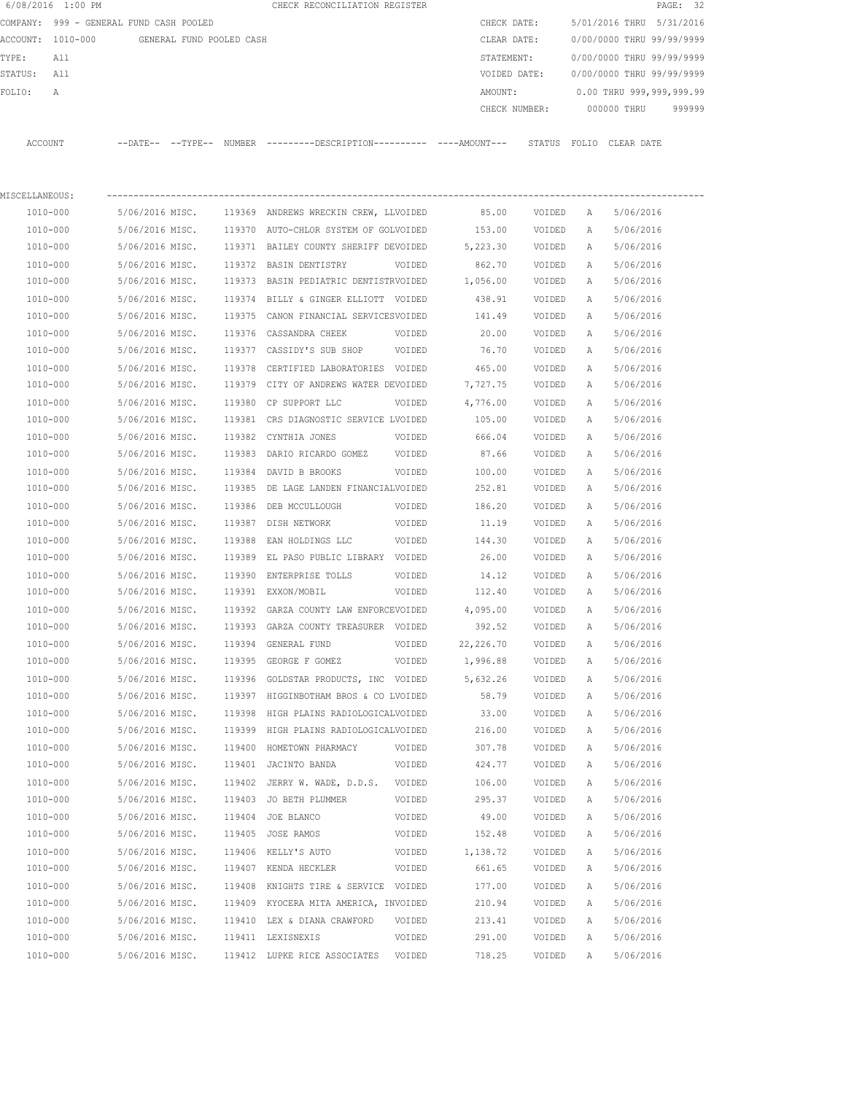|                                               | 6/08/2016 1:00 PM                       |                 |        | CHECK RECONCILIATION REGISTER                                         |             |               |        |                           |                           | PAGE: 32 |
|-----------------------------------------------|-----------------------------------------|-----------------|--------|-----------------------------------------------------------------------|-------------|---------------|--------|---------------------------|---------------------------|----------|
|                                               | COMPANY: 999 - GENERAL FUND CASH POOLED |                 |        |                                                                       |             | CHECK DATE:   |        |                           | 5/01/2016 THRU 5/31/2016  |          |
| ACCOUNT: 1010-000<br>GENERAL FUND POOLED CASH |                                         |                 |        |                                                                       | CLEAR DATE: |               |        | 0/00/0000 THRU 99/99/9999 |                           |          |
| TYPE:                                         | All                                     |                 |        |                                                                       |             | STATEMENT:    |        |                           | 0/00/0000 THRU 99/99/9999 |          |
| STATUS:<br>All<br>FOLIO:<br>Α                 |                                         |                 |        |                                                                       |             | VOIDED DATE:  |        |                           | 0/00/0000 THRU 99/99/9999 |          |
|                                               |                                         |                 |        |                                                                       |             | AMOUNT:       |        |                           | 0.00 THRU 999,999,999.99  |          |
|                                               |                                         |                 |        |                                                                       |             | CHECK NUMBER: |        |                           | 000000 THRU               | 999999   |
|                                               | ACCOUNT                                 |                 |        | --DATE-- --TYPE-- NUMBER ---------DESCRIPTION---------- ----AMOUNT--- |             |               |        |                           | STATUS FOLIO CLEAR DATE   |          |
| MISCELLANEOUS:                                |                                         |                 |        |                                                                       |             |               |        |                           |                           |          |
|                                               | 1010-000                                | 5/06/2016 MISC. |        | 119369 ANDREWS WRECKIN CREW, LLVOIDED                                 |             | 85.00         | VOIDED | А                         | 5/06/2016                 |          |
|                                               | 1010-000                                | 5/06/2016 MISC. | 119370 | AUTO-CHLOR SYSTEM OF GOLVOIDED                                        |             | 153.00        | VOIDED | Α                         | 5/06/2016                 |          |
|                                               | 1010-000                                | 5/06/2016 MISC. |        | 119371 BAILEY COUNTY SHERIFF DEVOIDED                                 |             | 5,223.30      | VOIDED | Α                         | 5/06/2016                 |          |
|                                               | 1010-000                                | 5/06/2016 MISC. |        | 119372 BASIN DENTISTRY                                                | VOIDED      | 862.70        | VOIDED | Α                         | 5/06/2016                 |          |
|                                               | 1010-000                                | 5/06/2016 MISC. |        | 119373 BASIN PEDIATRIC DENTISTRVOIDED                                 |             | 1,056.00      | VOIDED | А                         | 5/06/2016                 |          |
|                                               | 1010-000                                | 5/06/2016 MISC. |        | 119374 BILLY & GINGER ELLIOTT VOIDED                                  |             | 438.91        | VOIDED | Α                         | 5/06/2016                 |          |
|                                               | 1010-000                                | 5/06/2016 MISC. |        | 119375 CANON FINANCIAL SERVICESVOIDED                                 |             | 141.49        | VOIDED | А                         | 5/06/2016                 |          |
|                                               | 1010-000                                | 5/06/2016 MISC. | 119376 | CASSANDRA CHEEK                                                       | VOIDED      | 20.00         | VOIDED | Α                         | 5/06/2016                 |          |
|                                               | 1010-000                                | 5/06/2016 MISC. |        | 119377 CASSIDY'S SUB SHOP                                             | VOIDED      | 76.70         | VOIDED | Α                         | 5/06/2016                 |          |
|                                               | 1010-000                                | 5/06/2016 MISC. | 119378 | CERTIFIED LABORATORIES VOIDED                                         |             | 465.00        | VOIDED | Α                         | 5/06/2016                 |          |
|                                               | 1010-000                                | 5/06/2016 MISC. |        | 119379 CITY OF ANDREWS WATER DEVOIDED                                 |             | 7,727.75      | VOIDED | Α                         | 5/06/2016                 |          |
|                                               | 1010-000                                | 5/06/2016 MISC. | 119380 | CP SUPPORT LLC                                                        | VOIDED      | 4,776.00      | VOIDED | Α                         | 5/06/2016                 |          |
|                                               | 1010-000                                | 5/06/2016 MISC. | 119381 | CRS DIAGNOSTIC SERVICE LVOIDED                                        |             | 105.00        | VOIDED | Α                         | 5/06/2016                 |          |
|                                               | 1010-000                                | 5/06/2016 MISC. | 119382 | CYNTHIA JONES                                                         | VOIDED      | 666.04        | VOIDED | Α                         | 5/06/2016                 |          |
|                                               | 1010-000                                | 5/06/2016 MISC. | 119383 | DARIO RICARDO GOMEZ                                                   | VOIDED      | 87.66         | VOIDED | Α                         | 5/06/2016                 |          |
|                                               | 1010-000                                | 5/06/2016 MISC. | 119384 | DAVID B BROOKS                                                        | VOIDED      | 100.00        | VOIDED | Α                         | 5/06/2016                 |          |
|                                               | 1010-000                                | 5/06/2016 MISC. | 119385 | DE LAGE LANDEN FINANCIALVOIDED                                        |             | 252.81        | VOIDED | Α                         | 5/06/2016                 |          |
|                                               | 1010-000                                | 5/06/2016 MISC. | 119386 | DEB MCCULLOUGH                                                        | VOIDED      | 186.20        | VOIDED | Α                         | 5/06/2016                 |          |
|                                               | 1010-000                                | 5/06/2016 MISC. | 119387 | DISH NETWORK                                                          | VOIDED      | 11.19         | VOIDED | Α                         | 5/06/2016                 |          |
|                                               | 1010-000                                | 5/06/2016 MISC. | 119388 | EAN HOLDINGS LLC                                                      | VOIDED      | 144.30        | VOIDED | Α                         | 5/06/2016                 |          |
|                                               | 1010-000                                | 5/06/2016 MISC. | 119389 | EL PASO PUBLIC LIBRARY VOIDED                                         |             | 26.00         | VOIDED | Α                         | 5/06/2016                 |          |
|                                               | 1010-000                                | 5/06/2016 MISC. | 119390 | ENTERPRISE TOLLS                                                      | VOIDED      | 14.12         | VOIDED | Α                         | 5/06/2016                 |          |
|                                               | 1010-000                                | 5/06/2016 MISC. |        | 119391 EXXON/MOBIL                                                    | VOIDED      | 112.40        | VOIDED | Α                         | 5/06/2016                 |          |
|                                               | 1010-000                                | 5/06/2016 MISC. |        | 119392 GARZA COUNTY LAW ENFORCEVOIDED                                 |             | 4,095.00      | VOIDED | Α                         | 5/06/2016                 |          |
|                                               | 1010-000                                | 5/06/2016 MISC. |        | 119393 GARZA COUNTY TREASURER VOIDED                                  |             | 392.52        | VOIDED | А                         | 5/06/2016                 |          |
|                                               | 1010-000                                | 5/06/2016 MISC. |        | 119394 GENERAL FUND                                                   | VOIDED      | 22, 226.70    | VOIDED | Α                         | 5/06/2016                 |          |
|                                               | 1010-000                                | 5/06/2016 MISC. |        | 119395 GEORGE F GOMEZ                                                 | VOIDED      | 1,996.88      | VOIDED | Α                         | 5/06/2016                 |          |
|                                               | 1010-000                                | 5/06/2016 MISC. |        | 119396 GOLDSTAR PRODUCTS, INC VOIDED                                  |             | 5,632.26      | VOIDED | Α                         | 5/06/2016                 |          |
|                                               | 1010-000                                | 5/06/2016 MISC. |        | 119397 HIGGINBOTHAM BROS & CO LVOIDED                                 |             | 58.79         | VOIDED | Α                         | 5/06/2016                 |          |
|                                               | 1010-000                                | 5/06/2016 MISC. | 119398 | HIGH PLAINS RADIOLOGICALVOIDED                                        |             | 33.00         | VOIDED | Α                         | 5/06/2016                 |          |
|                                               | 1010-000                                | 5/06/2016 MISC. |        | 119399 HIGH PLAINS RADIOLOGICALVOIDED                                 |             | 216.00        | VOIDED | Α                         | 5/06/2016                 |          |
|                                               | 1010-000                                | 5/06/2016 MISC. | 119400 | HOMETOWN PHARMACY                                                     | VOIDED      | 307.78        | VOIDED | Α                         | 5/06/2016                 |          |
|                                               | 1010-000                                | 5/06/2016 MISC. |        | 119401 JACINTO BANDA                                                  | VOIDED      | 424.77        | VOIDED | Α                         | 5/06/2016                 |          |
|                                               | 1010-000                                | 5/06/2016 MISC. |        | 119402 JERRY W. WADE, D.D.S.                                          | VOIDED      | 106.00        | VOIDED | Α                         | 5/06/2016                 |          |
|                                               | 1010-000                                | 5/06/2016 MISC. |        | 119403 JO BETH PLUMMER                                                | VOIDED      | 295.37        | VOIDED | Α                         | 5/06/2016                 |          |
|                                               | 1010-000                                | 5/06/2016 MISC. |        | 119404 JOE BLANCO                                                     | VOIDED      | 49.00         | VOIDED | Α                         | 5/06/2016                 |          |
|                                               | 1010-000                                | 5/06/2016 MISC. |        | 119405 JOSE RAMOS                                                     | VOIDED      | 152.48        | VOIDED | Α                         | 5/06/2016                 |          |
|                                               | 1010-000                                | 5/06/2016 MISC. |        | 119406 KELLY'S AUTO                                                   | VOIDED      | 1,138.72      | VOIDED | Α                         | 5/06/2016                 |          |
|                                               | 1010-000                                | 5/06/2016 MISC. |        | 119407 KENDA HECKLER                                                  | VOIDED      | 661.65        | VOIDED | Α                         | 5/06/2016                 |          |
|                                               | 1010-000                                | 5/06/2016 MISC. |        | 119408 KNIGHTS TIRE & SERVICE VOIDED                                  |             | 177.00        | VOIDED | Α                         | 5/06/2016                 |          |
|                                               | 1010-000                                | 5/06/2016 MISC. |        | 119409 KYOCERA MITA AMERICA, INVOIDED                                 |             | 210.94        | VOIDED | Α                         | 5/06/2016                 |          |
|                                               | 1010-000                                | 5/06/2016 MISC. |        | 119410 LEX & DIANA CRAWFORD                                           | VOIDED      | 213.41        | VOIDED | Α                         | 5/06/2016                 |          |
|                                               | 1010-000                                | 5/06/2016 MISC. |        | 119411 LEXISNEXIS                                                     | VOIDED      | 291.00        | VOIDED | Α                         | 5/06/2016                 |          |
|                                               | 1010-000                                | 5/06/2016 MISC. |        | 119412 LUPKE RICE ASSOCIATES VOIDED                                   |             | 718.25        | VOIDED | Α                         | 5/06/2016                 |          |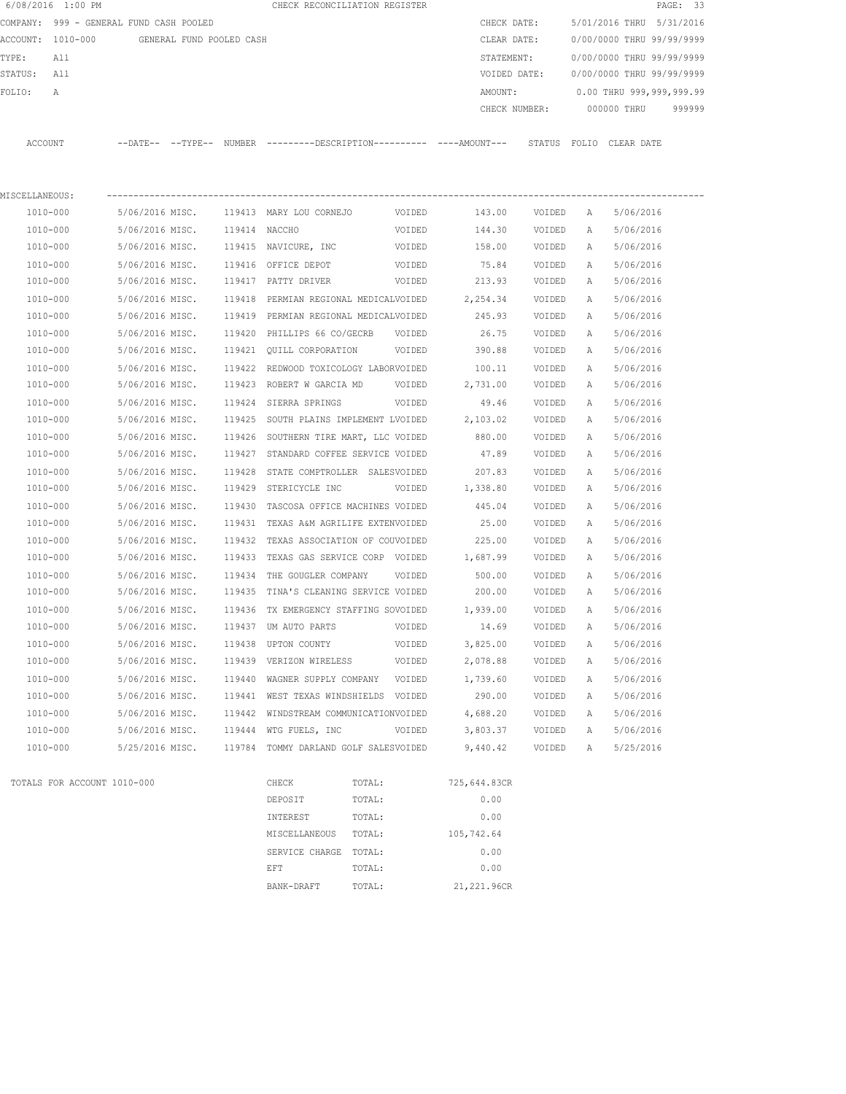|                                         | 6/08/2016 1:00 PM           |                          |        | CHECK RECONCILIATION REGISTER                                       |             |               |        |                             | PAGE: 33                  |
|-----------------------------------------|-----------------------------|--------------------------|--------|---------------------------------------------------------------------|-------------|---------------|--------|-----------------------------|---------------------------|
| COMPANY: 999 - GENERAL FUND CASH POOLED |                             |                          |        |                                                                     | CHECK DATE: |               |        | 5/01/2016 THRU<br>5/31/2016 |                           |
|                                         | ACCOUNT: 1010-000           | GENERAL FUND POOLED CASH |        |                                                                     |             | CLEAR DATE:   |        |                             | 0/00/0000 THRU 99/99/9999 |
| TYPE:<br>All<br>All<br>STATUS:          |                             |                          |        |                                                                     |             | STATEMENT:    |        |                             | 0/00/0000 THRU 99/99/9999 |
|                                         |                             |                          |        |                                                                     |             | VOIDED DATE:  |        |                             | 0/00/0000 THRU 99/99/9999 |
| FOLIO:                                  | А                           |                          |        |                                                                     |             | AMOUNT:       |        |                             | 0.00 THRU 999,999,999.99  |
|                                         |                             |                          |        |                                                                     |             | CHECK NUMBER: |        |                             | 000000 THRU<br>999999     |
| ACCOUNT                                 |                             |                          |        | --DATE-- --TYPE-- NUMBER --------DESCRIPTION--------- ----AMOUNT--- |             |               |        |                             | STATUS FOLIO CLEAR DATE   |
|                                         |                             |                          |        |                                                                     |             |               |        |                             |                           |
| MISCELLANEOUS:                          |                             |                          |        |                                                                     |             |               |        |                             |                           |
|                                         | 1010-000                    | 5/06/2016 MISC.          |        | 119413 MARY LOU CORNEJO                                             | VOIDED      | 143.00        | VOIDED | A                           | 5/06/2016                 |
|                                         | 1010-000                    | 5/06/2016 MISC.          | 119414 | NACCHO                                                              | VOIDED      | 144.30        | VOIDED | A                           | 5/06/2016                 |
|                                         | 1010-000                    | 5/06/2016 MISC.          |        | 119415 NAVICURE, INC                                                | VOIDED      | 158.00        | VOIDED | A                           | 5/06/2016                 |
|                                         | 1010-000                    | 5/06/2016 MISC.          |        | 119416 OFFICE DEPOT                                                 | VOIDED      | 75.84         | VOIDED | Α                           | 5/06/2016                 |
|                                         | 1010-000                    | 5/06/2016 MISC.          |        | 119417 PATTY DRIVER                                                 | VOIDED      | 213.93        | VOIDED | Α                           | 5/06/2016                 |
|                                         | 1010-000                    | 5/06/2016 MISC.          | 119418 | PERMIAN REGIONAL MEDICALVOIDED                                      |             | 2,254.34      | VOIDED | Α                           | 5/06/2016                 |
|                                         | 1010-000                    | 5/06/2016 MISC.          |        | 119419 PERMIAN REGIONAL MEDICALVOIDED                               |             | 245.93        | VOIDED | A                           | 5/06/2016                 |
|                                         | 1010-000                    | 5/06/2016 MISC.          | 119420 | PHILLIPS 66 CO/GECRB                                                | VOIDED      | 26.75         | VOIDED | А                           | 5/06/2016                 |
|                                         | 1010-000                    | 5/06/2016 MISC.          | 119421 | QUILL CORPORATION                                                   | VOIDED      | 390.88        | VOIDED | А                           | 5/06/2016                 |
|                                         | 1010-000                    | 5/06/2016 MISC.          | 119422 | REDWOOD TOXICOLOGY LABORVOIDED                                      |             | 100.11        | VOIDED | А                           | 5/06/2016                 |
|                                         | 1010-000                    | 5/06/2016 MISC.          |        | 119423 ROBERT W GARCIA MD                                           | VOIDED      | 2,731.00      | VOIDED | А                           | 5/06/2016                 |
|                                         | 1010-000                    | 5/06/2016 MISC.          | 119424 | SIERRA SPRINGS<br>VOIDED                                            |             | 49.46         | VOIDED | Α                           | 5/06/2016                 |
|                                         | 1010-000                    | 5/06/2016 MISC.          | 119425 | SOUTH PLAINS IMPLEMENT LVOIDED                                      |             | 2,103.02      | VOIDED | А                           | 5/06/2016                 |
|                                         | 1010-000                    | 5/06/2016 MISC.          | 119426 | SOUTHERN TIRE MART, LLC VOIDED                                      |             | 880.00        | VOIDED | А                           | 5/06/2016                 |
|                                         | 1010-000                    | 5/06/2016 MISC.          | 119427 | STANDARD COFFEE SERVICE VOIDED                                      |             | 47.89         | VOIDED | Α                           | 5/06/2016                 |
|                                         | 1010-000                    | 5/06/2016 MISC.          | 119428 | STATE COMPTROLLER SALESVOIDED                                       |             | 207.83        | VOIDED | Α                           | 5/06/2016                 |
|                                         | 1010-000                    | 5/06/2016 MISC.          | 119429 | STERICYCLE INC                                                      | VOIDED      | 1,338.80      | VOIDED | А                           | 5/06/2016                 |
|                                         | 1010-000                    | 5/06/2016 MISC.          | 119430 | TASCOSA OFFICE MACHINES VOIDED                                      |             | 445.04        | VOIDED | Α                           | 5/06/2016                 |
|                                         | 1010-000                    | 5/06/2016 MISC.          | 119431 | TEXAS A&M AGRILIFE EXTENVOIDED                                      |             | 25.00         | VOIDED | A                           | 5/06/2016                 |
|                                         | 1010-000                    | 5/06/2016 MISC.          | 119432 | TEXAS ASSOCIATION OF COUVOIDED                                      |             | 225.00        | VOIDED | А                           | 5/06/2016                 |
|                                         | 1010-000                    | 5/06/2016 MISC.          | 119433 | TEXAS GAS SERVICE CORP VOIDED                                       |             | 1,687.99      | VOIDED | А                           | 5/06/2016                 |
|                                         | 1010-000                    | 5/06/2016 MISC.          | 119434 | THE GOUGLER COMPANY                                                 | VOIDED      | 500.00        | VOIDED | Α                           | 5/06/2016                 |
|                                         | 1010-000                    | 5/06/2016 MISC.          | 119435 | TINA'S CLEANING SERVICE VOIDED                                      |             | 200.00        | VOIDED | Α                           | 5/06/2016                 |
|                                         | 1010-000                    | 5/06/2016 MISC.          |        | 119436 TX EMERGENCY STAFFING SOVOIDED                               |             | 1,939.00      | VOIDED | $\mathbb{A}$                | 5/06/2016                 |
|                                         | 1010-000                    | 5/06/2016 MISC.          |        | 119437 UM AUTO PARTS                                                | VOIDED      | 14.69         | VOIDED | Α                           | 5/06/2016                 |
|                                         | 1010-000                    | 5/06/2016 MISC.          |        | 119438 UPTON COUNTY                                                 | VOIDED      | 3,825.00      | VOIDED | Α                           | 5/06/2016                 |
|                                         | 1010-000                    | 5/06/2016 MISC.          |        | 119439 VERIZON WIRELESS                                             | VOIDED      | 2,078.88      | VOIDED | Α                           | 5/06/2016                 |
|                                         | 1010-000                    | 5/06/2016 MISC.          |        | 119440 WAGNER SUPPLY COMPANY                                        | VOIDED      | 1,739.60      | VOIDED | Α                           | 5/06/2016                 |
|                                         | 1010-000                    | 5/06/2016 MISC.          |        | 119441 WEST TEXAS WINDSHIELDS VOIDED                                |             | 290.00        | VOIDED | А                           | 5/06/2016                 |
|                                         | 1010-000                    | 5/06/2016 MISC.          |        | 119442 WINDSTREAM COMMUNICATIONVOIDED                               |             | 4,688.20      | VOIDED | Α                           | 5/06/2016                 |
|                                         | 1010-000                    | 5/06/2016 MISC.          |        | 119444 WTG FUELS, INC                                               | VOIDED      | 3,803.37      | VOIDED | А                           | 5/06/2016                 |
|                                         | 1010-000                    | 5/25/2016 MISC.          |        | 119784 TOMMY DARLAND GOLF SALESVOIDED                               |             | 9,440.42      | VOIDED | Α                           | 5/25/2016                 |
|                                         | TOTALS FOR ACCOUNT 1010-000 |                          |        | CHECK<br>TOTAL:                                                     |             | 725,644.83CR  |        |                             |                           |
|                                         |                             |                          |        | DEPOSIT<br>TOTAL:                                                   |             | 0.00          |        |                             |                           |
|                                         |                             |                          |        | TOTAL:<br>INTEREST                                                  |             | 0.00          |        |                             |                           |
|                                         |                             |                          |        | MISCELLANEOUS<br>TOTAL:                                             |             | 105,742.64    |        |                             |                           |
|                                         |                             |                          |        | SERVICE CHARGE<br>TOTAL:                                            |             | 0.00          |        |                             |                           |
|                                         |                             |                          |        | TOTAL:<br>EFT                                                       |             | 0.00          |        |                             |                           |
|                                         |                             |                          |        | TOTAL:<br>BANK-DRAFT                                                |             | 21,221.96CR   |        |                             |                           |
|                                         |                             |                          |        |                                                                     |             |               |        |                             |                           |